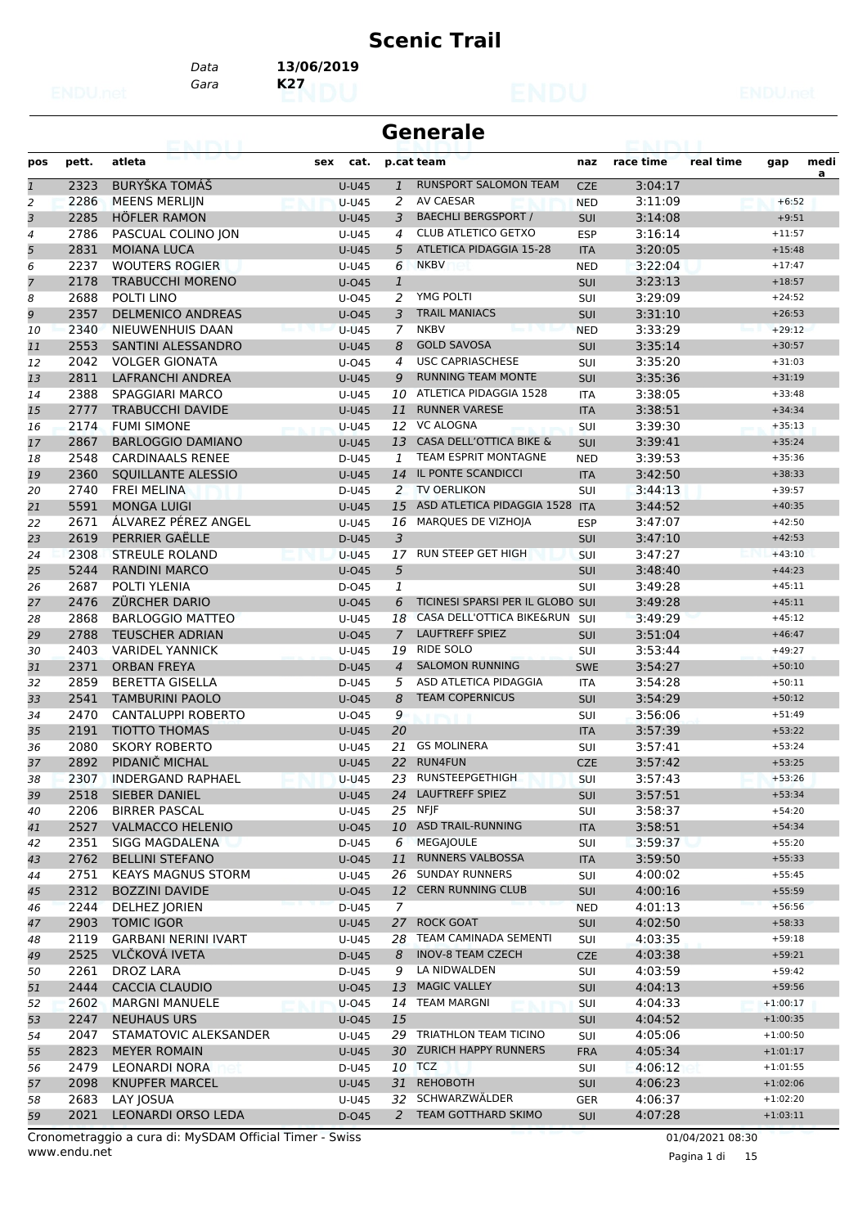#### **Scenic Trail**

*Gara* **K27** *Data* **13/06/2019**

| Generale |  |
|----------|--|
|----------|--|

| pos            | pett.        | atleta                                | cat.<br>sex        |                | p.cat team                        | naz               | race time          | real time | gap                  | medi |
|----------------|--------------|---------------------------------------|--------------------|----------------|-----------------------------------|-------------------|--------------------|-----------|----------------------|------|
| $\overline{1}$ | 2323         | <b>BURYŠKA TOMÁŠ</b>                  | $U-U45$            | $\mathbf{1}$   | <b>RUNSPORT SALOMON TEAM</b>      | <b>CZE</b>        | 3:04:17            |           |                      | a    |
| 2              | 2286         | <b>MEENS MERLIJN</b>                  | <b>U-U45</b>       | 2              | <b>AV CAESAR</b>                  | <b>NED</b>        | 3:11:09            |           | $+6:52$              |      |
| 3              | 2285         | <b>HÖFLER RAMON</b>                   | <b>U-U45</b>       | 3              | <b>BAECHLI BERGSPORT /</b>        | <b>SUI</b>        | 3:14:08            |           | $+9:51$              |      |
| 4              | 2786         | PASCUAL COLINO JON                    | U-U45              | 4              | <b>CLUB ATLETICO GETXO</b>        | <b>ESP</b>        | 3:16:14            |           | $+11:57$             |      |
| 5              | 2831         | <b>MOIANA LUCA</b>                    | <b>U-U45</b>       | 5              | ATLETICA PIDAGGIA 15-28           | <b>ITA</b>        | 3:20:05            |           | $+15:48$             |      |
| 6              | 2237         | <b>WOUTERS ROGIER</b>                 | U-U45              | 6              | <b>NKBV</b>                       | <b>NED</b>        | 3:22:04            |           | $+17:47$             |      |
| 7              | 2178         | <b>TRABUCCHI MORENO</b>               | U-045              | $\mathbf{1}$   |                                   | <b>SUI</b>        | 3:23:13            |           | $+18:57$             |      |
| 8              | 2688         | POLTI LINO                            | U-045              | 2              | YMG POLTI                         | SUI               | 3:29:09            |           | $+24:52$             |      |
| 9              | 2357         | <b>DELMENICO ANDREAS</b>              | $U$ -045           | 3              | <b>TRAIL MANIACS</b>              | <b>SUI</b>        | 3:31:10            |           | $+26:53$             |      |
| 10             | 2340         | NIEUWENHUIS DAAN                      | $U-U45$            | $\overline{7}$ | <b>NKBV</b>                       | <b>NED</b>        | 3:33:29            |           | $+29:12$             |      |
| 11             | 2553         | SANTINI ALESSANDRO                    | <b>U-U45</b>       | 8              | <b>GOLD SAVOSA</b>                | <b>SUI</b>        | 3:35:14            |           | $+30:57$             |      |
| 12             | 2042         | <b>VOLGER GIONATA</b>                 | $U$ -045           | $\overline{4}$ | <b>USC CAPRIASCHESE</b>           | SUI               | 3:35:20            |           | $+31:03$             |      |
| 13             | 2811         | <b>LAFRANCHI ANDREA</b>               | <b>U-U45</b>       | 9              | <b>RUNNING TEAM MONTE</b>         | SUI               | 3:35:36            |           | $+31:19$             |      |
| 14             | 2388         | <b>SPAGGIARI MARCO</b>                | U-U45              | 10             | ATLETICA PIDAGGIA 1528            | <b>ITA</b>        | 3:38:05            |           | $+33:48$             |      |
| 15             | 2777         | <b>TRABUCCHI DAVIDE</b>               | $U-U45$            | 11             | <b>RUNNER VARESE</b>              | <b>ITA</b>        | 3:38:51            |           | $+34:34$             |      |
| 16             | 2174         | <b>FUMI SIMONE</b>                    | U-U45              |                | 12 VC ALOGNA                      | SUI               | 3:39:30            |           | $+35:13$             |      |
| 17             | 2867         | <b>BARLOGGIO DAMIANO</b>              | <b>U-U45</b>       |                | 13 CASA DELL'OTTICA BIKE &        | <b>SUI</b>        | 3:39:41            |           | $+35:24$             |      |
| 18             | 2548         | <b>CARDINAALS RENEE</b>               | D-U45              | 1              | TEAM ESPRIT MONTAGNE              | <b>NED</b>        | 3:39:53            |           | $+35:36$             |      |
| 19             | 2360         | SOUILLANTE ALESSIO                    | $U-U45$            | 14             | IL PONTE SCANDICCI                | <b>ITA</b>        | 3:42:50            |           | $+38:33$             |      |
| 20             | 2740         | <b>FREI MELINA</b>                    | D-U45              |                | 2 TV OERLIKON                     | SUI               | 3:44:13            |           | $+39:57$             |      |
| 21             | 5591         | <b>MONGA LUIGI</b>                    | $U-U45$            | 15             | ASD ATLETICA PIDAGGIA 1528        | <b>ITA</b>        | 3:44:52            |           | $+40:35$             |      |
| 22             | 2671         | ÁLVAREZ PÉREZ ANGEL                   | U-U45              | 16             | MARQUES DE VIZHOJA                | <b>ESP</b>        | 3:47:07            |           | $+42:50$             |      |
| 23             | 2619         | PERRIER GAËLLE                        | D-U45              | $\overline{3}$ |                                   | <b>SUI</b>        | 3:47:10            |           | $+42:53$             |      |
| 24             | 2308         | <b>STREULE ROLAND</b>                 | <b>U-U45</b>       | 17             | RUN STEEP GET HIGH                | SUI               | 3:47:27            |           | $+43:10$             |      |
| 25             | 5244         | <b>RANDINI MARCO</b>                  | U-045              | 5              |                                   | <b>SUI</b>        | 3:48:40            |           | $+44:23$             |      |
| 26             | 2687         | POLTI YLENIA                          | D-045              | 1              |                                   | SUI               | 3:49:28            |           | $+45:11$             |      |
| 27             | 2476         | <b>ZÜRCHER DARIO</b>                  | $U$ -045           | 6              | TICINESI SPARSI PER IL GLOBO SUI  |                   | 3:49:28            |           | $+45:11$             |      |
| 28             | 2868         | <b>BARLOGGIO MATTEO</b>               | U-U45              | 18             | CASA DELL'OTTICA BIKE&RUN         | SUI               | 3:49:29            |           | $+45:12$             |      |
| 29             | 2788         | <b>TEUSCHER ADRIAN</b>                | $U$ -045           | $\overline{7}$ | <b>LAUFTREFF SPIEZ</b>            | <b>SUI</b>        | 3:51:04            |           | $+46:47$             |      |
| 30             | 2403         | <b>VARIDEL YANNICK</b>                | U-U45              | 19             | <b>RIDE SOLO</b>                  | SUI               | 3:53:44            |           | $+49:27$             |      |
| 31             | 2371         | <b>ORBAN FREYA</b>                    | D-U45              | $\overline{4}$ | <b>SALOMON RUNNING</b>            | <b>SWE</b>        | 3:54:27            |           | $+50:10$             |      |
| 32             | 2859         | <b>BERETTA GISELLA</b>                | $D-U45$            | 5              | ASD ATLETICA PIDAGGIA             | <b>ITA</b>        | 3:54:28            |           | $+50:11$             |      |
| 33             | 2541         | <b>TAMBURINI PAOLO</b>                | $U$ -045           | 8              | <b>TEAM COPERNICUS</b>            | <b>SUI</b>        | 3:54:29            |           | $+50:12$             |      |
| 34             | 2470         | <b>CANTALUPPI ROBERTO</b>             | U-045              | 9              |                                   | SUI               | 3:56:06            |           | $+51:49$             |      |
| 35             | 2191         | <b>TIOTTO THOMAS</b>                  | <b>U-U45</b>       | 20             |                                   | <b>ITA</b>        | 3:57:39            |           | $+53:22$             |      |
| 36             | 2080         | <b>SKORY ROBERTO</b>                  | U-U45              | 21             | <b>GS MOLINERA</b>                | SUI               | 3:57:41            |           | $+53:24$             |      |
| 37             | 2892         | PIDANIČ MICHAL                        | <b>U-U45</b>       | 22             | <b>RUN4FUN</b><br>RUNSTEEPGETHIGH | <b>CZE</b>        | 3:57:42            |           | $+53:25$<br>$+53:26$ |      |
| 38             | 2307<br>2518 | <b>INDERGAND RAPHAEL</b>              | $U-U45$<br>$U-U45$ | 23<br>24       | <b>LAUFTREFF SPIEZ</b>            | SUI               | 3:57:43<br>3:57:51 |           | $+53:34$             |      |
| 39<br>40       | 2206         | SIEBER DANIEL<br><b>BIRRER PASCAL</b> | U-U45              |                | 25 NFJF                           | SUI<br><b>SUI</b> | 3:58:37            |           | $+54:20$             |      |
| 41             | 2527         | <b>VALMACCO HELENIO</b>               | $U$ -045           | 10             | <b>ASD TRAIL-RUNNING</b>          | <b>ITA</b>        | 3:58:51            |           | $+54:34$             |      |
| 42             | 2351         | SIGG MAGDALENA                        | D-U45              | 6              | MEGAJOULE                         | SUI               | 3:59:37            |           | $+55:20$             |      |
| 43             | 2762         | <b>BELLINI STEFANO</b>                | U-045              | 11             | <b>RUNNERS VALBOSSA</b>           | <b>ITA</b>        | 3:59:50            |           | $+55:33$             |      |
| 44             | 2751         | <b>KEAYS MAGNUS STORM</b>             | U-U45              | 26             | <b>SUNDAY RUNNERS</b>             | <b>SUI</b>        | 4:00:02            |           | $+55:45$             |      |
| 45             | 2312         | <b>BOZZINI DAVIDE</b>                 | U-045              | 12             | <b>CERN RUNNING CLUB</b>          | SUI               | 4:00:16            |           | $+55:59$             |      |
| 46             | 2244         | <b>DELHEZ JORIEN</b>                  | D-U45              | $\overline{7}$ |                                   | <b>NED</b>        | 4:01:13            |           | $+56:56$             |      |
| 47             | 2903         | <b>TOMIC IGOR</b>                     | U-U45              |                | 27 ROCK GOAT                      | <b>SUI</b>        | 4:02:50            |           | $+58:33$             |      |
| 48             | 2119         | <b>GARBANI NERINI IVART</b>           | U-U45              |                | 28 TEAM CAMINADA SEMENTI          | <b>SUI</b>        | 4:03:35            |           | $+59:18$             |      |
| 49             | 2525         | <b>VLČKOVÁ IVETA</b>                  | D-U45              | 8              | <b>INOV-8 TEAM CZECH</b>          | <b>CZE</b>        | 4:03:38            |           | $+59:21$             |      |
| 50             | 2261         | DROZ LARA                             | D-U45              | 9              | LA NIDWALDEN                      | SUI               | 4:03:59            |           | $+59:42$             |      |
| 51             | 2444         | <b>CACCIA CLAUDIO</b>                 | U-045              | 13             | <b>MAGIC VALLEY</b>               | <b>SUI</b>        | 4:04:13            |           | $+59:56$             |      |
| 52             | 2602         | <b>MARGNI MANUELE</b>                 | U-045              | 14             | <b>TEAM MARGNI</b>                | <b>SUI</b>        | 4:04:33            |           | $+1:00:17$           |      |
| 53             | 2247         | <b>NEUHAUS URS</b>                    | $U$ -045           | 15             |                                   | SUI               | 4:04:52            |           | $+1:00:35$           |      |
| 54             | 2047         | STAMATOVIC ALEKSANDER                 | U-U45              |                | 29 TRIATHLON TEAM TICINO          | SUI               | 4:05:06            |           | $+1:00:50$           |      |
| 55             | 2823         | <b>MEYER ROMAIN</b>                   | U-U45              | 30             | <b>ZURICH HAPPY RUNNERS</b>       | <b>FRA</b>        | 4:05:34            |           | $+1:01:17$           |      |
| 56             | 2479         | LEONARDI NORA                         | D-U45              |                | 10 TCZ                            | <b>SUI</b>        | 4:06:12            |           | $+1:01:55$           |      |
| 57             | 2098         | <b>KNUPFER MARCEL</b>                 | U-U45              | 31             | <b>REHOBOTH</b>                   | SUI               | 4:06:23            |           | $+1:02:06$           |      |
| 58             | 2683         | LAY JOSUA                             | U-U45              |                | 32 SCHWARZWÄLDER                  | <b>GER</b>        | 4:06:37            |           | $+1:02:20$           |      |
| 59             | 2021         | LEONARDI ORSO LEDA                    | D-045              | $\overline{2}$ | TEAM GOTTHARD SKIMO               | <b>SUI</b>        | 4:07:28            |           | $+1:03:11$           |      |

www.endu.net Cronometraggio a cura di: MySDAM Official Timer - Swiss 01/04/2021 08:30

Pagina 1 di 15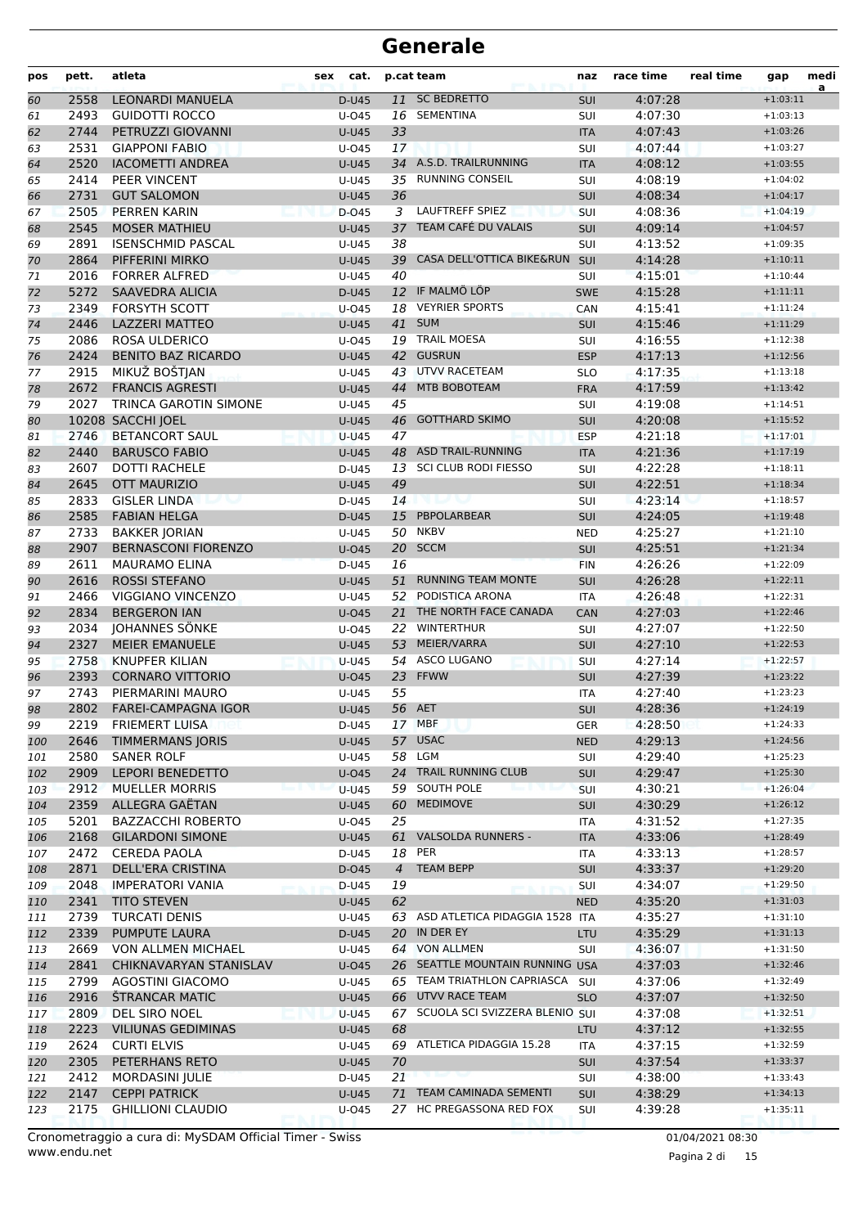| pos        | pett.        | atleta                                  | cat.<br>sex         |                | p.cat team                          | naz               | race time          | real time | gap                      | medi<br>a |
|------------|--------------|-----------------------------------------|---------------------|----------------|-------------------------------------|-------------------|--------------------|-----------|--------------------------|-----------|
| 60         | 2558         | LEONARDI MANUELA                        | D-U45               |                | 11 SC BEDRETTO                      | <b>SUI</b>        | 4:07:28            |           | $+1:03:11$               |           |
| 61         | 2493         | <b>GUIDOTTI ROCCO</b>                   | U-045               |                | 16 SEMENTINA                        | SUI               | 4:07:30            |           | $+1:03:13$               |           |
| 62         | 2744         | PETRUZZI GIOVANNI                       | $U-U45$             | 33             |                                     | <b>ITA</b>        | 4:07:43            |           | $+1:03:26$               |           |
| 63         | 2531         | <b>GIAPPONI FABIO</b>                   | U-045               | 17             |                                     | SUI               | 4:07:44            |           | $+1:03:27$               |           |
| 64         | 2520         | <b>IACOMETTI ANDREA</b>                 | <b>U-U45</b>        |                | 34 A.S.D. TRAILRUNNING              | <b>ITA</b>        | 4:08:12            |           | $+1:03:55$               |           |
| 65         | 2414         | PEER VINCENT                            | U-U45               |                | 35 RUNNING CONSEIL                  | SUI               | 4:08:19            |           | $+1:04:02$               |           |
| 66         | 2731         | <b>GUT SALOMON</b>                      | <b>U-U45</b>        | 36             |                                     | <b>SUI</b>        | 4:08:34            |           | $+1:04:17$               |           |
| 67         | 2505         | <b>PERREN KARIN</b>                     | D-045               | 3              | <b>LAUFTREFF SPIEZ</b>              | SUI               | 4:08:36            |           | $+1:04:19$               |           |
| 68         | 2545         | <b>MOSER MATHIEU</b>                    | $U-U45$             | 37             | TEAM CAFÉ DU VALAIS                 | <b>SUI</b>        | 4:09:14            |           | $+1:04:57$               |           |
| 69         | 2891         | <b>ISENSCHMID PASCAL</b>                | U-U45               | 38             |                                     | SUI               | 4:13:52            |           | $+1:09:35$               |           |
| 70         | 2864         | PIFFERINI MIRKO                         | <b>U-U45</b>        | 39             | CASA DELL'OTTICA BIKE&RUN           | SUI               | 4:14:28            |           | $+1:10:11$               |           |
| 71         | 2016         | <b>FORRER ALFRED</b>                    | U-U45               | 40             |                                     | SUI               | 4:15:01            |           | $+1:10:44$               |           |
| 72         | 5272         | <b>SAAVEDRA ALICIA</b>                  | D-U45               |                | 12 IF MALMÖ LÖP                     | <b>SWE</b>        | 4:15:28            |           | $+1:11:11$               |           |
| 73         | 2349         | <b>FORSYTH SCOTT</b>                    | U-045               |                | 18 VEYRIER SPORTS                   | CAN               | 4:15:41            |           | $+1:11:24$               |           |
| 74         | 2446         | <b>LAZZERI MATTEO</b>                   | $U-U45$             | 41             | <b>SUM</b>                          | SUI               | 4:15:46            |           | $+1:11:29$               |           |
| 75         | 2086         | <b>ROSA ULDERICO</b>                    | U-045               |                | 19 TRAIL MOESA                      | SUI               | 4:16:55            |           | $+1:12:38$               |           |
| 76         | 2424         | <b>BENITO BAZ RICARDO</b>               | <b>U-U45</b>        | 42             | <b>GUSRUN</b>                       | <b>ESP</b>        | 4:17:13            |           | $+1:12:56$               |           |
| 77         | 2915         | MIKUŽ BOŠTJAN                           | U-U45               |                | 43 UTVV RACETEAM                    | <b>SLO</b>        | 4:17:35            |           | $+1:13:18$               |           |
| 78         | 2672         | <b>FRANCIS AGRESTI</b>                  | <b>U-U45</b>        | 44             | MTB BOBOTEAM                        | <b>FRA</b>        | 4:17:59            |           | $+1:13:42$               |           |
| 79         | 2027         | <b>TRINCA GAROTIN SIMONE</b>            | U-U45               | 45             |                                     | SUI               | 4:19:08            |           | $+1:14:51$               |           |
| 80         |              | 10208 SACCHI JOEL                       | $U-U45$             | 46             | <b>GOTTHARD SKIMO</b>               | SUI               | 4:20:08            |           | $+1:15:52$               |           |
| 81         | 2746         | <b>BETANCORT SAUL</b>                   | $U-U45$             | 47             |                                     | <b>ESP</b>        | 4:21:18            |           | $+1:17:01$               |           |
| 82         | 2440         | <b>BARUSCO FABIO</b>                    | <b>U-U45</b>        | 48             | <b>ASD TRAIL-RUNNING</b>            | <b>ITA</b>        | 4:21:36            |           | $+1:17:19$               |           |
| 83         | 2607         | <b>DOTTI RACHELE</b>                    | D-U45               | 13             | <b>SCI CLUB RODI FIESSO</b>         | SUI               | 4:22:28            |           | $+1:18:11$               |           |
| 84         | 2645         | <b>OTT MAURIZIO</b>                     | <b>U-U45</b>        | 49             |                                     | <b>SUI</b>        | 4:22:51            |           | $+1:18:34$               |           |
| 85         | 2833         | <b>GISLER LINDA</b>                     | D-U45               | 14             | ulan                                | SUI               | 4:23:14            |           | $+1:18:57$               |           |
| 86         | 2585         | <b>FABIAN HELGA</b>                     | D-U45               | 15             | <b>PBPOLARBEAR</b>                  | SUI               | 4:24:05            |           | $+1:19:48$               |           |
| 87         | 2733         | <b>BAKKER JORIAN</b>                    | U-U45               |                | 50 NKBV                             | <b>NED</b>        | 4:25:27            |           | $+1:21:10$               |           |
| 88         | 2907         | <b>BERNASCONI FIORENZO</b>              | U-045               |                | 20 SCCM                             | SUI               | 4:25:51            |           | $+1:21:34$               |           |
| 89         | 2611         | <b>MAURAMO ELINA</b>                    | $D-U45$             | 16             |                                     | <b>FIN</b>        | 4:26:26            |           | $+1:22:09$               |           |
| 90         | 2616         | <b>ROSSI STEFANO</b>                    | <b>U-U45</b>        | 51             | <b>RUNNING TEAM MONTE</b>           | SUI               | 4:26:28            |           | $+1:22:11$               |           |
| 91         | 2466         | <b>VIGGIANO VINCENZO</b>                | U-U45               |                | 52 PODISTICA ARONA                  | <b>ITA</b>        | 4:26:48            |           | $+1:22:31$               |           |
| 92         | 2834         | <b>BERGERON IAN</b>                     | $U$ -045            | 21             | THE NORTH FACE CANADA               | CAN               | 4:27:03            |           | $+1:22:46$               |           |
| 93         | 2034         | JOHANNES SÖNKE                          | U-045               | 22             | <b>WINTERTHUR</b>                   | SUI               | 4:27:07            |           | $+1:22:50$               |           |
| 94         | 2327         | <b>MEIER EMANUELE</b>                   | <b>U-U45</b>        | 53             | MEIER/VARRA                         | SUI               | 4:27:10            |           | $+1:22:53$               |           |
| 95         | 2758         | <b>KNUPFER KILIAN</b>                   | $U-U45$             | 54             | ASCO LUGANO                         | SUI               | 4:27:14            |           | $+1:22:57$               |           |
| 96         | 2393         | <b>CORNARO VITTORIO</b>                 | $U$ -045            |                | 23 FFWW                             | <b>SUI</b>        | 4:27:39            |           | $+1:23:22$               |           |
| 97         | 2743         | PIERMARINI MAURO                        | U-U45               | 55             |                                     | <b>ITA</b>        | 4:27:40            |           | $+1:23:23$               |           |
| 98         | 2802         | <b>FAREI-CAMPAGNA IGOR</b>              | <b>U-U45</b>        |                | 56 AET                              | <b>SUI</b>        | 4:28:36            |           | $+1:24:19$               |           |
| 99         | 2219         | <b>FRIEMERT LUISA</b>                   | D-U45               |                | 17 MBF                              | GER               | 4:28:50            |           | $+1:24:33$               |           |
| 100        | 2646<br>2580 | <b>TIMMERMANS JORIS</b>                 | U-U45               |                | 57 USAC                             | <b>NED</b>        | 4:29:13            |           | $+1:24:56$               |           |
| 101        |              | SANER ROLF                              | U-U45               | 24             | 58 LGM<br><b>TRAIL RUNNING CLUB</b> | SUI               | 4:29:40            |           | $+1:25:23$               |           |
| 102        | 2909<br>2912 | LEPORI BENEDETTO                        | $U$ -045<br>$U-U45$ |                | 59 SOUTH POLE                       | SUI               | 4:29:47<br>4:30:21 |           | $+1:25:30$<br>$+1:26:04$ |           |
| 103        |              | <b>MUELLER MORRIS</b><br>ALLEGRA GAËTAN |                     | 60             | <b>MEDIMOVE</b>                     | <b>SUI</b>        |                    |           | $+1:26:12$               |           |
| 104        | 2359         | <b>BAZZACCHI ROBERTO</b>                | <b>U-U45</b>        |                |                                     | SUI               | 4:30:29            |           |                          |           |
| 105<br>106 | 5201<br>2168 | <b>GILARDONI SIMONE</b>                 | U-045<br>U-U45      | 25             | 61 VALSOLDA RUNNERS -               | ITA<br><b>ITA</b> | 4:31:52<br>4:33:06 |           | $+1:27:35$<br>$+1:28:49$ |           |
| 107        | 2472         | <b>CEREDA PAOLA</b>                     | D-U45               | 18             | PER                                 | ITA               | 4:33:13            |           | $+1:28:57$               |           |
| 108        | 2871         | <b>DELL'ERA CRISTINA</b>                | D-045               | $\overline{4}$ | <b>TEAM BEPP</b>                    | <b>SUI</b>        | 4:33:37            |           | $+1:29:20$               |           |
| 109        | 2048         | <b>IMPERATORI VANIA</b>                 | D-U45               | 19             |                                     | SUI               | 4:34:07            |           | $+1:29:50$               |           |
| 110        | 2341         | <b>TITO STEVEN</b>                      | <b>U-U45</b>        | 62             |                                     | <b>NED</b>        | 4:35:20            |           | $+1:31:03$               |           |
| 111        | 2739         | <b>TURCATI DENIS</b>                    | U-U45               | 63             | ASD ATLETICA PIDAGGIA 1528 ITA      |                   | 4:35:27            |           | $+1:31:10$               |           |
| 112        | 2339         | PUMPUTE LAURA                           | D-U45               |                | 20 IN DER EY                        | LTU               | 4:35:29            |           | $+1:31:13$               |           |
| 113        | 2669         | <b>VON ALLMEN MICHAEL</b>               | U-U45               |                | 64 VON ALLMEN                       | SUI               | 4:36:07            |           | $+1:31:50$               |           |
| 114        | 2841         | CHIKNAVARYAN STANISLAV                  | U-045               |                | 26 SEATTLE MOUNTAIN RUNNING USA     |                   | 4:37:03            |           | $+1:32:46$               |           |
| 115        | 2799         | <b>AGOSTINI GIACOMO</b>                 | U-U45               |                | 65 TEAM TRIATHLON CAPRIASCA SUI     |                   | 4:37:06            |           | $+1:32:49$               |           |
| 116        | 2916         | <b>STRANCAR MATIC</b>                   | U-U45               |                | 66 UTVV RACE TEAM                   | <b>SLO</b>        | 4:37:07            |           | $+1:32:50$               |           |
| 117        | 2809         | DEL SIRO NOEL                           | <b>U-U45</b>        |                | 67 SCUOLA SCI SVIZZERA BLENIO SUI   |                   | 4:37:08            |           | $+1:32:51$               |           |
| 118        | 2223         | <b>VILIUNAS GEDIMINAS</b>               | U-U45               | 68             |                                     | LTU               | 4:37:12            |           | $+1:32:55$               |           |
| 119        | 2624         | <b>CURTI ELVIS</b>                      | U-U45               |                | 69 ATLETICA PIDAGGIA 15.28          | ITA               | 4:37:15            |           | $+1:32:59$               |           |
| 120        | 2305         | PETERHANS RETO                          | U-U45               | 70             |                                     | <b>SUI</b>        | 4:37:54            |           | $+1:33:37$               |           |
| 121        | 2412         | MORDASINI JULIE                         | D-U45               | 21             |                                     | SUI               | 4:38:00            |           | $+1:33:43$               |           |
| 122        | 2147         | <b>CEPPI PATRICK</b>                    | <b>U-U45</b>        | 71             | TEAM CAMINADA SEMENTI               | SUI               | 4:38:29            |           | $+1:34:13$               |           |
| 123        | 2175         | <b>GHILLIONI CLAUDIO</b>                | U-045               |                | 27 HC PREGASSONA RED FOX            | Sui               | 4:39:28            |           | $+1:35:11$               |           |
|            |              |                                         |                     |                |                                     |                   |                    |           |                          |           |

www.endu.net Cronometraggio a cura di: MySDAM Official Timer - Swiss 01/04/2021 08:30

Pagina 2 di 15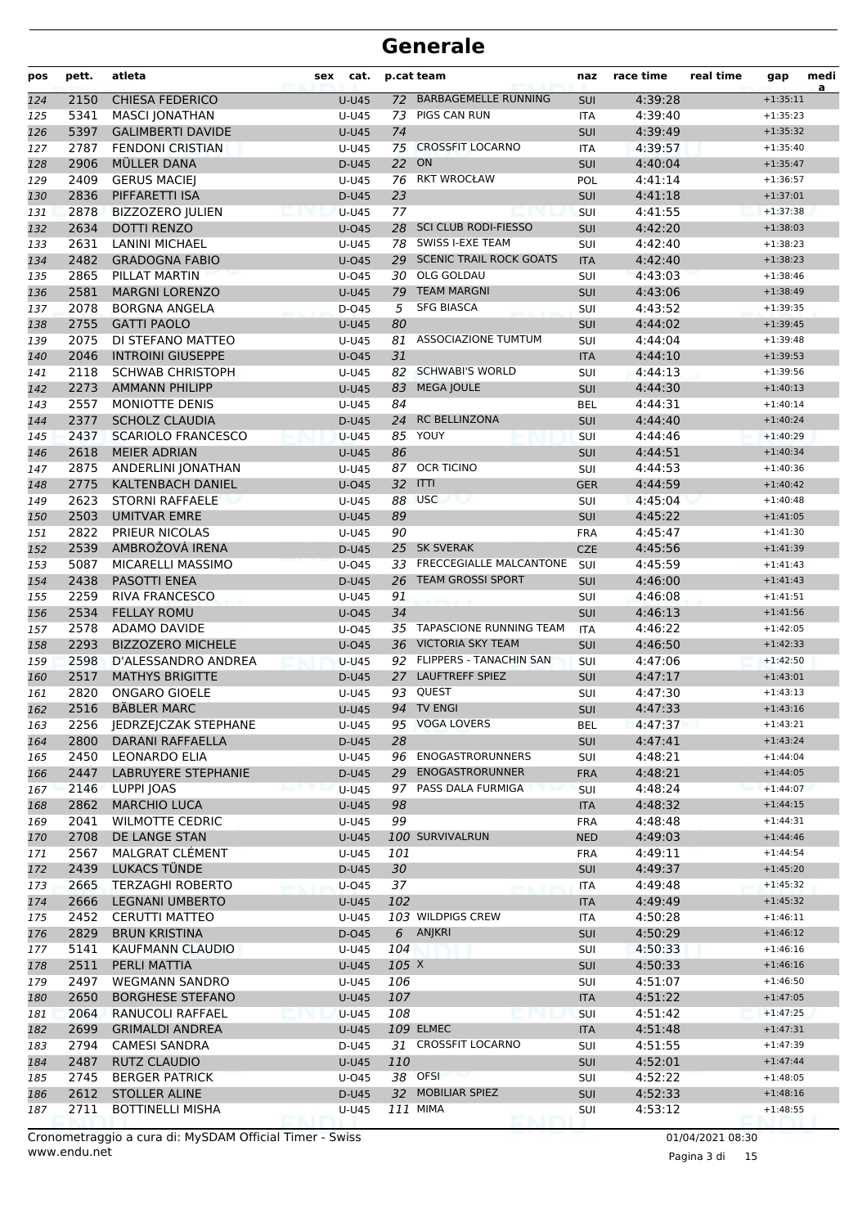| pos        | pett.        | atleta                            | cat.<br>sex       |                       | p.cat team                     | naz               | race time          | real time | gap                      | medi<br>a |
|------------|--------------|-----------------------------------|-------------------|-----------------------|--------------------------------|-------------------|--------------------|-----------|--------------------------|-----------|
| 124        | 2150         | <b>CHIESA FEDERICO</b>            | <b>U-U45</b>      | 72                    | <b>BARBAGEMELLE RUNNING</b>    | SUI               | 4:39:28            |           | $+1:35:11$               |           |
| 125        | 5341         | <b>MASCI JONATHAN</b>             | U-U45             | 73                    | <b>PIGS CAN RUN</b>            | <b>ITA</b>        | 4:39:40            |           | $+1:35:23$               |           |
| 126        | 5397         | <b>GALIMBERTI DAVIDE</b>          | $U-U45$           | 74                    |                                | <b>SUI</b>        | 4:39:49            |           | $+1:35:32$               |           |
| 127        | 2787         | <b>FENDONI CRISTIAN</b>           | U-U45             | 75                    | <b>CROSSFIT LOCARNO</b>        | <b>ITA</b>        | 4:39:57            |           | $+1:35:40$               |           |
| 128        | 2906         | MÜLLER DANA                       | D-U45             | 22                    | ON                             | SUI               | 4:40:04            |           | $+1:35:47$               |           |
| 129        | 2409         | <b>GERUS MACIEJ</b>               | U-U45             |                       | 76 RKT WROCŁAW                 | POL               | 4:41:14            |           | $+1:36:57$               |           |
| 130        | 2836         | PIFFARETTI ISA                    | D-U45             | 23                    |                                | <b>SUI</b>        | 4:41:18            |           | $+1:37:01$               |           |
| 131        | 2878         | <b>BIZZOZERO JULIEN</b>           | <b>U-U45</b>      | 77                    |                                | SUI               | 4:41:55            |           | $+1:37:38$               |           |
| 132        | 2634         | <b>DOTTI RENZO</b>                | $U$ -045          | 28                    | <b>SCI CLUB RODI-FIESSO</b>    | <b>SUI</b>        | 4:42:20            |           | $+1:38:03$               |           |
| 133        | 2631         | <b>LANINI MICHAEL</b>             | U-U45             | 78                    | SWISS I-EXE TEAM               | SUI               | 4:42:40            |           | $+1:38:23$               |           |
| 134        | 2482         | <b>GRADOGNA FABIO</b>             | $U$ -045          | 29                    | <b>SCENIC TRAIL ROCK GOATS</b> | <b>ITA</b>        | 4:42:40            |           | $+1:38:23$               |           |
| 135        | 2865         | PILLAT MARTIN                     | $U$ -045          |                       | 30 OLG GOLDAU                  | SUI               | 4:43:03            |           | $+1:38:46$               |           |
| 136        | 2581         | <b>MARGNI LORENZO</b>             | <b>U-U45</b>      | 79                    | <b>TEAM MARGNI</b>             | <b>SUI</b>        | 4:43:06            |           | $+1:38:49$               |           |
| 137        | 2078         | <b>BORGNA ANGELA</b>              | D-045             | 5                     | <b>SFG BIASCA</b>              | SUI               | 4:43:52            |           | $+1:39:35$               |           |
| 138        | 2755         | <b>GATTI PAOLO</b>                | $U-U45$           | 80                    |                                | <b>SUI</b>        | 4:44:02            |           | $+1:39:45$               |           |
| 139        | 2075         | DI STEFANO MATTEO                 | U-U45             | 81                    | ASSOCIAZIONE TUMTUM            | SUI               | 4:44:04            |           | $+1:39:48$               |           |
| 140        | 2046         | <b>INTROINI GIUSEPPE</b>          | $U$ -045          | 31                    |                                | <b>ITA</b>        | 4:44:10            |           | $+1:39:53$               |           |
| 141        | 2118         | <b>SCHWAB CHRISTOPH</b>           | U-U45             | 82                    | <b>SCHWABI'S WORLD</b>         | SUI               | 4:44:13            |           | $+1:39:56$               |           |
| 142        | 2273         | <b>AMMANN PHILIPP</b>             | <b>U-U45</b>      | 83                    | <b>MEGA JOULE</b>              | <b>SUI</b>        | 4:44:30            |           | $+1:40:13$               |           |
| 143        | 2557         | MONIOTTE DENIS                    | U-U45             | 84                    |                                | <b>BEL</b>        | 4:44:31            |           | $+1:40:14$               |           |
| 144        | 2377         | <b>SCHOLZ CLAUDIA</b>             | D-U45             | 24                    | <b>RC BELLINZONA</b>           | <b>SUI</b>        | 4:44:40            |           | $+1:40:24$               |           |
| 145        | 2437         | <b>SCARIOLO FRANCESCO</b>         | $U-U45$           | 85                    | YOUY                           | SUI               | 4:44:46            |           | $+1:40:29$               |           |
| 146        | 2618         | <b>MEIER ADRIAN</b>               | <b>U-U45</b>      | 86                    | <b>OCR TICINO</b>              | <b>SUI</b>        | 4:44:51            |           | $+1:40:34$               |           |
| 147        | 2875         | ANDERLINI JONATHAN                | U-U45             | 87<br>32 <sup>2</sup> | <b>ITTI</b>                    | SUI               | 4:44:53            |           | $+1:40:36$               |           |
| 148        | 2775         | KALTENBACH DANIEL                 | $U$ -045          |                       | 88 USC                         | <b>GER</b>        | 4:44:59            |           | $+1:40:42$               |           |
| 149        | 2623<br>2503 | <b>STORNI RAFFAELE</b>            | U-U45             | 89                    |                                | SUI               | 4:45:04<br>4:45:22 |           | $+1:40:48$               |           |
| 150        |              | <b>UMITVAR EMRE</b>               | $U-U45$           |                       |                                | <b>SUI</b>        |                    |           | $+1:41:05$<br>$+1:41:30$ |           |
| 151        | 2822<br>2539 | PRIEUR NICOLAS<br>AMBROŽOVÁ IRENA | U-U45             | 90<br>25 <sub>2</sub> | <b>SK SVERAK</b>               | <b>FRA</b>        | 4:45:47<br>4:45:56 |           |                          |           |
| 152        | 5087         | MICARELLI MASSIMO                 | D-U45<br>$U$ -045 | 33                    | FRECCEGIALLE MALCANTONE        | <b>CZE</b><br>SUI | 4:45:59            |           | $+1:41:39$<br>$+1:41:43$ |           |
| 153        | 2438         | PASOTTI ENEA                      | D-U45             | 26                    | <b>TEAM GROSSI SPORT</b>       | SUI               | 4:46:00            |           | $+1:41:43$               |           |
| 154        | 2259         | <b>RIVA FRANCESCO</b>             | U-U45             | 91                    |                                | SUI               | 4:46:08            |           | $+1:41:51$               |           |
| 155<br>156 | 2534         | <b>FELLAY ROMU</b>                | $U$ -045          | 34                    |                                | <b>SUI</b>        | 4:46:13            |           | $+1:41:56$               |           |
| 157        | 2578         | <b>ADAMO DAVIDE</b>               | $U$ -045          | 35                    | TAPASCIONE RUNNING TEAM        | <b>ITA</b>        | 4:46:22            |           | $+1:42:05$               |           |
| 158        | 2293         | <b>BIZZOZERO MICHELE</b>          | $U$ -045          | 36                    | <b>VICTORIA SKY TEAM</b>       | <b>SUI</b>        | 4:46:50            |           | $+1:42:33$               |           |
| 159        | 2598         | D'ALESSANDRO ANDREA               | <b>U-U45</b>      |                       | 92 FLIPPERS - TANACHIN SAN     | SUI               | 4:47:06            |           | $+1:42:50$               |           |
| 160        | 2517         | <b>MATHYS BRIGITTE</b>            | D-U45             | 27                    | <b>LAUFTREFF SPIEZ</b>         | <b>SUI</b>        | 4:47:17            |           | $+1:43:01$               |           |
| 161        | 2820         | <b>ONGARO GIOELE</b>              | U-U45             |                       | 93 QUEST                       | SUI               | 4:47:30            |           | $+1:43:13$               |           |
| 162        | 2516         | <b>BÄBLER MARC</b>                | $U-U45$           |                       | 94 TV ENGI                     | SUI               | 4:47:33            |           | $+1:43:16$               |           |
| 163        |              | 2256 JEDRZEJCZAK STEPHANE         | U-U45             |                       | 95 VOGA LOVERS                 | BEL               | 4:47:37            |           | $+1:43:21$               |           |
| 164        | 2800         | DARANI RAFFAELLA                  | D-U45             | 28                    |                                | <b>SUI</b>        | 4:47:41            |           | $+1:43:24$               |           |
| 165        | 2450         | <b>LEONARDO ELIA</b>              | U-U45             |                       | 96 ENOGASTRORUNNERS            | SUI               | 4:48:21            |           | $+1:44:04$               |           |
| 166        | 2447         | LABRUYERE STEPHANIE               | D-U45             |                       | 29 ENOGASTRORUNNER             | <b>FRA</b>        | 4:48:21            |           | $+1:44:05$               |           |
| 167        | 2146         | LUPPI JOAS                        | <b>U-U45</b>      |                       | 97 PASS DALA FURMIGA           | <b>SUI</b>        | 4:48:24            |           | $+1:44:07$               |           |
| 168        | 2862         | <b>MARCHIO LUCA</b>               | U-U45             | 98                    |                                | <b>ITA</b>        | 4:48:32            |           | $+1:44:15$               |           |
| 169        | 2041         | <b>WILMOTTE CEDRIC</b>            | $U-U45$           | 99                    |                                | <b>FRA</b>        | 4:48:48            |           | $+1:44:31$               |           |
| 170        | 2708         | DE LANGE STAN                     | U-U45             |                       | 100 SURVIVALRUN                | <b>NED</b>        | 4:49:03            |           | $+1:44:46$               |           |
| 171        | 2567         | MALGRAT CLÉMENT                   | U-U45             | 101                   |                                | <b>FRA</b>        | 4:49:11            |           | $+1:44:54$               |           |
| 172        | 2439         | LUKACS TÜNDE                      | D-U45             | 30                    |                                | SUI               | 4:49:37            |           | $+1:45:20$               |           |
| 173        | 2665         | <b>TERZAGHI ROBERTO</b>           | U-045             | 37                    |                                | <b>ITA</b>        | 4:49:48            |           | $+1:45:32$               |           |
| 174        | 2666         | <b>LEGNANI UMBERTO</b>            | <b>U-U45</b>      | 102                   |                                | <b>ITA</b>        | 4:49:49            |           | $+1:45:32$               |           |
| 175        | 2452         | <b>CERUTTI MATTEO</b>             | U-U45             |                       | 103 WILDPIGS CREW              | ITA               | 4:50:28            |           | $+1:46:11$               |           |
| 176        | 2829         | <b>BRUN KRISTINA</b>              | D-045             |                       | 6 ANJKRI                       | <b>SUI</b>        | 4:50:29            |           | $+1:46:12$               |           |
| 177        | 5141         | KAUFMANN CLAUDIO                  | U-U45             | 104                   |                                | SUI               | 4:50:33            |           | $+1:46:16$               |           |
| 178        | 2511         | PERLI MATTIA                      | U-U45             | 105 X                 |                                | <b>SUI</b>        | 4:50:33            |           | $+1:46:16$               |           |
| 179        | 2497         | <b>WEGMANN SANDRO</b>             | U-U45             | 106                   |                                | SUI               | 4:51:07            |           | $+1:46:50$               |           |
| 180        | 2650         | <b>BORGHESE STEFANO</b>           | <b>U-U45</b>      | 107                   |                                | <b>ITA</b>        | 4:51:22            |           | $+1:47:05$               |           |
| 181        | 2064         | RANUCOLI RAFFAEL                  | <b>U-U45</b>      | 108                   |                                | <b>SUI</b>        | 4:51:42            |           | $+1:47:25$               |           |
| 182        | 2699         | <b>GRIMALDI ANDREA</b>            | <b>U-U45</b>      |                       | <b>109 ELMEC</b>               | <b>ITA</b>        | 4:51:48            |           | $+1:47:31$               |           |
| 183        | 2794         | <b>CAMESI SANDRA</b>              | D-U45             |                       | 31 CROSSFIT LOCARNO            | SUI               | 4:51:55            |           | $+1:47:39$               |           |
| 184        | 2487         | <b>RUTZ CLAUDIO</b>               | U-U45             | 110                   |                                | <b>SUI</b>        | 4:52:01            |           | $+1:47:44$               |           |
| 185        | 2745         | <b>BERGER PATRICK</b>             | U-045             |                       | 38 OFSI                        | SUI               | 4:52:22            |           | $+1:48:05$               |           |
| 186        | 2612         | <b>STOLLER ALINE</b>              | D-U45             |                       | 32 MOBILIAR SPIEZ              | SUI               | 4:52:33            |           | $+1:48:16$               |           |
| 187        | 2711         | <b>BOTTINELLI MISHA</b>           | U-U45             |                       | 111 MIMA                       | SUI               | 4:53:12            |           | $+1:48:55$               |           |

www.endu.net Cronometraggio a cura di: MySDAM Official Timer - Swiss 01/04/2021 08:30

Pagina 3 di 15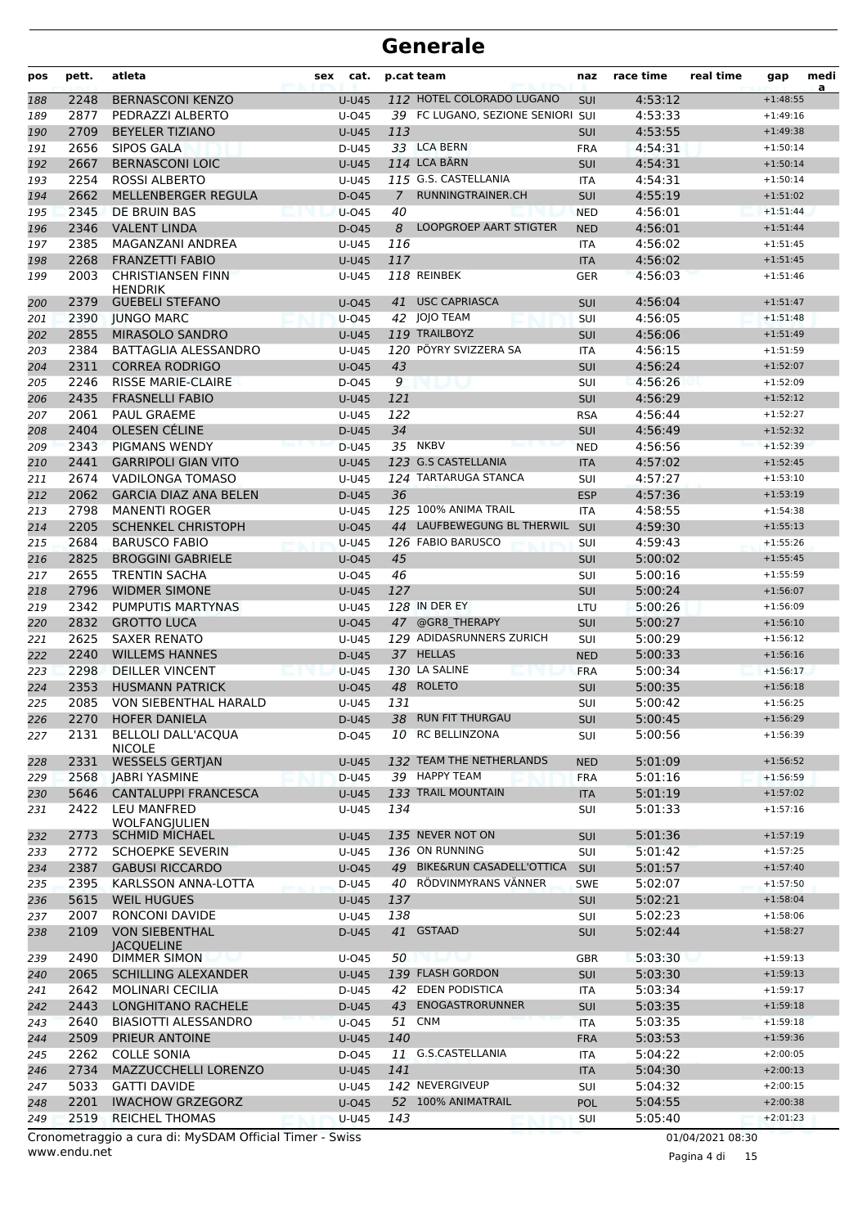| pos | pett. | atleta                                                  | sex | cat.         |             | p.cat team                        | naz        | race time          | real time        | gap                      | medi<br>a |
|-----|-------|---------------------------------------------------------|-----|--------------|-------------|-----------------------------------|------------|--------------------|------------------|--------------------------|-----------|
| 188 | 2248  | <b>BERNASCONI KENZO</b>                                 |     | <b>U-U45</b> |             | 112 HOTEL COLORADO LUGANO         | <b>SUI</b> | 4:53:12            |                  | $+1:48:55$               |           |
| 189 | 2877  | PEDRAZZI ALBERTO                                        |     | U-045        |             | 39 FC LUGANO, SEZIONE SENIORI SUI |            | 4:53:33            |                  | $+1:49:16$               |           |
| 190 | 2709  | <b>BEYELER TIZIANO</b>                                  |     | <b>U-U45</b> | 113         |                                   | <b>SUI</b> | 4:53:55            |                  | $+1:49:38$               |           |
| 191 | 2656  | <b>SIPOS GALA</b>                                       |     | D-U45        |             | 33 LCA BERN                       | <b>FRA</b> | 4:54:31            |                  | $+1:50:14$               |           |
| 192 | 2667  | <b>BERNASCONI LOIC</b>                                  |     | <b>U-U45</b> |             | <b>114 LCA BÄRN</b>               | <b>SUI</b> | 4:54:31            |                  | $+1:50:14$               |           |
| 193 | 2254  | <b>ROSSI ALBERTO</b>                                    |     | U-U45        |             | 115 G.S. CASTELLANIA              | <b>ITA</b> | 4:54:31            |                  | $+1:50:14$               |           |
| 194 | 2662  | MELLENBERGER REGULA                                     |     | D-045        | $7^{\circ}$ | RUNNINGTRAINER.CH                 | SUI        | 4:55:19            |                  | $+1:51:02$               |           |
| 195 | 2345  | <b>DE BRUIN BAS</b>                                     |     | $U$ -045     | 40          |                                   | <b>NED</b> | 4:56:01            |                  | $+1:51:44$               |           |
| 196 | 2346  | <b>VALENT LINDA</b>                                     |     | D-045        | 8           | <b>LOOPGROEP AART STIGTER</b>     | <b>NED</b> | 4:56:01            |                  | $+1:51:44$               |           |
| 197 | 2385  | MAGANZANI ANDREA                                        |     | U-U45        | 116         |                                   | <b>ITA</b> | 4:56:02            |                  | $+1:51:45$               |           |
| 198 | 2268  | <b>FRANZETTI FABIO</b>                                  |     | <b>U-U45</b> | 117         |                                   | <b>ITA</b> | 4:56:02            |                  | $+1:51:45$               |           |
| 199 | 2003  | <b>CHRISTIANSEN FINN</b><br><b>HENDRIK</b>              |     | U-U45        |             | 118 REINBEK                       | <b>GER</b> | 4:56:03            |                  | $+1:51:46$               |           |
| 200 | 2379  | <b>GUEBELI STEFANO</b>                                  |     | $U$ -045     |             | 41 USC CAPRIASCA                  | <b>SUI</b> | 4:56:04            |                  | $+1:51:47$               |           |
| 201 | 2390  | <b>JUNGO MARC</b>                                       |     | $U$ -045     |             | 42 JOJO TEAM                      | SUI        | 4:56:05            |                  | $+1:51:48$               |           |
| 202 | 2855  | <b>MIRASOLO SANDRO</b>                                  |     | <b>U-U45</b> |             | 119 TRAILBOYZ                     | <b>SUI</b> | 4:56:06            |                  | $+1:51:49$               |           |
| 203 | 2384  | <b>BATTAGLIA ALESSANDRO</b>                             |     | U-U45        |             | 120 PÖYRY SVIZZERA SA             | <b>ITA</b> | 4:56:15            |                  | $+1:51:59$               |           |
| 204 | 2311  | <b>CORREA RODRIGO</b>                                   |     | U-045        | 43          |                                   | <b>SUI</b> | 4:56:24            |                  | $+1:52:07$               |           |
| 205 | 2246  | <b>RISSE MARIE-CLAIRE</b>                               |     | D-045        | 9           |                                   | SUI        | 4:56:26            |                  | $+1:52:09$               |           |
| 206 | 2435  | <b>FRASNELLI FABIO</b>                                  |     | <b>U-U45</b> | 121         |                                   | <b>SUI</b> | 4:56:29            |                  | $+1:52:12$               |           |
| 207 | 2061  | PAUL GRAEME                                             |     | U-U45        | 122         |                                   | <b>RSA</b> | 4:56:44            |                  | $+1:52:27$               |           |
| 208 | 2404  | OLESEN CÉLINE                                           |     | D-U45        | 34          |                                   | <b>SUI</b> | 4:56:49            |                  | $+1:52:32$               |           |
| 209 | 2343  | <b>PIGMANS WENDY</b>                                    |     | D-U45        |             | 35 NKBV                           | <b>NED</b> | 4:56:56            |                  | $+1:52:39$               |           |
| 210 | 2441  | <b>GARRIPOLI GIAN VITO</b>                              |     | <b>U-U45</b> |             | 123 G.S CASTELLANIA               | <b>ITA</b> | 4:57:02            |                  | $+1:52:45$               |           |
| 211 | 2674  | VADILONGA TOMASO                                        |     | U-U45        |             | 124 TARTARUGA STANCA              | <b>SUI</b> | 4:57:27            |                  | $+1:53:10$               |           |
| 212 | 2062  | <b>GARCIA DIAZ ANA BELEN</b>                            |     | D-U45        | 36          |                                   | <b>ESP</b> | 4:57:36            |                  | $+1:53:19$               |           |
| 213 | 2798  | <b>MANENTI ROGER</b>                                    |     | U-U45        |             | 125 100% ANIMA TRAIL              | <b>ITA</b> | 4:58:55            |                  | $+1:54:38$               |           |
| 214 | 2205  | <b>SCHENKEL CHRISTOPH</b>                               |     | $U$ -045     |             | 44 LAUFBEWEGUNG BL THERWIL SUI    |            | 4:59:30            |                  | $+1:55:13$               |           |
| 215 | 2684  | <b>BARUSCO FABIO</b>                                    |     | <b>U-U45</b> |             | 126 FABIO BARUSCO                 | <b>SUI</b> | 4:59:43            |                  | $+1:55:26$               |           |
| 216 | 2825  | <b>BROGGINI GABRIELE</b>                                |     | U-045        | 45          |                                   | <b>SUI</b> | 5:00:02            |                  | $+1:55:45$               |           |
| 217 | 2655  | <b>TRENTIN SACHA</b>                                    |     | U-045        | 46          |                                   | <b>SUI</b> | 5:00:16            |                  | $+1:55:59$               |           |
| 218 | 2796  | <b>WIDMER SIMONE</b>                                    |     | $U-U45$      | 127         |                                   | SUI        | 5:00:24            |                  | $+1:56:07$               |           |
| 219 | 2342  | PUMPUTIS MARTYNAS                                       |     | U-U45        |             | 128 IN DER EY                     | LTU        | 5:00:26            |                  | $+1:56:09$               |           |
| 220 | 2832  | <b>GROTTO LUCA</b>                                      |     | U-045        |             | 47 @GR8 THERAPY                   | <b>SUI</b> | 5:00:27            |                  | $+1:56:10$               |           |
| 221 | 2625  | <b>SAXER RENATO</b>                                     |     | U-U45        |             | 129 ADIDASRUNNERS ZURICH          | SUI        | 5:00:29            |                  | $+1:56:12$               |           |
| 222 | 2240  | <b>WILLEMS HANNES</b>                                   |     | D-U45        |             | 37 HELLAS                         | <b>NED</b> | 5:00:33            |                  | $+1:56:16$               |           |
| 223 | 2298  | <b>DEILLER VINCENT</b>                                  |     | <b>U-U45</b> |             | 130 LA SALINE                     | <b>FRA</b> | 5:00:34            |                  | $+1:56:17$               |           |
| 224 | 2353  | <b>HUSMANN PATRICK</b>                                  |     | U-045        |             | 48 ROLETO                         | SUI        | 5:00:35            |                  | $+1:56:18$               |           |
| 225 | 2085  | VON SIEBENTHAL HARALD<br>2270 HOFER DANIELA             |     | U-U45        | 131         | 38 RUN FIT THURGAU                | <b>SUI</b> | 5:00:42<br>5:00:45 |                  | $+1:56:25$<br>$+1:56:29$ |           |
| 226 |       | <b>BELLOLI DALL'ACQUA</b>                               |     | D-U45        |             | 10 RC BELLINZONA                  | SUI        |                    |                  | $+1:56:39$               |           |
| 227 | 2131  | <b>NICOLE</b>                                           |     | D-045        |             |                                   | SUI        | 5:00:56            |                  |                          |           |
| 228 | 2331  | <b>WESSELS GERTJAN</b>                                  |     | <b>U-U45</b> |             | 132 TEAM THE NETHERLANDS          | <b>NED</b> | 5:01:09            |                  | $+1:56:52$               |           |
| 229 | 2568  | <b>JABRI YASMINE</b>                                    |     | D-U45        |             | 39 HAPPY TEAM                     | <b>FRA</b> | 5:01:16            |                  | $+1:56:59$               |           |
| 230 | 5646  | <b>CANTALUPPI FRANCESCA</b>                             |     | U-U45        |             | 133 TRAIL MOUNTAIN                | <b>ITA</b> | 5:01:19            |                  | $+1:57:02$               |           |
| 231 | 2422  | LEU MANFRED<br><b>WOLFANGIULIEN</b>                     |     | U-U45        | 134         |                                   | SUI        | 5:01:33            |                  | $+1:57:16$               |           |
| 232 | 2773  | <b>SCHMID MICHAEL</b>                                   |     | <b>U-U45</b> |             | 135 NEVER NOT ON                  | <b>SUI</b> | 5:01:36            |                  | $+1:57:19$               |           |
| 233 | 2772  | <b>SCHOEPKE SEVERIN</b>                                 |     | U-U45        |             | 136 ON RUNNING                    | SUI        | 5:01:42            |                  | $+1:57:25$               |           |
| 234 | 2387  | <b>GABUSI RICCARDO</b>                                  |     | $U$ -045     |             | 49 BIKE&RUN CASADELL'OTTICA       | SUI        | 5:01:57            |                  | $+1:57:40$               |           |
| 235 | 2395  | KARLSSON ANNA-LOTTA                                     |     | D-U45        |             | 40 RÖDVINMYRANS VÄNNER            | <b>SWE</b> | 5:02:07            |                  | $+1:57:50$               |           |
| 236 | 5615  | <b>WEIL HUGUES</b>                                      |     | <b>U-U45</b> | 137         |                                   | <b>SUI</b> | 5:02:21            |                  | $+1:58:04$               |           |
| 237 | 2007  | RONCONI DAVIDE                                          |     | U-U45        | 138         |                                   | SUI        | 5:02:23            |                  | $+1:58:06$               |           |
| 238 | 2109  | <b>VON SIEBENTHAL</b>                                   |     | D-U45        |             | 41 GSTAAD                         | <b>SUI</b> | 5:02:44            |                  | $+1:58:27$               |           |
| 239 | 2490  | <b>IACQUELINE</b><br><b>DIMMER SIMON</b>                |     | U-045        | 50          |                                   | <b>GBR</b> | 5:03:30            |                  | $+1:59:13$               |           |
| 240 | 2065  | <b>SCHILLING ALEXANDER</b>                              |     | <b>U-U45</b> |             | 139 FLASH GORDON                  | <b>SUI</b> | 5:03:30            |                  | $+1:59:13$               |           |
| 241 | 2642  | <b>MOLINARI CECILIA</b>                                 |     | D-U45        |             | 42 EDEN PODISTICA                 | <b>ITA</b> | 5:03:34            |                  | $+1:59:17$               |           |
| 242 | 2443  | LONGHITANO RACHELE                                      |     | D-U45        |             | 43 ENOGASTRORUNNER                | <b>SUI</b> | 5:03:35            |                  | $+1:59:18$               |           |
| 243 | 2640  | <b>BIASIOTTI ALESSANDRO</b>                             |     | $U$ -045     | 51          | <b>CNM</b>                        | <b>ITA</b> | 5:03:35            |                  | $+1:59:18$               |           |
| 244 | 2509  | PRIEUR ANTOINE                                          |     | <b>U-U45</b> | 140         |                                   | <b>FRA</b> | 5:03:53            |                  | $+1:59:36$               |           |
| 245 | 2262  | <b>COLLE SONIA</b>                                      |     | D-045        |             | 11 G.S.CASTELLANIA                | <b>ITA</b> | 5:04:22            |                  | $+2:00:05$               |           |
| 246 | 2734  | MAZZUCCHELLI LORENZO                                    |     | U-U45        | 141         |                                   | <b>ITA</b> | 5:04:30            |                  | $+2:00:13$               |           |
| 247 | 5033  | <b>GATTI DAVIDE</b>                                     |     | U-U45        |             | 142 NEVERGIVEUP                   | SUI        | 5:04:32            |                  | $+2:00:15$               |           |
| 248 | 2201  | <b>IWACHOW GRZEGORZ</b>                                 |     | $U$ -045     |             | 52 100% ANIMATRAIL                | POL        | 5:04:55            |                  | $+2:00:38$               |           |
| 249 | 2519  | <b>REICHEL THOMAS</b>                                   |     | <b>U-U45</b> | 143         |                                   | <b>SUI</b> | 5:05:40            |                  | $+2:01:23$               |           |
|     |       | Cronometraggio a cura di: MySDAM Official Timer - Swiss |     |              |             |                                   |            |                    | 01/04/2021 08:30 |                          |           |

www.endu.net

Pagina 4 di 15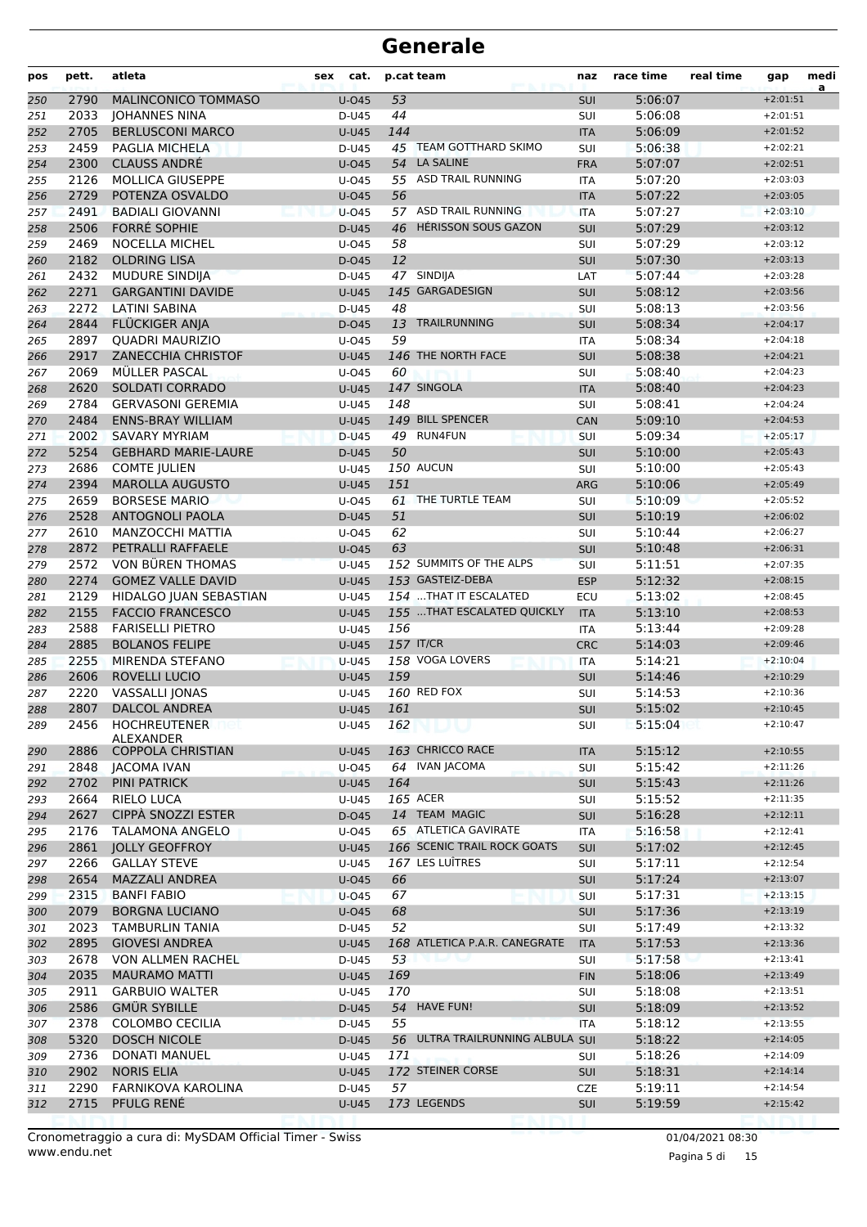| pos        | pett.        | atleta                                              | sex<br>cat.              |          | p.cat team                    | naz               | race time          | real time | gap                      | medi<br>a |
|------------|--------------|-----------------------------------------------------|--------------------------|----------|-------------------------------|-------------------|--------------------|-----------|--------------------------|-----------|
| 250        | 2790         | MALINCONICO TOMMASO                                 | $U$ -045                 | 53       |                               | SUI               | 5:06:07            |           | $+2:01:51$               |           |
| 251        | 2033         | <b>JOHANNES NINA</b>                                | D-U45                    | 44       |                               | SUI               | 5:06:08            |           | $+2:01:51$               |           |
| 252        | 2705         | <b>BERLUSCONI MARCO</b>                             | <b>U-U45</b>             | 144      |                               | <b>ITA</b>        | 5:06:09            |           | $+2:01:52$               |           |
| 253        | 2459         | PAGLIA MICHELA                                      | D-U45                    |          | 45 TEAM GOTTHARD SKIMO        | SUI               | 5:06:38            |           | $+2:02:21$               |           |
| 254        | 2300         | <b>CLAUSS ANDRÉ</b>                                 | $U$ -045                 | 54       | <b>LA SALINE</b>              | <b>FRA</b>        | 5:07:07            |           | $+2:02:51$               |           |
| 255        | 2126         | <b>MOLLICA GIUSEPPE</b>                             | U-045                    |          | 55 ASD TRAIL RUNNING          | <b>ITA</b>        | 5:07:20            |           | $+2:03:03$               |           |
| 256        | 2729         | POTENZA OSVALDO                                     | $U$ -045                 | 56       |                               | <b>ITA</b>        | 5:07:22            |           | $+2:03:05$               |           |
| 257        | 2491         | <b>BADIALI GIOVANNI</b>                             | $U$ -045                 |          | 57 ASD TRAIL RUNNING          | <b>ITA</b>        | 5:07:27            |           | $+2:03:10$               |           |
| 258        | 2506         | <b>FORRÉ SOPHIE</b>                                 | D-U45                    | 46       | <b>HERISSON SOUS GAZON</b>    | SUI               | 5:07:29            |           | $+2:03:12$               |           |
| 259        | 2469         | <b>NOCELLA MICHEL</b>                               | U-045                    | 58       |                               | SUI               | 5:07:29            |           | $+2:03:12$               |           |
| 260        | 2182         | <b>OLDRING LISA</b>                                 | D-045                    | 12       |                               | SUI               | 5:07:30            |           | $+2:03:13$               |           |
| 261        | 2432         | <b>MUDURE SINDIJA</b>                               | D-U45                    |          | 47 SINDIJA                    | LAT               | 5:07:44            |           | $+2:03:28$               |           |
| 262        | 2271<br>2272 | <b>GARGANTINI DAVIDE</b>                            | <b>U-U45</b>             |          | 145 GARGADESIGN               | <b>SUI</b>        | 5:08:12            |           | $+2:03:56$               |           |
| 263        |              | <b>LATINI SABINA</b>                                | D-U45                    | 48       |                               | SUI               | 5:08:13            |           | $+2:03:56$               |           |
| 264        | 2844         | FLÜCKIGER ANJA                                      | $D-045$                  | 13<br>59 | TRAILRUNNING                  | <b>SUI</b>        | 5:08:34            |           | $+2:04:17$<br>$+2:04:18$ |           |
| 265        | 2897<br>2917 | <b>QUADRI MAURIZIO</b><br><b>ZANECCHIA CHRISTOF</b> | $U$ -045                 |          | 146 THE NORTH FACE            | <b>ITA</b><br>SUI | 5:08:34            |           | $+2:04:21$               |           |
| 266        | 2069         | <b>MULLER PASCAL</b>                                | <b>U-U45</b><br>$U$ -045 | 60       |                               | SUI               | 5:08:38<br>5:08:40 |           | $+2:04:23$               |           |
| 267<br>268 | 2620         | <b>SOLDATI CORRADO</b>                              | <b>U-U45</b>             |          | 147 SINGOLA                   | <b>ITA</b>        | 5:08:40            |           | $+2:04:23$               |           |
| 269        | 2784         | <b>GERVASONI GEREMIA</b>                            | U-U45                    | 148      |                               | SUI               | 5:08:41            |           | $+2:04:24$               |           |
| 270        | 2484         | <b>ENNS-BRAY WILLIAM</b>                            | $U-U45$                  |          | 149 BILL SPENCER              | <b>CAN</b>        | 5:09:10            |           | $+2:04:53$               |           |
| 271        | 2002         | <b>SAVARY MYRIAM</b>                                | D-U45                    |          | 49 RUN4FUN                    | SUI               | 5:09:34            |           | $+2:05:17$               |           |
| 272        | 5254         | <b>GEBHARD MARIE-LAURE</b>                          | D-U45                    | 50       |                               | SUI               | 5:10:00            |           | $+2:05:43$               |           |
| 273        | 2686         | <b>COMTE JULIEN</b>                                 | U-U45                    |          | 150 AUCUN                     | SUI               | 5:10:00            |           | $+2:05:43$               |           |
| 274        | 2394         | <b>MAROLLA AUGUSTO</b>                              | <b>U-U45</b>             | 151      |                               | <b>ARG</b>        | 5:10:06            |           | $+2:05:49$               |           |
| 275        | 2659         | <b>BORSESE MARIO</b>                                | $U$ -045                 |          | 61 THE TURTLE TEAM            | SUI               | 5:10:09            |           | $+2:05:52$               |           |
| 276        | 2528         | <b>ANTOGNOLI PAOLA</b>                              | D-U45                    | 51       |                               | <b>SUI</b>        | 5:10:19            |           | $+2:06:02$               |           |
| 277        | 2610         | MANZOCCHI MATTIA                                    | $U$ -045                 | 62       |                               | SUI               | 5:10:44            |           | $+2:06:27$               |           |
| 278        | 2872         | PETRALLI RAFFAELE                                   | $U$ -045                 | 63       |                               | SUI               | 5:10:48            |           | $+2:06:31$               |           |
| 279        | 2572         | VON BÜREN THOMAS                                    | $U-U45$                  |          | 152 SUMMITS OF THE ALPS       | SUI               | 5:11:51            |           | $+2:07:35$               |           |
| 280        | 2274         | <b>GOMEZ VALLE DAVID</b>                            | <b>U-U45</b>             |          | 153 GASTEIZ-DEBA              | <b>ESP</b>        | 5:12:32            |           | $+2:08:15$               |           |
| 281        | 2129         | HIDALGO JUAN SEBASTIAN                              | U-U45                    |          | 154  THAT IT ESCALATED        | ECU               | 5:13:02            |           | $+2:08:45$               |           |
| 282        | 2155         | <b>FACCIO FRANCESCO</b>                             | $U-U45$                  |          | 155  THAT ESCALATED QUICKLY   | <b>ITA</b>        | 5:13:10            |           | $+2:08:53$               |           |
| 283        | 2588         | <b>FARISELLI PIETRO</b>                             | $U-U45$                  | 156      |                               | <b>ITA</b>        | 5:13:44            |           | $+2:09:28$               |           |
| 284        | 2885         | <b>BOLANOS FELIPE</b>                               | <b>U-U45</b>             |          | <b>157 IT/CR</b>              | <b>CRC</b>        | 5:14:03            |           | $+2:09:46$               |           |
| 285        | 2255         | MIRENDA STEFANO                                     | <b>U-U45</b>             |          | 158 VOGA LOVERS               | <b>ITA</b>        | 5:14:21            |           | $+2:10:04$               |           |
| 286        | 2606         | ROVELLI LUCIO                                       | <b>U-U45</b>             | 159      |                               | <b>SUI</b>        | 5:14:46            |           | $+2:10:29$               |           |
| 287        | 2220         | VASSALLI JONAS                                      | U-U45                    |          | <b>160 RED FOX</b>            | SUI               | 5:14:53            |           | $+2:10:36$               |           |
| 288        | 2807         | <b>DALCOL ANDREA</b>                                | $U-U45$                  | 161      |                               | SUI               | 5:15:02            |           | $+2:10:45$               |           |
| 289        | 2456         | HOCHREUTENER<br>net                                 | U-U45                    | 162      |                               | SUI               | 5:15:04            | Эτ        | $+2:10:47$               |           |
| 290        | 2886         | ALEXANDER<br><b>COPPOLA CHRISTIAN</b>               | <b>U-U45</b>             |          | 163 CHRICCO RACE              | <b>ITA</b>        | 5:15:12            |           | $+2:10:55$               |           |
| 291        | 2848         | JACOMA IVAN                                         | U-045                    |          | 64 IVAN JACOMA                | SUI               | 5:15:42            |           | $+2:11:26$               |           |
| 292        | 2702         | PINI PATRICK                                        | <b>U-U45</b>             | 164      |                               | <b>SUI</b>        | 5:15:43            |           | $+2:11:26$               |           |
| 293        | 2664         | RIELO LUCA                                          | U-U45                    |          | 165 ACER                      | SUI               | 5:15:52            |           | $+2:11:35$               |           |
| 294        | 2627         | CIPPÀ SNOZZI ESTER                                  | D-045                    |          | 14 TEAM MAGIC                 | <b>SUI</b>        | 5:16:28            |           | $+2:12:11$               |           |
| 295        | 2176         | TALAMONA ANGELO                                     | U-045                    |          | 65 ATLETICA GAVIRATE          | <b>ITA</b>        | 5:16:58            |           | $+2:12:41$               |           |
| 296        | 2861         | <b>JOLLY GEOFFROY</b>                               | <b>U-U45</b>             |          | 166 SCENIC TRAIL ROCK GOATS   | <b>SUI</b>        | 5:17:02            |           | $+2:12:45$               |           |
| 297        | 2266         | <b>GALLAY STEVE</b>                                 | U-U45                    |          | 167 LES LUÎTRES               | SUI               | 5:17:11            |           | $+2:12:54$               |           |
| 298        | 2654         | <b>MAZZALI ANDREA</b>                               | $U$ -045                 | 66       |                               | <b>SUI</b>        | 5:17:24            |           | $+2:13:07$               |           |
| 299        | 2315         | <b>BANFI FABIO</b>                                  | U-045                    | 67       |                               | <b>SUI</b>        | 5:17:31            |           | $+2:13:15$               |           |
| 300        | 2079         | <b>BORGNA LUCIANO</b>                               | U-045                    | 68       |                               | <b>SUI</b>        | 5:17:36            |           | $+2:13:19$               |           |
| 301        | 2023         | TAMBURLIN TANIA                                     | D-U45                    | 52       |                               | SUI               | 5:17:49            |           | $+2:13:32$               |           |
| 302        | 2895         | <b>GIOVESI ANDREA</b>                               | <b>U-U45</b>             |          | 168 ATLETICA P.A.R. CANEGRATE | <b>ITA</b>        | 5:17:53            |           | $+2:13:36$               |           |
| 303        | 2678         | VON ALLMEN RACHEL                                   | D-U45                    | 53       |                               | SUI               | 5:17:58            |           | $+2:13:41$               |           |
| 304        | 2035         | <b>MAURAMO MATTI</b>                                | <b>U-U45</b>             | 169      |                               | <b>FIN</b>        | 5:18:06            |           | $+2:13:49$               |           |
| 305        | 2911         | <b>GARBUIO WALTER</b>                               | U-U45                    | 170      |                               | <b>SUI</b>        | 5:18:08            |           | $+2:13:51$               |           |
| 306        | 2586         | <b>GMÜR SYBILLE</b>                                 | D-U45                    |          | 54 HAVE FUN!                  | SUI               | 5:18:09            |           | $+2:13:52$               |           |
| 307        | 2378         | <b>COLOMBO CECILIA</b>                              | D-U45                    | 55       |                               | <b>ITA</b>        | 5:18:12            |           | $+2:13:55$               |           |
| 308        | 5320         | <b>DOSCH NICOLE</b>                                 | D-U45                    | 56       | ULTRA TRAILRUNNING ALBULA SUI |                   | 5:18:22            |           | $+2:14:05$               |           |
| 309        | 2736         | DONATI MANUEL                                       | U-U45                    | 171      |                               | SUI               | 5:18:26            |           | $+2:14:09$               |           |
| 310        | 2902         | <b>NORIS ELIA</b>                                   | <b>U-U45</b>             |          | 172 STEINER CORSE             | <b>SUI</b>        | 5:18:31            |           | $+2:14:14$               |           |
| 311        | 2290         | FARNIKOVA KAROLINA                                  | D-U45                    | 57       |                               | <b>CZE</b>        | 5:19:11            |           | $+2:14:54$               |           |
| 312        | 2715         | PFULG RENÉ                                          | <b>U-U45</b>             |          | 173 LEGENDS                   | SUI               | 5:19:59            |           | $+2:15:42$               |           |
|            |              |                                                     |                          |          |                               |                   |                    |           |                          |           |

www.endu.net Cronometraggio a cura di: MySDAM Official Timer - Swiss 01/04/2021 08:30

Pagina 5 di 15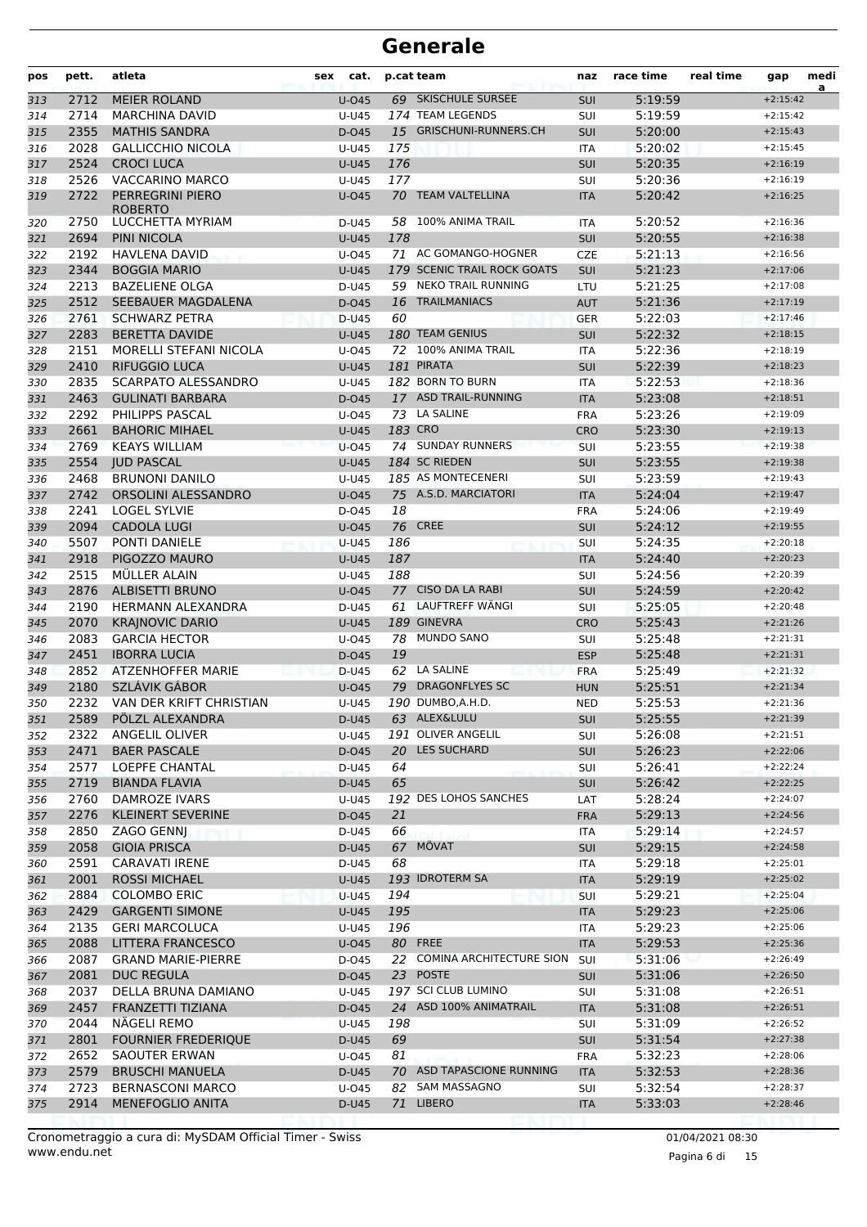| pos        | pett.        | atleta                                       | cat.<br>sex    |          | p.cat team                        | naz               | race time          | real time | gap                      | medi<br>a |
|------------|--------------|----------------------------------------------|----------------|----------|-----------------------------------|-------------------|--------------------|-----------|--------------------------|-----------|
| 313        | 2712         | <b>MEIER ROLAND</b>                          | $U$ -045       |          | 69 SKISCHULE SURSEE               | <b>SUI</b>        | 5:19:59            |           | $+2:15:42$               |           |
| 314        | 2714         | <b>MARCHINA DAVID</b>                        | U-U45          |          | 174 TEAM LEGENDS                  | <b>SUI</b>        | 5:19:59            |           | $+2:15:42$               |           |
| 315        | 2355         | <b>MATHIS SANDRA</b>                         | D-045          |          | 15 GRISCHUNI-RUNNERS.CH           | <b>SUI</b>        | 5:20:00            |           | $+2:15:43$               |           |
| 316        | 2028         | <b>GALLICCHIO NICOLA</b>                     | U-U45          | 175      |                                   | <b>ITA</b>        | 5:20:02            |           | $+2:15:45$               |           |
| 317        | 2524         | <b>CROCI LUCA</b>                            | <b>U-U45</b>   | 176      |                                   | <b>SUI</b>        | 5:20:35            |           | $+2:16:19$               |           |
| 318        | 2526         | <b>VACCARINO MARCO</b>                       | U-U45          | 177      |                                   | SUI               | 5:20:36            |           | $+2:16:19$               |           |
| 319        | 2722         | <b>PERREGRINI PIERO</b><br><b>ROBERTO</b>    | $U$ -045       |          | 70 TEAM VALTELLINA                | <b>ITA</b>        | 5:20:42            |           | $+2:16:25$               |           |
| 320        | 2750         | LUCCHETTA MYRIAM                             | D-U45          |          | 58 100% ANIMA TRAIL               | ITA               | 5:20:52            |           | $+2:16:36$               |           |
| 321        | 2694         | PINI NICOLA                                  | <b>U-U45</b>   | 178      |                                   | <b>SUI</b>        | 5:20:55            |           | $+2:16:38$               |           |
| 322        | 2192         | <b>HAVLENA DAVID</b>                         | $U$ -045       |          | 71 AC GOMANGO-HOGNER              | <b>CZE</b>        | 5:21:13            |           | $+2:16:56$               |           |
| 323        | 2344         | <b>BOGGIA MARIO</b>                          | <b>U-U45</b>   |          | 179 SCENIC TRAIL ROCK GOATS       | <b>SUI</b>        | 5:21:23            |           | $+2:17:06$               |           |
| 324        | 2213         | <b>BAZELIENE OLGA</b>                        | D-U45          |          | 59 NEKO TRAIL RUNNING             | LTU               | 5:21:25            |           | $+2:17:08$               |           |
| 325        | 2512         | SEEBAUER MAGDALENA                           | D-045          |          | 16 TRAILMANIACS                   | <b>AUT</b>        | 5:21:36            |           | $+2:17:19$               |           |
| 326        | 2761         | <b>SCHWARZ PETRA</b>                         | D-U45          | 60       |                                   | <b>GER</b>        | 5:22:03            |           | $+2:17:46$               |           |
| 327        | 2283         | <b>BERETTA DAVIDE</b>                        | $U-U45$        |          | 180 TEAM GENIUS                   | <b>SUI</b>        | 5:22:32            |           | $+2:18:15$               |           |
| 328        | 2151         | MORELLI STEFANI NICOLA                       | $U$ -045       |          | 72 100% ANIMA TRAIL               | <b>ITA</b>        | 5:22:36            |           | $+2:18:19$               |           |
| 329        | 2410         | <b>RIFUGGIO LUCA</b>                         | <b>U-U45</b>   |          | 181 PIRATA                        | <b>SUI</b>        | 5:22:39            |           | $+2:18:23$               |           |
| 330        | 2835         | SCARPATO ALESSANDRO                          | U-U45          |          | 182 BORN TO BURN                  | <b>ITA</b>        | 5:22:53            |           | $+2:18:36$               |           |
| 331        | 2463         | <b>GULINATI BARBARA</b>                      | D-045          |          | 17 ASD TRAIL-RUNNING              | <b>ITA</b>        | 5:23:08            |           | $+2:18:51$               |           |
| 332        | 2292         | PHILIPPS PASCAL                              | $U$ -045       |          | 73 LA SALINE                      | <b>FRA</b>        | 5:23:26            |           | $+2:19:09$               |           |
| 333        | 2661         | <b>BAHORIC MIHAEL</b>                        | <b>U-U45</b>   |          | 183 CRO                           | <b>CRO</b>        | 5:23:30            |           | $+2:19:13$               |           |
| 334        | 2769         | <b>KEAYS WILLIAM</b>                         | $U$ -045       |          | 74 SUNDAY RUNNERS                 | SUI               | 5:23:55            |           | $+2:19:38$               |           |
| 335        | 2554         | <b>IUD PASCAL</b>                            | <b>U-U45</b>   |          | 184 SC RIEDEN                     | <b>SUI</b>        | 5:23:55            |           | $+2:19:38$               |           |
| 336        | 2468         | <b>BRUNONI DANILO</b>                        | U-U45          |          | 185 AS MONTECENERI                | SUI               | 5:23:59            |           | $+2:19:43$               |           |
| 337        | 2742         | <b>ORSOLINI ALESSANDRO</b>                   | $U$ -045       |          | 75 A.S.D. MARCIATORI              | <b>ITA</b>        | 5:24:04            |           | $+2:19:47$               |           |
| 338        | 2241         | <b>LOGEL SYLVIE</b>                          | D-045          | 18       |                                   | <b>FRA</b>        | 5:24:06            |           | $+2:19:49$               |           |
| 339        | 2094         | <b>CADOLA LUGI</b>                           | $U$ -045       |          | <b>76 CREE</b>                    | <b>SUI</b>        | 5:24:12            |           | $+2:19:55$               |           |
| 340        | 5507         | PONTI DANIELE                                | U-U45          | 186      |                                   | SUI               | 5:24:35            |           | $+2:20:18$               |           |
| 341        | 2918         | PIGOZZO MAURO                                | <b>U-U45</b>   | 187      |                                   | <b>ITA</b>        | 5:24:40            |           | $+2:20:23$               |           |
| 342        | 2515         | <b>MULLER ALAIN</b>                          | U-U45          | 188      |                                   | SUI               | 5:24:56            |           | $+2:20:39$               |           |
| 343        | 2876         | <b>ALBISETTI BRUNO</b>                       | $U$ -045       |          | 77 CISO DA LA RABI                | SUI               | 5:24:59            |           | $+2:20:42$               |           |
| 344        | 2190         | HERMANN ALEXANDRA                            | D-U45          |          | 61 LAUFTREFF WÄNGI                | SUI               | 5:25:05            |           | $+2:20:48$               |           |
| 345        | 2070         | <b>KRAJNOVIC DARIO</b>                       | $U-U45$        |          | 189 GINEVRA                       | <b>CRO</b>        | 5:25:43            |           | $+2:21:26$               |           |
| 346        | 2083         | <b>GARCIA HECTOR</b>                         | U-045          |          | 78 MUNDO SANO                     | <b>SUI</b>        | 5:25:48            |           | $+2:21:31$               |           |
| 347        | 2451         | <b>IBORRA LUCIA</b>                          | D-045          | 19       |                                   | <b>ESP</b>        | 5:25:48            |           | $+2:21:31$               |           |
| 348        | 2852         | <b>ATZENHOFFER MARIE</b>                     | D-U45          |          | 62 LA SALINE                      | <b>FRA</b>        | 5:25:49            |           | $+2:21:32$               |           |
| 349        | 2180         | SZLÁVIK GÁBOR                                | $U$ -045       |          | 79 DRAGONFLYES SC                 | <b>HUN</b>        | 5:25:51            |           | $+2:21:34$               |           |
| 350        | 2232         | VAN DER KRIFT CHRISTIAN                      | U-U45          |          | 190 DUMBO, A.H.D.<br>63 ALEX&LULU | <b>NED</b>        | 5:25:53            |           | $+2:21:36$               |           |
| 351        |              | 2589 PÖLZL ALEXANDRA                         | D-U45          |          |                                   | SUI               | 5:25:55            |           | $+2:21:39$               |           |
| 352        | 2322         | ANGELIL OLIVER                               | U-U45          |          | 191 OLIVER ANGELIL                | SUI               | 5:26:08            |           | $+2:21:51$               |           |
| 353        | 2471         | <b>BAER PASCALE</b><br><b>LOEPFE CHANTAL</b> | D-045          |          | 20 LES SUCHARD                    | <b>SUI</b>        | 5:26:23            |           | $+2:22:06$               |           |
| 354        | 2577         |                                              | D-U45          | 64<br>65 |                                   | SUI               | 5:26:41            |           | $+2:22:24$               |           |
| 355        | 2719<br>2760 | <b>BIANDA FLAVIA</b><br>DAMROZE IVARS        | D-U45<br>U-U45 |          | 192 DES LOHOS SANCHES             | SUI               | 5:26:42            |           | $+2:22:25$<br>$+2:24:07$ |           |
| 356<br>357 | 2276         | <b>KLEINERT SEVERINE</b>                     | D-045          | 21       |                                   | LAT<br><b>FRA</b> | 5:28:24<br>5:29:13 |           | $+2:24:56$               |           |
| 358        | 2850         | ZAGO GENNJ                                   | D-U45          | 66       |                                   | ITA               | 5:29:14            |           | $+2:24:57$               |           |
| 359        | 2058         | <b>GIOIA PRISCA</b>                          | D-U45          | 67       | MÖVAT                             | <b>SUI</b>        | 5:29:15            |           | $+2:24:58$               |           |
| 360        | 2591         | <b>CARAVATI IRENE</b>                        | D-U45          | 68       |                                   | ITA               | 5:29:18            |           | $+2:25:01$               |           |
| 361        | 2001         | <b>ROSSI MICHAEL</b>                         | <b>U-U45</b>   |          | 193 IDROTERM SA                   | <b>ITA</b>        | 5:29:19            |           | $+2:25:02$               |           |
| 362        | 2884         | <b>COLOMBO ERIC</b>                          | <b>U-U45</b>   | 194      |                                   | <b>SUI</b>        | 5:29:21            |           | $+2:25:04$               |           |
| 363        | 2429         | <b>GARGENTI SIMONE</b>                       | <b>U-U45</b>   | 195      |                                   | <b>ITA</b>        | 5:29:23            |           | $+2:25:06$               |           |
| 364        | 2135         | <b>GERI MARCOLUCA</b>                        | U-U45          | 196      |                                   | ITA               | 5:29:23            |           | $+2:25:06$               |           |
| 365        | 2088         | LITTERA FRANCESCO                            | $U$ -045       |          | 80 FREE                           | <b>ITA</b>        | 5:29:53            |           | $+2:25:36$               |           |
| 366        | 2087         | <b>GRAND MARIE-PIERRE</b>                    | D-045          |          | 22 COMINA ARCHITECTURE SION       | SUI               | 5:31:06            |           | $+2:26:49$               |           |
| 367        | 2081         | <b>DUC REGULA</b>                            | D-045          |          | 23 POSTE                          | <b>SUI</b>        | 5:31:06            |           | $+2:26:50$               |           |
| 368        | 2037         | DELLA BRUNA DAMIANO                          | U-U45          |          | 197 SCI CLUB LUMINO               | SUI               | 5:31:08            |           | $+2:26:51$               |           |
| 369        | 2457         | FRANZETTI TIZIANA                            | D-045          |          | 24 ASD 100% ANIMATRAIL            | <b>ITA</b>        | 5:31:08            |           | $+2:26:51$               |           |
| 370        | 2044         | NÄGELI REMO                                  | U-U45          | 198      |                                   | SUI               | 5:31:09            |           | $+2:26:52$               |           |
| 371        | 2801         | <b>FOURNIER FREDERIQUE</b>                   | D-U45          | 69       |                                   | <b>SUI</b>        | 5:31:54            |           | $+2:27:38$               |           |
| 372        | 2652         | SAOUTER ERWAN                                | U-045          | 81       |                                   | <b>FRA</b>        | 5:32:23            |           | $+2:28:06$               |           |
| 373        | 2579         | <b>BRUSCHI MANUELA</b>                       | D-U45          |          | 70 ASD TAPASCIONE RUNNING         | <b>ITA</b>        | 5:32:53            |           | $+2:28:36$               |           |
| 374        | 2723         | <b>BERNASCONI MARCO</b>                      | U-045          |          | 82 SAM MASSAGNO                   | SUI               | 5:32:54            |           | $+2:28:37$               |           |
| 375        | 2914         | MENEFOGLIO ANITA                             | D-U45          |          | 71 LIBERO                         | <b>ITA</b>        | 5:33:03            |           | $+2:28:46$               |           |
|            |              |                                              |                |          |                                   |                   |                    |           |                          |           |

www.endu.net Cronometraggio a cura di: MySDAM Official Timer - Swiss 01/04/2021 08:30

Pagina 6 di 15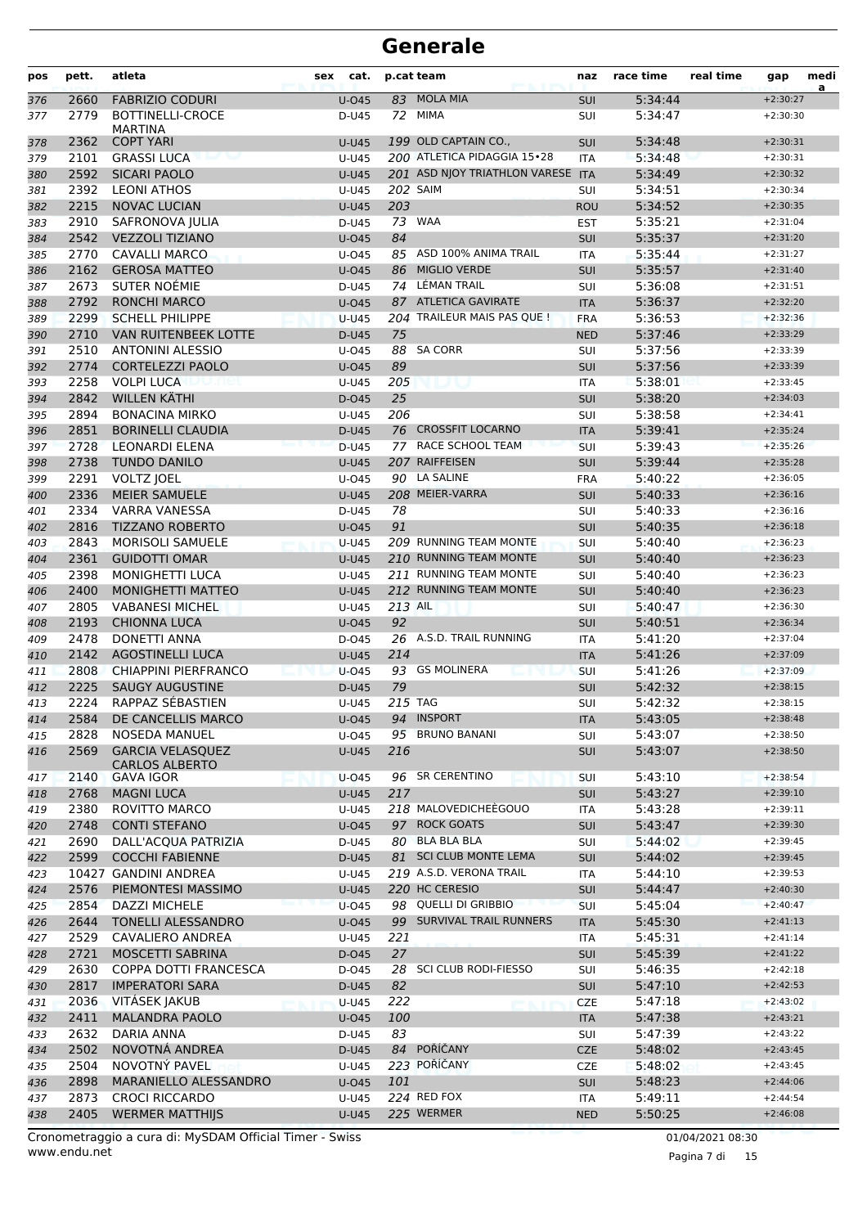| pos        | pett.        | atleta                                           | sex | cat.                     |         | p.cat team                               | naz                      | race time          | real time | gap                      | medi<br>a |
|------------|--------------|--------------------------------------------------|-----|--------------------------|---------|------------------------------------------|--------------------------|--------------------|-----------|--------------------------|-----------|
| 376        | 2660         | <b>FABRIZIO CODURI</b>                           |     | $U$ -045                 | 83      | <b>MOLA MIA</b>                          | SUI                      | 5:34:44            |           | $+2:30:27$               |           |
| 377        | 2779         | <b>BOTTINELLI-CROCE</b>                          |     | D-U45                    |         | 72 MIMA                                  | SUI                      | 5:34:47            |           | $+2:30:30$               |           |
|            | 2362         | <b>MARTINA</b><br><b>COPT YARI</b>               |     | <b>U-U45</b>             |         | 199 OLD CAPTAIN CO.,                     | SUI                      | 5:34:48            |           | $+2:30:31$               |           |
| 378<br>379 | 2101         | <b>GRASSI LUCA</b>                               |     | U-U45                    |         | 200 ATLETICA PIDAGGIA 15 · 28            | <b>ITA</b>               | 5:34:48            |           | $+2:30:31$               |           |
| 380        | 2592         | <b>SICARI PAOLO</b>                              |     | $U-U45$                  |         | 201 ASD NJOY TRIATHLON VARESE ITA        |                          | 5:34:49            |           | $+2:30:32$               |           |
| 381        | 2392         | <b>LEONI ATHOS</b>                               |     | U-U45                    |         | <b>202 SAIM</b>                          | SUI                      | 5:34:51            |           | $+2:30:34$               |           |
| 382        | 2215         | <b>NOVAC LUCIAN</b>                              |     | <b>U-U45</b>             | 203     |                                          | <b>ROU</b>               | 5:34:52            |           | $+2:30:35$               |           |
| 383        | 2910         | SAFRONOVA JULIA                                  |     | D-U45                    | 73      | <b>WAA</b>                               | <b>EST</b>               | 5:35:21            |           | $+2:31:04$               |           |
| 384        | 2542         | <b>VEZZOLI TIZIANO</b>                           |     | $U$ -045                 | 84      |                                          | <b>SUI</b>               | 5:35:37            |           | $+2:31:20$               |           |
| 385        | 2770         | <b>CAVALLI MARCO</b>                             |     | $U$ -045                 | 85      | ASD 100% ANIMA TRAIL                     | <b>ITA</b>               | 5:35:44            |           | $+2:31:27$               |           |
| 386        | 2162         | <b>GEROSA MATTEO</b>                             |     | $U$ -045                 | 86      | <b>MIGLIO VERDE</b>                      | <b>SUI</b>               | 5:35:57            |           | $+2:31:40$               |           |
| 387        | 2673         | SUTER NOÉMIE                                     |     | D-U45                    |         | 74 LÉMAN TRAIL                           | SUI                      | 5:36:08            |           | $+2:31:51$               |           |
| 388        | 2792         | <b>RONCHI MARCO</b>                              |     | $U$ -045                 | 87      | <b>ATLETICA GAVIRATE</b>                 | <b>ITA</b>               | 5:36:37            |           | $+2:32:20$               |           |
| 389        | 2299         | <b>SCHELL PHILIPPE</b>                           |     | $U-U45$                  |         | 204 TRAILEUR MAIS PAS QUE !              | <b>FRA</b>               | 5:36:53            |           | $+2:32:36$               |           |
| 390        | 2710         | <b>VAN RUITENBEEK LOTTE</b>                      |     | D-U45                    | 75      |                                          | <b>NED</b>               | 5:37:46            |           | $+2:33:29$               |           |
| 391        | 2510         | <b>ANTONINI ALESSIO</b>                          |     | $U$ -045                 | 88      | <b>SA CORR</b>                           | SUI                      | 5:37:56            |           | $+2:33:39$               |           |
| 392        | 2774         | <b>CORTELEZZI PAOLO</b>                          |     | $U$ -045                 | 89      |                                          | <b>SUI</b>               | 5:37:56            |           | $+2:33:39$               |           |
| 393        | 2258         | <b>VOLPI LUCA</b><br>zu net                      |     | U-U45                    | 205     |                                          | <b>ITA</b>               | 5:38:01            |           | $+2:33:45$               |           |
| 394        | 2842         | <b>WILLEN KÄTHI</b>                              |     | $D-045$                  | 25      |                                          | <b>SUI</b>               | 5:38:20            |           | $+2:34:03$               |           |
| 395        | 2894         | <b>BONACINA MIRKO</b>                            |     | U-U45                    | 206     |                                          | SUI                      | 5:38:58            |           | $+2:34:41$               |           |
| 396        | 2851         | <b>BORINELLI CLAUDIA</b>                         |     | D-U45                    |         | 76 CROSSFIT LOCARNO                      | <b>ITA</b>               | 5:39:41            |           | $+2:35:24$               |           |
| 397        | 2728<br>2738 | <b>LEONARDI ELENA</b><br><b>TUNDO DANILO</b>     |     | D-U45                    |         | 77 RACE SCHOOL TEAM<br>207 RAIFFEISEN    | SUI                      | 5:39:43<br>5:39:44 |           | $+2:35:26$<br>$+2:35:28$ |           |
| 398<br>399 | 2291         | VOLTZ JOEL                                       |     | <b>U-U45</b><br>$U$ -045 |         | 90 LA SALINE                             | <b>SUI</b><br><b>FRA</b> | 5:40:22            |           | $+2:36:05$               |           |
| 400        | 2336         | <b>MEIER SAMUELE</b>                             |     | $U-U45$                  |         | 208 MEIER-VARRA                          | <b>SUI</b>               | 5:40:33            |           | $+2:36:16$               |           |
| 401        | 2334         | <b>VARRA VANESSA</b>                             |     | D-U45                    | 78      |                                          | SUI                      | 5:40:33            |           | $+2:36:16$               |           |
| 402        | 2816         | <b>TIZZANO ROBERTO</b>                           |     | $U$ -045                 | 91      |                                          | SUI                      | 5:40:35            |           | $+2:36:18$               |           |
| 403        | 2843         | <b>MORISOLI SAMUELE</b>                          |     | U-U45                    |         | 209 RUNNING TEAM MONTE                   | SUI                      | 5:40:40            |           | $+2:36:23$               |           |
| 404        | 2361         | <b>GUIDOTTI OMAR</b>                             |     | $U-U45$                  |         | 210 RUNNING TEAM MONTE                   | <b>SUI</b>               | 5:40:40            |           | $+2:36:23$               |           |
| 405        | 2398         | <b>MONIGHETTI LUCA</b>                           |     | U-U45                    |         | 211 RUNNING TEAM MONTE                   | SUI                      | 5:40:40            |           | $+2:36:23$               |           |
| 406        | 2400         | <b>MONIGHETTI MATTEO</b>                         |     | $U-U45$                  |         | 212 RUNNING TEAM MONTE                   | SUI                      | 5:40:40            |           | $+2:36:23$               |           |
| 407        | 2805         | <b>VABANESI MICHEL</b>                           |     | U-U45                    | 213 AIL |                                          | SUI                      | 5:40:47            |           | $+2:36:30$               |           |
| 408        | 2193         | <b>CHIONNA LUCA</b>                              |     | $U$ -045                 | 92      |                                          | SUI                      | 5:40:51            |           | $+2:36:34$               |           |
| 409        | 2478         | <b>DONETTI ANNA</b>                              |     | D-045                    |         | 26 A.S.D. TRAIL RUNNING                  | <b>ITA</b>               | 5:41:20            |           | $+2:37:04$               |           |
| 410        | 2142         | <b>AGOSTINELLI LUCA</b>                          |     | <b>U-U45</b>             | 214     |                                          | <b>ITA</b>               | 5:41:26            |           | $+2:37:09$               |           |
| 411        | 2808         | <b>CHIAPPINI PIERFRANCO</b>                      |     | $U$ -045                 |         | 93 GS MOLINERA                           | SUI                      | 5:41:26            |           | $+2:37:09$               |           |
| 412        | 2225         | <b>SAUGY AUGUSTINE</b>                           |     | D-U45                    | 79      |                                          | <b>SUI</b>               | 5:42:32            |           | $+2:38:15$               |           |
| 413        | 2224         | RAPPAZ SÉBASTIEN                                 |     | U-U45                    | 215 TAG |                                          | SUI                      | 5:42:32            |           | $+2:38:15$               |           |
| 414        | 2584         | DE CANCELLIS MARCO                               |     | $U$ -045                 |         | 94 INSPORT                               | <b>ITA</b>               | 5:43:05            |           | $+2:38:48$               |           |
| 415        | 2828         | <b>NOSEDA MANUEL</b>                             |     | $U$ -045                 |         | 95 BRUNO BANANI                          | <b>SUI</b>               | 5:43:07            |           | $+2:38:50$               |           |
| 416        | 2569         | <b>GARCIA VELASOUEZ</b><br><b>CARLOS ALBERTO</b> |     | <b>U-U45</b>             | 216     |                                          | <b>SUI</b>               | 5:43:07            |           | $+2:38:50$               |           |
| 417        | 2140         | <b>GAVA IGOR</b>                                 |     | U-045                    |         | 96 SR CERENTINO                          | <b>SUI</b>               | 5:43:10            |           | $+2:38:54$               |           |
| 418        | 2768         | <b>MAGNI LUCA</b>                                |     | <b>U-U45</b>             | 217     |                                          | <b>SUI</b>               | 5:43:27            |           | $+2:39:10$               |           |
| 419        | 2380         | ROVITTO MARCO                                    |     | U-U45                    |         | 218 MALOVEDICHEÈGOUO                     | ITA                      | 5:43:28            |           | $+2:39:11$               |           |
| 420        | 2748         | <b>CONTI STEFANO</b>                             |     | $U$ -045                 |         | 97 ROCK GOATS                            | SUI                      | 5:43:47            |           | $+2:39:30$               |           |
| 421        | 2690<br>2599 | DALL'ACQUA PATRIZIA<br><b>COCCHI FABIENNE</b>    |     | D-U45                    |         | 80 BLA BLA BLA<br>81 SCI CLUB MONTE LEMA | SUI                      | 5:44:02<br>5:44:02 |           | $+2:39:45$<br>$+2:39:45$ |           |
| 422        |              | 10427 GANDINI ANDREA                             |     | D-U45<br>U-U45           |         | 219 A.S.D. VERONA TRAIL                  | <b>SUI</b><br><b>ITA</b> | 5:44:10            |           | $+2:39:53$               |           |
| 423<br>424 | 2576         | PIEMONTESI MASSIMO                               |     | <b>U-U45</b>             |         | 220 HC CERESIO                           | SUI                      | 5:44:47            |           | $+2:40:30$               |           |
| 425        | 2854         | DAZZI MICHELE                                    |     | $U$ -045                 |         | 98 QUELLI DI GRIBBIO                     | <b>SUI</b>               | 5:45:04            |           | $+2:40:47$               |           |
| 426        | 2644         | <b>TONELLI ALESSANDRO</b>                        |     | U-045                    |         | 99 SURVIVAL TRAIL RUNNERS                | <b>ITA</b>               | 5:45:30            |           | $+2:41:13$               |           |
| 427        | 2529         | <b>CAVALIERO ANDREA</b>                          |     | U-U45                    | 221     |                                          | <b>ITA</b>               | 5:45:31            |           | $+2:41:14$               |           |
| 428        | 2721         | MOSCETTI SABRINA                                 |     | D-045                    | 27      |                                          | SUI                      | 5:45:39            |           | $+2:41:22$               |           |
| 429        | 2630         | COPPA DOTTI FRANCESCA                            |     | D-045                    |         | 28 SCI CLUB RODI-FIESSO                  | SUI                      | 5:46:35            |           | $+2:42:18$               |           |
| 430        | 2817         | <b>IMPERATORI SARA</b>                           |     | D-U45                    | 82      |                                          | <b>SUI</b>               | 5:47:10            |           | $+2:42:53$               |           |
| 431        | 2036         | VITÁSEK JAKUB                                    |     | $U-U45$                  | 222     |                                          | <b>CZE</b>               | 5:47:18            |           | $+2:43:02$               |           |
| 432        | 2411         | MALANDRA PAOLO                                   |     | $U$ -045                 | 100     |                                          | <b>ITA</b>               | 5:47:38            |           | $+2:43:21$               |           |
| 433        | 2632         | DARIA ANNA                                       |     | D-U45                    | 83      |                                          | SUI                      | 5:47:39            |           | $+2:43:22$               |           |
| 434        | 2502         | NOVOTNÁ ANDREA                                   |     | D-U45                    |         | 84 POŘÍČANY                              | <b>CZE</b>               | 5:48:02            |           | $+2:43:45$               |           |
| 435        | 2504         | NOVOTNÝ PAVEL                                    |     | U-U45                    |         | 223 POŘÍČANY                             | <b>CZE</b>               | 5:48:02            |           | $+2:43:45$               |           |
| 436        | 2898         | MARANIELLO ALESSANDRO                            |     | $U$ -045                 | 101     |                                          | <b>SUI</b>               | 5:48:23            |           | $+2:44:06$               |           |
| 437        | 2873         | <b>CROCI RICCARDO</b>                            |     | U-U45                    |         | 224 RED FOX                              | ITA                      | 5:49:11            |           | $+2:44:54$               |           |
| 438        | 2405         | <b>WERMER MATTHIJS</b>                           |     | <b>U-U45</b>             |         | 225 WERMER                               | <b>NED</b>               | 5:50:25            |           | $+2:46:08$               |           |

www.endu.net Cronometraggio a cura di: MySDAM Official Timer - Swiss 01/04/2021 08:30

Pagina 7 di 15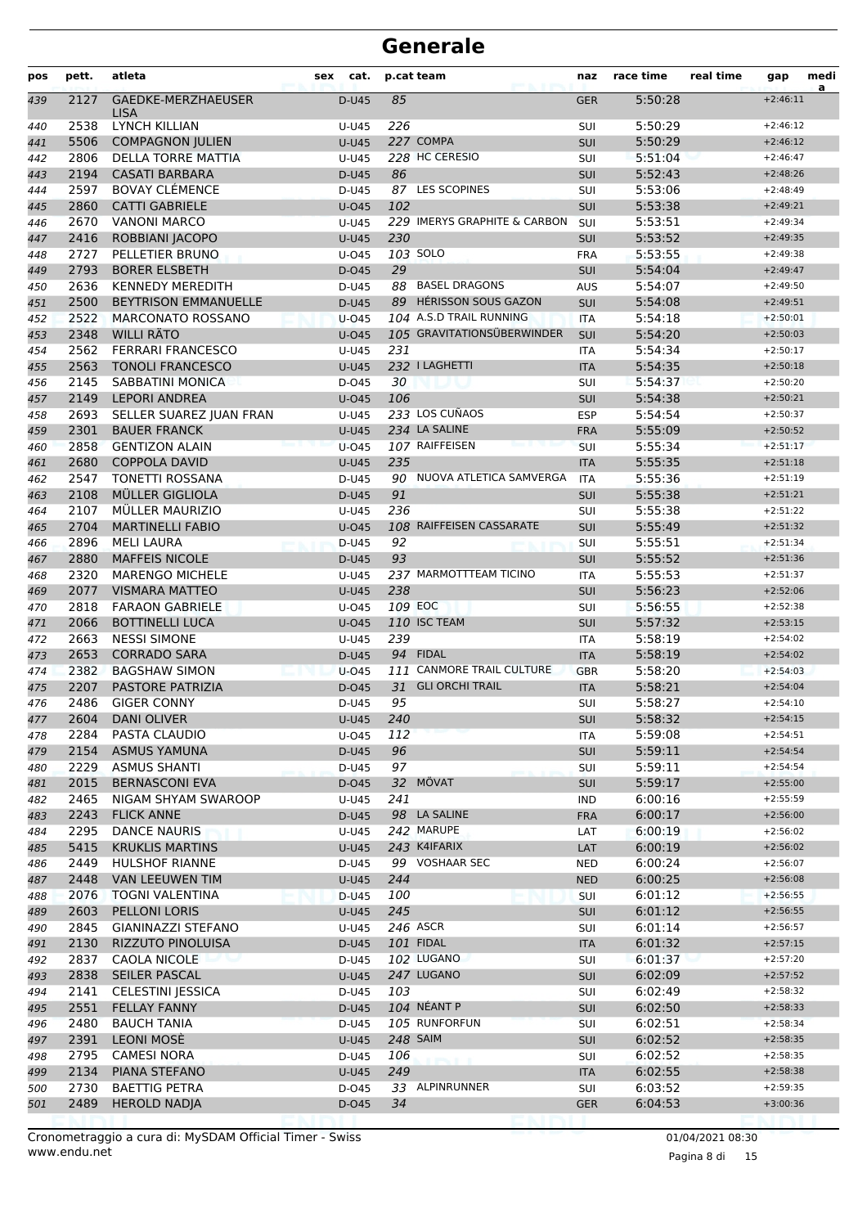| pos | pett. | atleta                            | cat.<br>sex  |     | p.cat team                   | naz        | race time | real time | gap        | medi<br>a |
|-----|-------|-----------------------------------|--------------|-----|------------------------------|------------|-----------|-----------|------------|-----------|
| 439 | 2127  | GAEDKE-MERZHAEUSER<br><b>LISA</b> | D-U45        | 85  |                              | <b>GER</b> | 5:50:28   |           | $+2:46:11$ |           |
| 440 | 2538  | <b>LYNCH KILLIAN</b>              | U-U45        | 226 |                              | SUI        | 5:50:29   |           | $+2:46:12$ |           |
| 441 | 5506  | <b>COMPAGNON JULIEN</b>           | $U-U45$      |     | 227 COMPA                    | SUI        | 5:50:29   |           | $+2:46:12$ |           |
| 442 | 2806  | DELLA TORRE MATTIA                | U-U45        |     | 228 HC CERESIO               | SUI        | 5:51:04   |           | $+2:46:47$ |           |
| 443 | 2194  | <b>CASATI BARBARA</b>             | D-U45        | 86  |                              | SUI        | 5:52:43   |           | $+2:48:26$ |           |
| 444 | 2597  | <b>BOVAY CLÉMENCE</b>             | D-U45        |     | 87 LES SCOPINES              | SUI        | 5:53:06   |           | $+2:48:49$ |           |
| 445 | 2860  | <b>CATTI GABRIELE</b>             | $U$ -045     | 102 |                              | SUI        | 5:53:38   |           | $+2:49:21$ |           |
| 446 | 2670  | <b>VANONI MARCO</b>               | $U-U45$      |     | 229 IMERYS GRAPHITE & CARBON | SUI        | 5:53:51   |           | $+2:49:34$ |           |
| 447 | 2416  | ROBBIANI JACOPO                   | <b>U-U45</b> | 230 |                              | SUI        | 5:53:52   |           | $+2:49:35$ |           |
| 448 | 2727  | PELLETIER BRUNO                   | U-045        |     | 103 SOLO                     | <b>FRA</b> | 5:53:55   |           | $+2:49:38$ |           |
| 449 | 2793  | <b>BORER ELSBETH</b>              | D-045        | 29  |                              | SUI        | 5:54:04   |           | $+2:49:47$ |           |
| 450 | 2636  | <b>KENNEDY MEREDITH</b>           | D-U45        | 88  | <b>BASEL DRAGONS</b>         | <b>AUS</b> | 5:54:07   |           | $+2:49:50$ |           |
| 451 | 2500  | <b>BEYTRISON EMMANUELLE</b>       | D-U45        |     | 89 HÉRISSON SOUS GAZON       | SUI        | 5:54:08   |           | $+2:49:51$ |           |
| 452 | 2522  | <b>MARCONATO ROSSANO</b>          | $U$ -045     |     | 104 A.S.D TRAIL RUNNING      | <b>ITA</b> | 5:54:18   |           | $+2:50:01$ |           |
| 453 | 2348  | <b>WILLI RÄTO</b>                 | $U$ -045     |     | 105 GRAVITATIONSÜBERWINDER   | SUI        | 5:54:20   |           | $+2:50:03$ |           |
| 454 | 2562  | <b>FERRARI FRANCESCO</b>          | U-U45        | 231 |                              | <b>ITA</b> | 5:54:34   |           | $+2:50:17$ |           |
| 455 | 2563  | <b>TONOLI FRANCESCO</b>           | $U-U45$      |     | 232   LAGHETTI               | <b>ITA</b> | 5:54:35   |           | $+2:50:18$ |           |
| 456 | 2145  | <b>SABBATINI MONICA</b>           | D-045        | 30  |                              | SUI        | 5:54:37   |           | $+2:50:20$ |           |
| 457 | 2149  | <b>LEPORI ANDREA</b>              | $U$ -045     | 106 |                              | SUI        | 5:54:38   |           | $+2:50:21$ |           |
| 458 | 2693  | SELLER SUAREZ JUAN FRAN           | U-U45        |     | 233 LOS CUÑAOS               | <b>ESP</b> | 5:54:54   |           | $+2:50:37$ |           |
| 459 | 2301  | <b>BAUER FRANCK</b>               | <b>U-U45</b> |     | 234 LA SALINE                | <b>FRA</b> | 5:55:09   |           | $+2:50:52$ |           |
| 460 | 2858  | <b>GENTIZON ALAIN</b>             | $U$ -045     |     | 107 RAIFFEISEN               | SUI        | 5:55:34   |           | $+2:51:17$ |           |
| 461 | 2680  | <b>COPPOLA DAVID</b>              | <b>U-U45</b> | 235 |                              | <b>ITA</b> | 5:55:35   |           | $+2:51:18$ |           |
| 462 | 2547  | <b>TONETTI ROSSANA</b>            | D-U45        |     | 90 NUOVA ATLETICA SAMVERGA   | <b>ITA</b> | 5:55:36   |           | $+2:51:19$ |           |
| 463 | 2108  | MÜLLER GIGLIOLA                   | D-U45        | 91  |                              | SUI        | 5:55:38   |           | $+2:51:21$ |           |
| 464 | 2107  | MÜLLER MAURIZIO                   | $U-U45$      | 236 |                              | SUI        | 5:55:38   |           | $+2:51:22$ |           |
| 465 | 2704  | <b>MARTINELLI FABIO</b>           | $U$ -045     |     | 108 RAIFFEISEN CASSARATE     | SUI        | 5:55:49   |           | $+2:51:32$ |           |
| 466 | 2896  | <b>MELI LAURA</b>                 | D-U45        | 92  |                              | SUI        | 5:55:51   |           | $+2:51:34$ |           |
| 467 | 2880  | <b>MAFFEIS NICOLE</b>             | D-U45        | 93  |                              | SUI        | 5:55:52   |           | $+2:51:36$ |           |
| 468 | 2320  | <b>MARENGO MICHELE</b>            | U-U45        |     | 237 MARMOTTTEAM TICINO       | <b>ITA</b> | 5:55:53   |           | $+2:51:37$ |           |
| 469 | 2077  | <b>VISMARA MATTEO</b>             | <b>U-U45</b> | 238 |                              | SUI        | 5:56:23   |           | $+2:52:06$ |           |
| 470 | 2818  | <b>FARAON GABRIELE</b>            | $U$ -045     |     | 109 EOC                      | SUI        | 5:56:55   |           | $+2:52:38$ |           |
| 471 | 2066  | <b>BOTTINELLI LUCA</b>            | U-045        |     | 110 ISC TEAM                 | SUI        | 5:57:32   |           | $+2:53:15$ |           |
| 472 | 2663  | <b>NESSI SIMONE</b>               | U-U45        | 239 |                              | <b>ITA</b> | 5:58:19   |           | $+2:54:02$ |           |
| 473 | 2653  | <b>CORRADO SARA</b>               | D-U45        |     | 94 FIDAL                     | <b>ITA</b> | 5:58:19   |           | $+2:54:02$ |           |
| 474 | 2382  | <b>BAGSHAW SIMON</b>              | $U$ -045     |     | 111 CANMORE TRAIL CULTURE    | <b>GBR</b> | 5:58:20   |           | $+2:54:03$ |           |
| 475 | 2207  | PASTORE PATRIZIA                  | D-045        | 31  | <b>GLI ORCHI TRAIL</b>       | <b>ITA</b> | 5:58:21   |           | $+2:54:04$ |           |
| 476 | 2486  | <b>GIGER CONNY</b>                | D-U45        | 95  |                              | SUI        | 5:58:27   |           | $+2:54:10$ |           |
| 477 | 2604  | <b>DANI OLIVER</b>                | U-U45        | 240 |                              | <b>SUI</b> | 5:58:32   |           | $+2:54:15$ |           |
| 478 | 2284  | PASTA CLAUDIO                     | U-045        | 112 |                              | ITA        | 5:59:08   |           | $+2:54:51$ |           |
| 479 | 2154  | <b>ASMUS YAMUNA</b>               | D-U45        | 96  |                              | <b>SUI</b> | 5:59:11   |           | $+2:54:54$ |           |
| 480 | 2229  | ASMUS SHANTI                      | D-U45        | 97  |                              | SUI        | 5:59:11   |           | $+2:54:54$ |           |
| 481 | 2015  | <b>BERNASCONI EVA</b>             | D-045        |     | 32 MÖVAT                     | SUI        | 5:59:17   |           | $+2:55:00$ |           |
| 482 | 2465  | NIGAM SHYAM SWAROOP               | U-U45        | 241 |                              | <b>IND</b> | 6:00:16   |           | $+2:55:59$ |           |
| 483 | 2243  | <b>FLICK ANNE</b>                 | D-U45        |     | 98 LA SALINE                 | <b>FRA</b> | 6:00:17   |           | $+2:56:00$ |           |
| 484 | 2295  | <b>DANCE NAURIS</b>               | U-U45        |     | 242 MARUPE                   | LAT        | 6:00:19   |           | $+2:56:02$ |           |
| 485 | 5415  | <b>KRUKLIS MARTINS</b>            | <b>U-U45</b> |     | 243 K4IFARIX                 | LAT        | 6:00:19   |           | $+2:56:02$ |           |
| 486 | 2449  | HULSHOF RIANNE                    | D-U45        |     | 99 VOSHAAR SEC               | <b>NED</b> | 6:00:24   |           | $+2:56:07$ |           |
| 487 | 2448  | VAN LEEUWEN TIM                   | <b>U-U45</b> | 244 |                              | <b>NED</b> | 6:00:25   |           | $+2:56:08$ |           |
| 488 | 2076  | <b>TOGNI VALENTINA</b>            | D-U45        | 100 |                              | <b>SUI</b> | 6:01:12   |           | $+2:56:55$ |           |
| 489 | 2603  | PELLONI LORIS                     | U-U45        | 245 |                              | <b>SUI</b> | 6:01:12   |           | $+2:56:55$ |           |
| 490 | 2845  | GIANINAZZI STEFANO                | U-U45        |     | 246 ASCR                     | <b>SUI</b> | 6:01:14   |           | $+2:56:57$ |           |
| 491 | 2130  | RIZZUTO PINOLUISA                 | D-U45        |     | <b>101 FIDAL</b>             | <b>ITA</b> | 6:01:32   |           | $+2:57:15$ |           |
| 492 | 2837  | CAOLA NICOLE                      | D-U45        |     | 102 LUGANO                   | <b>SUI</b> | 6:01:37   |           | $+2:57:20$ |           |
| 493 | 2838  | SEILER PASCAL                     | <b>U-U45</b> |     | 247 LUGANO                   | SUI        | 6:02:09   |           | $+2:57:52$ |           |
| 494 | 2141  | <b>CELESTINI JESSICA</b>          | D-U45        | 103 |                              | SUI        | 6:02:49   |           | $+2:58:32$ |           |
| 495 | 2551  | <b>FELLAY FANNY</b>               | D-U45        |     | 104 NÉANT P                  | <b>SUI</b> | 6:02:50   |           | $+2:58:33$ |           |
| 496 | 2480  | <b>BAUCH TANIA</b>                | D-U45        |     | 105 RUNFORFUN                | <b>SUI</b> | 6:02:51   |           | $+2:58:34$ |           |
| 497 | 2391  | LEONI MOSÈ                        | <b>U-U45</b> |     | <b>248 SAIM</b>              | <b>SUI</b> | 6:02:52   |           | $+2:58:35$ |           |
| 498 | 2795  | <b>CAMESI NORA</b>                | D-U45        | 106 |                              | <b>SUI</b> | 6:02:52   |           | $+2:58:35$ |           |
| 499 | 2134  | PIANA STEFANO                     | U-U45        | 249 |                              | <b>ITA</b> | 6:02:55   |           | $+2:58:38$ |           |
| 500 | 2730  | <b>BAETTIG PETRA</b>              | D-045        |     | 33 ALPINRUNNER               | SUI        | 6:03:52   |           | $+2:59:35$ |           |
| 501 | 2489  | <b>HEROLD NADJA</b>               | D-045        | 34  |                              | <b>GER</b> | 6:04:53   |           | $+3:00:36$ |           |
|     |       |                                   |              |     |                              |            |           |           |            |           |

www.endu.net Cronometraggio a cura di: MySDAM Official Timer - Swiss 01/04/2021 08:30

Pagina 8 di 15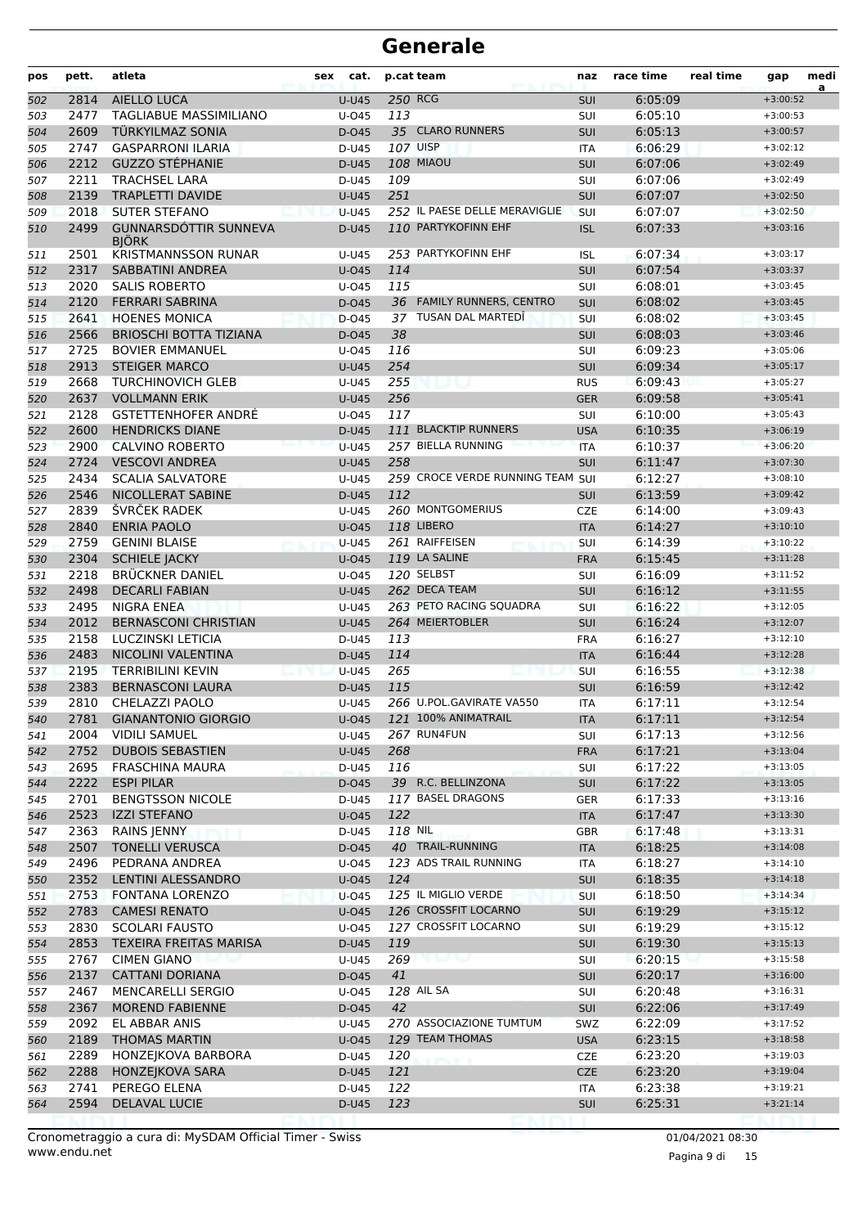| pos        | pett.        | atleta                                          | cat.<br>sex      |         | p.cat team                       | naz               | race time          | real time | gap                      | medi<br>a |
|------------|--------------|-------------------------------------------------|------------------|---------|----------------------------------|-------------------|--------------------|-----------|--------------------------|-----------|
| 502        | 2814         | <b>AIELLO LUCA</b>                              | $U-U45$          |         | 250 RCG                          | <b>SUI</b>        | 6:05:09            |           | $+3:00:52$               |           |
| 503        | 2477         | <b>TAGLIABUE MASSIMILIANO</b>                   | U-045            | 113     |                                  | SUI               | 6:05:10            |           | $+3:00:53$               |           |
| 504        | 2609         | TÜRKYILMAZ SONIA                                | D-045            |         | 35 CLARO RUNNERS                 | <b>SUI</b>        | 6:05:13            |           | $+3:00:57$               |           |
| 505        | 2747         | <b>GASPARRONI ILARIA</b>                        | $D-U45$          |         | 107 UISP                         | <b>ITA</b>        | 6:06:29            |           | $+3:02:12$               |           |
| 506        | 2212         | <b>GUZZO STÉPHANIE</b>                          | $D-U45$          |         | <b>108 MIAOU</b>                 | SUI               | 6:07:06            |           | $+3:02:49$               |           |
| 507        | 2211         | <b>TRACHSEL LARA</b>                            | D-U45            | 109     |                                  | SUI               | 6:07:06            |           | $+3:02:49$               |           |
| 508        | 2139         | <b>TRAPLETTI DAVIDE</b>                         | <b>U-U45</b>     | 251     |                                  | <b>SUI</b>        | 6:07:07            |           | $+3:02:50$               |           |
| 509        | 2018         | <b>SUTER STEFANO</b>                            | <b>U-U45</b>     |         | 252 IL PAESE DELLE MERAVIGLIE    | SUI               | 6:07:07            |           | $+3:02:50$               |           |
| 510        | 2499         | <b>GUNNARSDÓTTIR SUNNEVA</b><br><b>BIÖRK</b>    | D-U45            |         | 110 PARTYKOFINN EHF              | <b>ISL</b>        | 6:07:33            |           | $+3:03:16$               |           |
| 511        | 2501         | <b>KRISTMANNSSON RUNAR</b>                      | U-U45            |         | 253 PARTYKOFINN EHF              | <b>ISL</b>        | 6:07:34            |           | $+3:03:17$               |           |
| 512        | 2317         | <b>SABBATINI ANDREA</b>                         | $U$ -045         | 114     |                                  | <b>SUI</b>        | 6:07:54            |           | $+3:03:37$               |           |
| 513        | 2020         | <b>SALIS ROBERTO</b>                            | $U$ -045         | 115     |                                  | SUI               | 6:08:01            |           | $+3:03:45$               |           |
| 514        | 2120         | <b>FERRARI SABRINA</b>                          | D-045            |         | 36 FAMILY RUNNERS, CENTRO        | SUI               | 6:08:02            |           | $+3:03:45$               |           |
| 515        | 2641         | <b>HOENES MONICA</b>                            | D-045            |         | 37 TUSAN DAL MARTEDÎ             | SUI               | 6:08:02            |           | $+3:03:45$               |           |
| 516        | 2566         | <b>BRIOSCHI BOTTA TIZIANA</b>                   | D-045            | 38      |                                  | SUI               | 6:08:03            |           | $+3:03:46$               |           |
| 517        | 2725         | <b>BOVIER EMMANUEL</b>                          | U-045            | 116     |                                  | SUI               | 6:09:23            |           | $+3:05:06$               |           |
| 518        | 2913         | <b>STEIGER MARCO</b>                            | $U-U45$          | 254     |                                  | <b>SUI</b>        | 6:09:34            |           | $+3:05:17$               |           |
| 519        | 2668         | <b>TURCHINOVICH GLEB</b>                        | U-U45            | 255     |                                  | <b>RUS</b>        | 6:09:43            |           | $+3:05:27$               |           |
| 520        | 2637         | <b>VOLLMANN ERIK</b>                            | <b>U-U45</b>     | 256     |                                  | <b>GER</b>        | 6:09:58            |           | $+3:05:41$               |           |
| 521        | 2128         | <b>GSTETTENHOFER ANDRE</b>                      | $U$ -045         | 117     |                                  | SUI               | 6:10:00            |           | $+3:05:43$               |           |
| 522        | 2600         | <b>HENDRICKS DIANE</b>                          | D-U45            |         | 111 BLACKTIP RUNNERS             | <b>USA</b>        | 6:10:35            |           | $+3:06:19$               |           |
| 523        | 2900         | <b>CALVINO ROBERTO</b>                          | <b>U-U45</b>     |         | 257 BIELLA RUNNING               | <b>ITA</b>        | 6:10:37            |           | $+3:06:20$               |           |
| 524        | 2724         | <b>VESCOVI ANDREA</b>                           | <b>U-U45</b>     | 258     |                                  | <b>SUI</b>        | 6:11:47            |           | $+3:07:30$               |           |
| 525        | 2434         | <b>SCALIA SALVATORE</b>                         | U-U45            |         | 259 CROCE VERDE RUNNING TEAM SUI |                   | 6:12:27            |           | $+3:08:10$               |           |
| 526        | 2546         | NICOLLERAT SABINE                               | D-U45            | 112     |                                  | <b>SUI</b>        | 6:13:59            |           | $+3:09:42$               |           |
| 527        | 2839         | ŠVRČEK RADEK                                    | U-U45            |         | 260 MONTGOMERIUS                 | <b>CZE</b>        | 6:14:00            |           | $+3:09:43$               |           |
| 528        | 2840         | <b>ENRIA PAOLO</b>                              | $U$ -045         |         | <b>118 LIBERO</b>                | <b>ITA</b>        | 6:14:27            |           | $+3:10:10$               |           |
| 529        | 2759         | <b>GENINI BLAISE</b>                            | U-U45            |         | 261 RAIFFEISEN                   | SUI               | 6:14:39            |           | $+3:10:22$               |           |
| 530        | 2304         | <b>SCHIELE JACKY</b>                            | $U$ -045         |         | 119 LA SALINE                    | <b>FRA</b>        | 6:15:45            |           | $+3:11:28$               |           |
| 531        | 2218         | <b>BRÜCKNER DANIEL</b>                          | $U$ -045         |         | 120 SELBST                       | SUI               | 6:16:09            |           | $+3:11:52$               |           |
| 532        | 2498         | <b>DECARLI FABIAN</b>                           | <b>U-U45</b>     |         | 262 DECA TEAM                    | <b>SUI</b>        | 6:16:12            |           | $+3:11:55$               |           |
| 533        | 2495         | <b>NIGRA ENEA</b>                               | U-U45            |         | 263 PETO RACING SQUADRA          | SUI               | 6:16:22            |           | $+3:12:05$               |           |
| 534        | 2012         | <b>BERNASCONI CHRISTIAN</b>                     | <b>U-U45</b>     |         | 264 MEIERTOBLER                  | SUI               | 6:16:24            |           | $+3:12:07$               |           |
| 535        | 2158         | LUCZINSKI LETICIA                               | D-U45            | 113     |                                  | <b>FRA</b>        | 6:16:27            |           | $+3:12:10$               |           |
| 536        | 2483         | <b>NICOLINI VALENTINA</b>                       | D-U45            | 114     |                                  | <b>ITA</b>        | 6:16:44            |           | $+3:12:28$               |           |
| 537        | 2195         | <b>TERRIBILINI KEVIN</b>                        | <b>U-U45</b>     | 265     |                                  | SUI               | 6:16:55            |           | $+3:12:38$               |           |
| 538        | 2383         | <b>BERNASCONI LAURA</b>                         | D-U45            | 115     | 266 U.POL.GAVIRATE VA550         | <b>SUI</b>        | 6:16:59            |           | $+3:12:42$               |           |
| 539        | 2810         | CHELAZZI PAOLO                                  | U-U45            |         | 121 100% ANIMATRAIL              | <b>ITA</b>        | 6:17:11<br>6:17:11 |           | $+3:12:54$<br>$+3:12:54$ |           |
| 540        | 2781         | <b>GIANANTONIO GIORGIO</b>                      | $U-045$          |         | 267 RUN4FUN                      | <b>ITA</b>        | 6:17:13            |           |                          |           |
| 541        | 2004<br>2752 | <b>VIDILI SAMUEL</b><br><b>DUBOIS SEBASTIEN</b> | U-U45<br>$U-U45$ | 268     |                                  | SUI<br><b>FRA</b> | 6:17:21            |           | $+3:12:56$<br>$+3:13:04$ |           |
| 542<br>543 | 2695         | <b>FRASCHINA MAURA</b>                          | D-U45            | 116     |                                  | <b>SUI</b>        | 6:17:22            |           | $+3:13:05$               |           |
|            | 2222         | <b>ESPI PILAR</b>                               | D-045            |         | 39 R.C. BELLINZONA               | <b>SUI</b>        | 6:17:22            |           | $+3:13:05$               |           |
| 544<br>545 | 2701         | <b>BENGTSSON NICOLE</b>                         | D-U45            |         | 117 BASEL DRAGONS                | GER               | 6:17:33            |           | $+3:13:16$               |           |
| 546        | 2523         | <b>IZZI STEFANO</b>                             | $U$ -045         | 122     |                                  | <b>ITA</b>        | 6:17:47            |           | $+3:13:30$               |           |
| 547        | 2363         | RAINS JENNY                                     | D-U45            | 118 NIL |                                  | <b>GBR</b>        | 6:17:48            |           | $+3:13:31$               |           |
| 548        | 2507         | <b>TONELLI VERUSCA</b>                          | D-045            |         | 40 TRAIL-RUNNING                 | <b>ITA</b>        | 6:18:25            |           | $+3:14:08$               |           |
| 549        | 2496         | PEDRANA ANDREA                                  | U-045            |         | 123 ADS TRAIL RUNNING            | ITA               | 6:18:27            |           | $+3:14:10$               |           |
| 550        | 2352         | LENTINI ALESSANDRO                              | U-045            | 124     |                                  | SUI               | 6:18:35            |           | $+3:14:18$               |           |
| 551        | 2753         | <b>FONTANA LORENZO</b>                          | $U$ -045         |         | 125 IL MIGLIO VERDE              | SUI               | 6:18:50            |           | $+3:14:34$               |           |
| 552        | 2783         | <b>CAMESI RENATO</b>                            | U-045            |         | 126 CROSSFIT LOCARNO             | <b>SUI</b>        | 6:19:29            |           | $+3:15:12$               |           |
| 553        | 2830         | <b>SCOLARI FAUSTO</b>                           | U-045            |         | 127 CROSSFIT LOCARNO             | SUI               | 6:19:29            |           | $+3:15:12$               |           |
| 554        | 2853         | <b>TEXEIRA FREITAS MARISA</b>                   | D-U45            | 119     |                                  | <b>SUI</b>        | 6:19:30            |           | $+3:15:13$               |           |
| 555        | 2767         | <b>CIMEN GIANO</b>                              | U-U45            | 269     |                                  | <b>SUI</b>        | 6:20:15            |           | $+3:15:58$               |           |
| 556        | 2137         | <b>CATTANI DORIANA</b>                          | D-045            | 41      |                                  | <b>SUI</b>        | 6:20:17            |           | $+3:16:00$               |           |
| 557        | 2467         | MENCARELLI SERGIO                               | U-045            |         | 128 AIL SA                       | SUI               | 6:20:48            |           | $+3:16:31$               |           |
| 558        | 2367         | <b>MOREND FABIENNE</b>                          | D-045            | 42      |                                  | SUI               | 6:22:06            |           | $+3:17:49$               |           |
| 559        | 2092         | EL ABBAR ANIS                                   | <b>U-U45</b>     |         | 270 ASSOCIAZIONE TUMTUM          | SWZ               | 6:22:09            |           | $+3:17:52$               |           |
| 560        | 2189         | <b>THOMAS MARTIN</b>                            | $U$ -045         |         | 129 TEAM THOMAS                  | <b>USA</b>        | 6:23:15            |           | $+3:18:58$               |           |
| 561        | 2289         | HONZEJKOVA BARBORA                              | D-U45            | 120     |                                  | <b>CZE</b>        | 6:23:20            |           | $+3:19:03$               |           |
| 562        | 2288         | HONZEJKOVA SARA                                 | D-U45            | 121     |                                  | <b>CZE</b>        | 6:23:20            |           | $+3:19:04$               |           |
| 563        | 2741         | PEREGO ELENA                                    | D-U45            | 122     |                                  | ITA               | 6:23:38            |           | $+3:19:21$               |           |
| 564        | 2594         | DELAVAL LUCIE                                   | D-U45            | 123     |                                  | <b>SUI</b>        | 6:25:31            |           | $+3:21:14$               |           |
|            |              |                                                 |                  |         |                                  |                   |                    |           |                          |           |

Pagina 9 di 15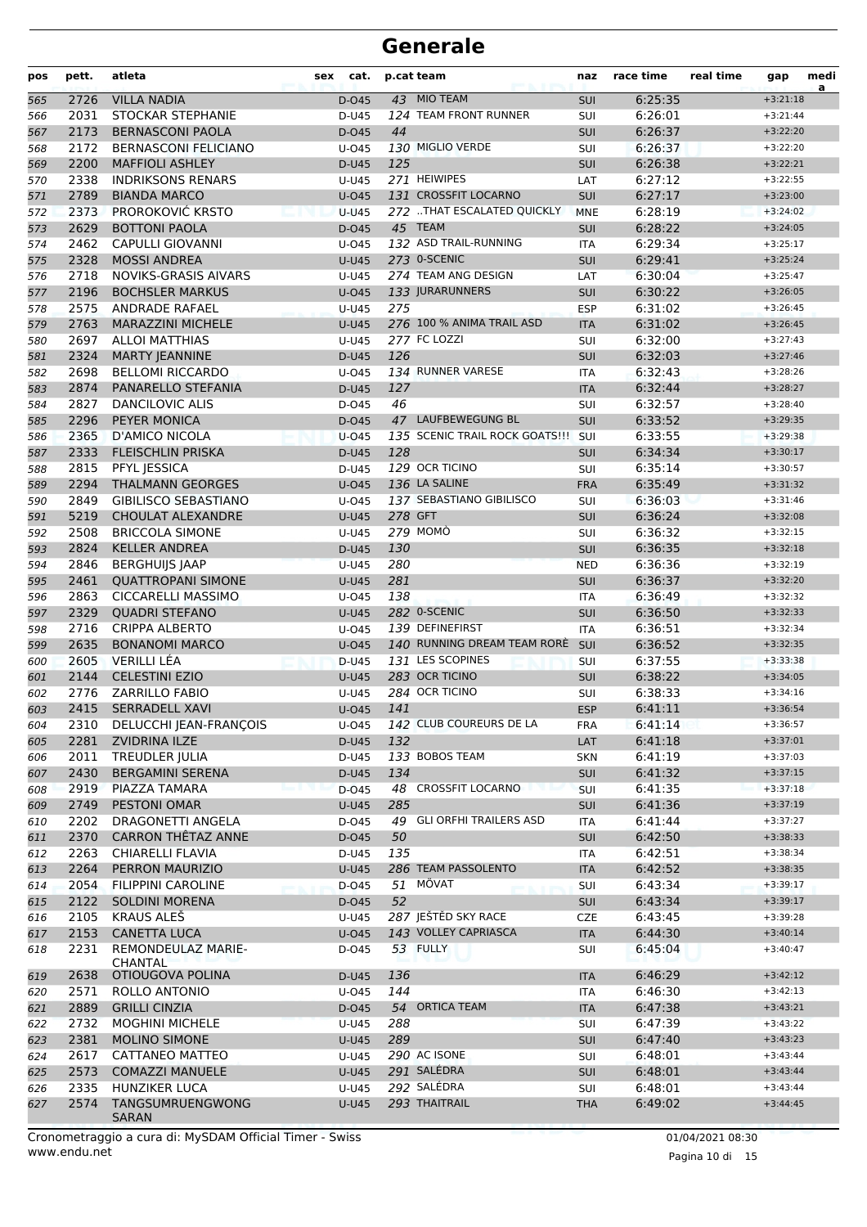| pos        | pett.        | atleta                                   | sex<br>cat.    |         | p.cat team                      | naz               | race time          | real time | gap                      | medi<br>a |
|------------|--------------|------------------------------------------|----------------|---------|---------------------------------|-------------------|--------------------|-----------|--------------------------|-----------|
| 565        | 2726         | <b>VILLA NADIA</b>                       | D-045          |         | 43 MIO TEAM                     | SUI               | 6:25:35            |           | $+3:21:18$               |           |
| 566        | 2031         | STOCKAR STEPHANIE                        | D-U45          |         | 124 TEAM FRONT RUNNER           | SUI               | 6:26:01            |           | $+3:21:44$               |           |
| 567        | 2173         | <b>BERNASCONI PAOLA</b>                  | D-045          | 44      |                                 | <b>SUI</b>        | 6:26:37            |           | $+3:22:20$               |           |
| 568        | 2172         | <b>BERNASCONI FELICIANO</b>              | $U$ -045       |         | 130 MIGLIO VERDE                | SUI               | 6:26:37            |           | $+3:22:20$               |           |
| 569        | 2200         | <b>MAFFIOLI ASHLEY</b>                   | D-U45          | 125     |                                 | SUI               | 6:26:38            |           | $+3:22:21$               |           |
| 570        | 2338         | <b>INDRIKSONS RENARS</b>                 | U-U45          |         | 271 HEIWIPES                    | LAT               | 6:27:12            |           | $+3:22:55$               |           |
| 571        | 2789         | <b>BIANDA MARCO</b>                      | $U$ -045       |         | 131 CROSSFIT LOCARNO            | <b>SUI</b>        | 6:27:17            |           | $+3:23:00$               |           |
| 572        | 2373         | PROROKOVIĆ KRSTO                         | $U-U45$        |         | 272 THAT ESCALATED QUICKLY      | <b>MNE</b>        | 6:28:19            |           | $+3:24:02$               |           |
| 573        | 2629         | <b>BOTTONI PAOLA</b>                     | D-045          |         | 45 TEAM                         | <b>SUI</b>        | 6:28:22            |           | $+3:24:05$               |           |
| 574        | 2462         | <b>CAPULLI GIOVANNI</b>                  | $U$ -045       |         | 132 ASD TRAIL-RUNNING           | <b>ITA</b>        | 6:29:34            |           | $+3:25:17$               |           |
| 575        | 2328         | <b>MOSSI ANDREA</b>                      | <b>U-U45</b>   |         | 273 0-SCENIC                    | SUI               | 6:29:41            |           | $+3:25:24$               |           |
| 576        | 2718         | <b>NOVIKS-GRASIS AIVARS</b>              | U-U45          |         | 274 TEAM ANG DESIGN             | LAT               | 6:30:04            |           | $+3:25:47$               |           |
| 577        | 2196         | <b>BOCHSLER MARKUS</b>                   | $U$ -045       |         | 133 JURARUNNERS                 | <b>SUI</b>        | 6:30:22            |           | $+3:26:05$               |           |
| 578        | 2575         | <b>ANDRADE RAFAEL</b>                    | U-U45          | 275     |                                 | <b>ESP</b>        | 6:31:02            |           | $+3:26:45$               |           |
| 579        | 2763         | <b>MARAZZINI MICHELE</b>                 | $U-U45$        |         | 276 100 % ANIMA TRAIL ASD       | <b>ITA</b>        | 6:31:02            |           | $+3:26:45$               |           |
| 580        | 2697         | <b>ALLOI MATTHIAS</b>                    | U-U45          |         | 277 FC LOZZI                    | SUI               | 6:32:00            |           | $+3:27:43$               |           |
| 581        | 2324         | <b>MARTY JEANNINE</b>                    | D-U45          | 126     |                                 | SUI               | 6:32:03            |           | $+3:27:46$               |           |
| 582        | 2698         | <b>BELLOMI RICCARDO</b>                  | $U$ -045       |         | 134 RUNNER VARESE               | <b>ITA</b>        | 6:32:43            |           | $+3:28:26$               |           |
| 583        | 2874         | PANARELLO STEFANIA                       | D-U45          | 127     |                                 | <b>ITA</b>        | 6:32:44            |           | $+3:28:27$               |           |
| 584        | 2827         | <b>DANCILOVIC ALIS</b>                   | D-045          | 46      |                                 | SUI               | 6:32:57            |           | $+3:28:40$               |           |
| 585        | 2296         | PEYER MONICA                             | D-045          |         | 47 LAUFBEWEGUNG BL              | SUI               | 6:33:52            |           | $+3:29:35$               |           |
| 586        | 2365         | <b>D'AMICO NICOLA</b>                    | $U$ -045       |         | 135 SCENIC TRAIL ROCK GOATS !!! | SUI               | 6:33:55            |           | $+3:29:38$               |           |
| 587        | 2333         | <b>FLEISCHLIN PRISKA</b>                 | D-U45          | 128     |                                 | <b>SUI</b>        | 6:34:34            |           | $+3:30:17$               |           |
| 588        | 2815         | PFYL JESSICA                             | D-U45          |         | 129 OCR TICINO                  | SUI               | 6:35:14            |           | $+3:30:57$               |           |
| 589        | 2294         | <b>THALMANN GEORGES</b>                  | $U$ -045       |         | 136 LA SALINE                   | <b>FRA</b>        | 6:35:49            |           | $+3:31:32$               |           |
| 590        | 2849         | <b>GIBILISCO SEBASTIANO</b>              | $U$ -045       |         | 137 SEBASTIANO GIBILISCO        | SUI               | 6:36:03            |           | $+3:31:46$               |           |
| 591        | 5219         | <b>CHOULAT ALEXANDRE</b>                 | $U-U45$        | 278 GFT |                                 | SUI               | 6:36:24            |           | $+3:32:08$               |           |
| 592        | 2508         | <b>BRICCOLA SIMONE</b>                   | U-U45          |         | <b>279 MOMO</b>                 | SUI               | 6:36:32            |           | $+3:32:15$               |           |
| 593        | 2824         | <b>KELLER ANDREA</b>                     | D-U45          | 130     |                                 | <b>SUI</b>        | 6:36:35            |           | $+3:32:18$               |           |
| 594        | 2846         | <b>BERGHUIJS JAAP</b>                    | $U-U45$        | 280     |                                 | <b>NED</b>        | 6:36:36            |           | $+3:32:19$               |           |
| 595        | 2461         | <b>QUATTROPANI SIMONE</b>                | <b>U-U45</b>   | 281     |                                 | <b>SUI</b>        | 6:36:37            |           | $+3:32:20$               |           |
| 596        | 2863         | <b>CICCARELLI MASSIMO</b>                | U-045          | 138     |                                 | <b>ITA</b>        | 6:36:49            |           | $+3:32:32$               |           |
| 597        | 2329         | <b>QUADRI STEFANO</b>                    | $U-U45$        |         | 282 0-SCENIC                    | SUI               | 6:36:50            |           | $+3:32:33$               |           |
| 598        | 2716         | <b>CRIPPA ALBERTO</b>                    | U-045          |         | 139 DEFINEFIRST                 | <b>ITA</b>        | 6:36:51            |           | $+3:32:34$               |           |
| 599        | 2635         | <b>BONANOMI MARCO</b>                    | $U$ -045       |         | 140 RUNNING DREAM TEAM RORE     | <b>SUI</b>        | 6:36:52            |           | $+3:32:35$               |           |
| 600        | 2605         | <b>VERILLI LÉA</b>                       | D-U45          |         | 131 LES SCOPINES                | SUI               | 6:37:55            |           | $+3:33:38$               |           |
| 601        | 2144         | <b>CELESTINI EZIO</b>                    | <b>U-U45</b>   |         | 283 OCR TICINO                  | <b>SUI</b>        | 6:38:22            |           | $+3:34:05$               |           |
| 602        | 2776         | <b>ZARRILLO FABIO</b>                    | U-U45          |         | 284 OCR TICINO                  | SUI               | 6:38:33            |           | $+3:34:16$               |           |
| 603        | 2415         | <b>SERRADELL XAVI</b>                    | $U$ -045       | 141     |                                 | <b>ESP</b>        | 6:41:11            |           | $+3:36:54$               |           |
| 604        |              | 2310 DELUCCHI JEAN-FRANÇOIS              | $U$ -045       |         | 142 CLUB COUREURS DE LA         | <b>FRA</b>        | 6:41:14            |           | $+3:36:57$               |           |
| 605        | 2281         | ZVIDRINA ILZE                            | D-U45          | 132     |                                 | LAT               | 6:41:18            |           | $+3:37:01$               |           |
| 606        | 2011         | TREUDLER JULIA                           | D-U45          | 134     | 133 BOBOS TEAM                  | <b>SKN</b>        | 6:41:19            |           | $+3:37:03$               |           |
| 607        | 2430<br>2919 | <b>BERGAMINI SERENA</b><br>PIAZZA TAMARA | D-U45<br>D-045 |         | 48 CROSSFIT LOCARNO             | <b>SUI</b><br>SUI | 6:41:32<br>6:41:35 |           | $+3:37:15$<br>$+3:37:18$ |           |
| 608        | 2749         | PESTONI OMAR                             |                | 285     |                                 | SUI               | 6:41:36            |           | $+3:37:19$               |           |
| 609<br>610 | 2202         | DRAGONETTI ANGELA                        | U-U45<br>D-045 |         | 49 GLI ORFHI TRAILERS ASD       | ITA               | 6:41:44            |           | $+3:37:27$               |           |
| 611        | 2370         | CARRON THÊTAZ ANNE                       | D-045          | 50      |                                 | SUI               | 6:42:50            |           | $+3:38:33$               |           |
| 612        | 2263         | CHIARELLI FLAVIA                         | D-U45          | 135     |                                 | ITA               | 6:42:51            |           | $+3:38:34$               |           |
| 613        | 2264         | PERRON MAURIZIO                          | <b>U-U45</b>   |         | 286 TEAM PASSOLENTO             | <b>ITA</b>        | 6:42:52            |           | $+3:38:35$               |           |
| 614        | 2054         | <b>FILIPPINI CAROLINE</b>                | D-045          |         | 51 MÖVAT                        | SUI               | 6:43:34            |           | $+3:39:17$               |           |
| 615        | 2122         | <b>SOLDINI MORENA</b>                    | D-045          | 52      |                                 | SUI               | 6:43:34            |           | $+3:39:17$               |           |
| 616        | 2105         | <b>KRAUS ALES</b>                        | U-U45          |         | 287 JEŠTĚD SKY RACE             | CZE               | 6:43:45            |           | $+3:39:28$               |           |
| 617        | 2153         | <b>CANETTA LUCA</b>                      | U-045          |         | 143 VOLLEY CAPRIASCA            | <b>ITA</b>        | 6:44:30            |           | $+3:40:14$               |           |
| 618        | 2231         | <b>REMONDEULAZ MARIE-</b>                | D-045          |         | 53 FULLY                        | SUI               | 6:45:04            |           | $+3:40:47$               |           |
|            |              | <b>CHANTAL</b>                           |                |         |                                 |                   |                    |           |                          |           |
| 619        | 2638         | OTIOUGOVA POLINA                         | D-U45          | 136     |                                 | <b>ITA</b>        | 6:46:29            |           | $+3:42:12$               |           |
| 620        | 2571         | ROLLO ANTONIO                            | U-045          | 144     |                                 | ITA               | 6:46:30            |           | $+3:42:13$               |           |
| 621        | 2889         | <b>GRILLI CINZIA</b>                     | D-045          |         | 54 ORTICA TEAM                  | <b>ITA</b>        | 6:47:38            |           | $+3:43:21$               |           |
| 622        | 2732         | <b>MOGHINI MICHELE</b>                   | $U-U45$        | 288     |                                 | SUI               | 6:47:39            |           | $+3:43:22$               |           |
| 623        | 2381         | <b>MOLINO SIMONE</b>                     | <b>U-U45</b>   | 289     |                                 | <b>SUI</b>        | 6:47:40            |           | $+3:43:23$               |           |
| 624        | 2617         | CATTANEO MATTEO                          | U-U45          |         | 290 AC ISONE                    | SUI               | 6:48:01            |           | $+3:43:44$               |           |
| 625        | 2573         | <b>COMAZZI MANUELE</b>                   | U-U45          |         | 291 SALÉDRA                     | SUI               | 6:48:01            |           | $+3:43:44$               |           |
| 626        | 2335         | HUNZIKER LUCA                            | U-U45          |         | 292 SALÉDRA                     | SUI               | 6:48:01            |           | $+3:43:44$               |           |
| 627        | 2574         | TANGSUMRUENGWONG<br>SARAN                | <b>U-U45</b>   |         | 293 THAITRAIL                   | <b>THA</b>        | 6:49:02            |           | $+3:44:45$               |           |

www.endu.net Cronometraggio a cura di: MySDAM Official Timer - Swiss 01/04/2021 08:30

Pagina 10 di 15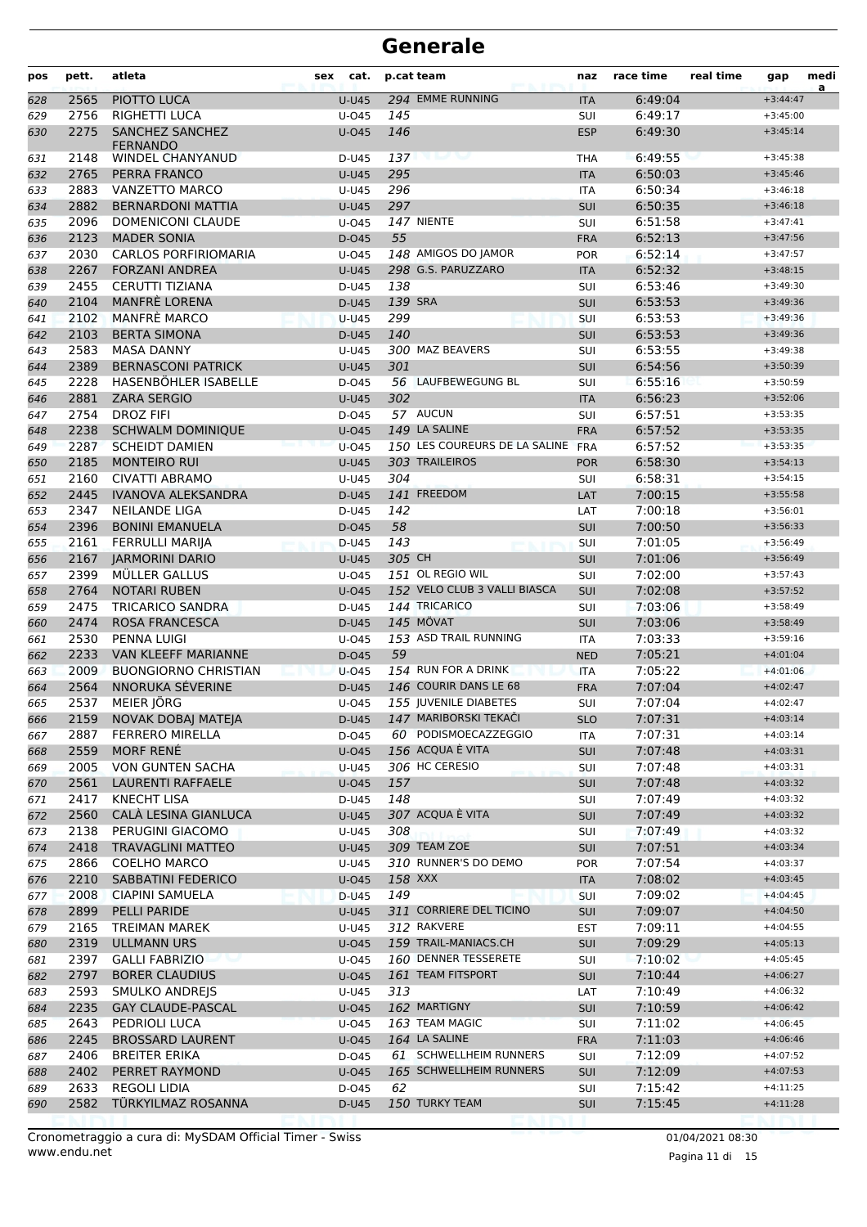| pos        | pett.        | atleta                                            | sex<br>cat.    |         | p.cat team                                      | naz        | race time          | real time | gap                      | medi<br>a |
|------------|--------------|---------------------------------------------------|----------------|---------|-------------------------------------------------|------------|--------------------|-----------|--------------------------|-----------|
| 628        | 2565         | PIOTTO LUCA                                       | <b>U-U45</b>   |         | 294 EMME RUNNING                                | <b>ITA</b> | 6:49:04            |           | $+3:44:47$               |           |
| 629        | 2756         | RIGHETTI LUCA                                     | U-045          | 145     |                                                 | SUI        | 6:49:17            |           | $+3:45:00$               |           |
| 630        | 2275         | SANCHEZ SANCHEZ<br><b>FERNANDO</b>                | $U$ -045       | 146     |                                                 | <b>ESP</b> | 6:49:30            |           | $+3:45:14$               |           |
| 631        | 2148         | WINDEL CHANYANUD                                  | D-U45          | 137     |                                                 | <b>THA</b> | 6:49:55            |           | $+3:45:38$               |           |
| 632        | 2765         | PERRA FRANCO                                      | <b>U-U45</b>   | 295     |                                                 | <b>ITA</b> | 6:50:03            |           | $+3:45:46$               |           |
| 633        | 2883         | VANZETTO MARCO                                    | U-U45          | 296     |                                                 | <b>ITA</b> | 6:50:34            |           | $+3:46:18$               |           |
| 634        | 2882         | <b>BERNARDONI MATTIA</b>                          | <b>U-U45</b>   | 297     |                                                 | <b>SUI</b> | 6:50:35            |           | $+3:46:18$               |           |
| 635        | 2096         | <b>DOMENICONI CLAUDE</b>                          | $U$ -045       |         | 147 NIENTE                                      | SUI        | 6:51:58            |           | $+3:47:41$               |           |
| 636        | 2123         | <b>MADER SONIA</b>                                | D-045          | 55      |                                                 | <b>FRA</b> | 6:52:13            |           | $+3:47:56$               |           |
| 637        | 2030         | <b>CARLOS PORFIRIOMARIA</b>                       | U-045          |         | 148 AMIGOS DO JAMOR                             | <b>POR</b> | 6:52:14            |           | $+3:47:57$               |           |
| 638        | 2267         | <b>FORZANI ANDREA</b>                             | $U-U45$        |         | 298 G.S. PARUZZARO                              | <b>ITA</b> | 6:52:32            |           | $+3:48:15$               |           |
| 639        | 2455         | <b>CERUTTI TIZIANA</b>                            | D-U45          | 138     |                                                 | <b>SUI</b> | 6:53:46            |           | $+3:49:30$               |           |
| 640        | 2104         | MANFRÈ LORENA                                     | D-U45          | 139 SRA |                                                 | <b>SUI</b> | 6:53:53            |           | $+3:49:36$               |           |
| 641        | 2102         | MANFRÉ MARCO                                      | $U-U45$        | 299     |                                                 | SUI        | 6:53:53            |           | $+3:49:36$               |           |
| 642        | 2103         | <b>BERTA SIMONA</b>                               | D-U45          | 140     |                                                 | SUI        | 6:53:53            |           | $+3:49:36$               |           |
| 643        | 2583         | <b>MASA DANNY</b>                                 | U-U45          |         | 300 MAZ BEAVERS                                 | SUI        | 6:53:55            |           | $+3:49:38$               |           |
| 644        | 2389         | <b>BERNASCONI PATRICK</b><br>HASENBÖHLER ISABELLE | <b>U-U45</b>   | 301     | 56 LAUFBEWEGUNG BL                              | <b>SUI</b> | 6:54:56            |           | $+3:50:39$               |           |
| 645        | 2228         |                                                   | D-045          | 302     |                                                 | SUI        | 6:55:16            |           | $+3:50:59$               |           |
| 646        | 2881         | <b>ZARA SERGIO</b><br><b>DROZ FIFI</b>            | <b>U-U45</b>   |         | 57 AUCUN                                        | <b>ITA</b> | 6:56:23            |           | $+3:52:06$<br>$+3:53:35$ |           |
| 647        | 2754         |                                                   | D-045          |         |                                                 | SUI        | 6:57:51            |           |                          |           |
| 648        | 2238         | <b>SCHWALM DOMINIQUE</b>                          | $U$ -045       |         | 149 LA SALINE                                   | <b>FRA</b> | 6:57:52            |           | $+3:53:35$               |           |
| 649        | 2287         | <b>SCHEIDT DAMIEN</b>                             | $U-045$        |         | 150 LES COUREURS DE LA SALINE<br>303 TRAILEIROS | <b>FRA</b> | 6:57:52            |           | $+3:53:35$               |           |
| 650        | 2185         | <b>MONTEIRO RUI</b>                               | <b>U-U45</b>   |         |                                                 | <b>POR</b> | 6:58:30            |           | $+3:54:13$               |           |
| 651        | 2160<br>2445 | CIVATTI ABRAMO                                    | U-U45          | 304     | 141 FREEDOM                                     | SUI        | 6:58:31<br>7:00:15 |           | $+3:54:15$<br>$+3:55:58$ |           |
| 652        | 2347         | <b>IVANOVA ALEKSANDRA</b><br><b>NEILANDE LIGA</b> | D-U45          | 142     |                                                 | LAT        | 7:00:18            |           | $+3:56:01$               |           |
| 653        | 2396         | <b>BONINI EMANUELA</b>                            | D-U45<br>D-045 | 58      |                                                 | LAT<br>SUI | 7:00:50            |           | $+3:56:33$               |           |
| 654        | 2161         | <b>FERRULLI MARIJA</b>                            | D-U45          | 143     |                                                 | SUI        | 7:01:05            |           | $+3:56:49$               |           |
| 655<br>656 | 2167         | <b>JARMORINI DARIO</b>                            | <b>U-U45</b>   | 305 CH  |                                                 | <b>SUI</b> | 7:01:06            |           | $+3:56:49$               |           |
| 657        | 2399         | MÜLLER GALLUS                                     | U-045          |         | 151 OL REGIO WIL                                | SUI        | 7:02:00            |           | $+3:57:43$               |           |
| 658        | 2764         | <b>NOTARI RUBEN</b>                               | $U$ -045       |         | 152 VELO CLUB 3 VALLI BIASCA                    | SUI        | 7:02:08            |           | $+3:57:52$               |           |
| 659        | 2475         | <b>TRICARICO SANDRA</b>                           | D-U45          |         | 144 TRICARICO                                   | SUI        | 7:03:06            |           | $+3:58:49$               |           |
| 660        | 2474         | <b>ROSA FRANCESCA</b>                             | D-U45          |         | <b>145 MÖVAT</b>                                | SUI        | 7:03:06            |           | $+3:58:49$               |           |
| 661        | 2530         | PENNA LUIGI                                       | U-045          |         | 153 ASD TRAIL RUNNING                           | <b>ITA</b> | 7:03:33            |           | $+3:59:16$               |           |
| 662        | 2233         | <b>VAN KLEEFF MARIANNE</b>                        | D-045          | 59      |                                                 | <b>NED</b> | 7:05:21            |           | $+4:01:04$               |           |
| 663        | 2009         | <b>BUONGIORNO CHRISTIAN</b>                       | $U$ -045       |         | 154 RUN FOR A DRINK                             | <b>ITA</b> | 7:05:22            |           | $+4:01:06$               |           |
| 664        | 2564         | NNORUKA SÉVERINE                                  | D-U45          |         | 146 COURIR DANS LE 68                           | <b>FRA</b> | 7:07:04            |           | $+4:02:47$               |           |
| 665        | 2537         | MEIER JÖRG                                        | $U$ -045       |         | 155 JUVENILE DIABETES                           | SUI        | 7:07:04            |           | $+4:02:47$               |           |
| 666        | 2159         | NOVAK DOBAJ MATEJA                                | D-U45          |         | 147 MARIBORSKI TEKAČI                           | <b>SLO</b> | 7:07:31            |           | $+4:03:14$               |           |
| 667        | 2887         | <b>FERRERO MIRELLA</b>                            | D-045          |         | 60 PODISMOECAZZEGGIO                            | ITA        | 7:07:31            |           | $+4:03:14$               |           |
| 668        | 2559         | MORF RENÉ                                         | $U$ -045       |         | 156 ACQUA È VITA                                | SUI        | 7:07:48            |           | $+4:03:31$               |           |
| 669        | 2005         | VON GUNTEN SACHA                                  | U-U45          |         | 306 HC CERESIO                                  | SUI        | 7:07:48            |           | $+4:03:31$               |           |
| 670        | 2561         | LAURENTI RAFFAELE                                 | U-045          | 157     |                                                 | <b>SUI</b> | 7:07:48            |           | $+4:03:32$               |           |
| 671        | 2417         | <b>KNECHT LISA</b>                                | D-U45          | 148     |                                                 | SUI        | 7:07:49            |           | $+4:03:32$               |           |
| 672        | 2560         | CALA LESINA GIANLUCA                              | <b>U-U45</b>   |         | 307 ACQUA E VITA                                | <b>SUI</b> | 7:07:49            |           | $+4:03:32$               |           |
| 673        | 2138         | PERUGINI GIACOMO                                  | U-U45          | 308     |                                                 | SUI        | 7:07:49            |           | $+4:03:32$               |           |
| 674        | 2418         | <b>TRAVAGLINI MATTEO</b>                          | <b>U-U45</b>   |         | 309 TEAM ZOE                                    | SUI        | 7:07:51            |           | $+4:03:34$               |           |
| 675        | 2866         | <b>COELHO MARCO</b>                               | U-U45          |         | 310 RUNNER'S DO DEMO                            | <b>POR</b> | 7:07:54            |           | $+4:03:37$               |           |
| 676        | 2210         | SABBATINI FEDERICO                                | $U$ -045       |         | 158 XXX                                         | <b>ITA</b> | 7:08:02            |           | $+4:03:45$               |           |
| 677        | 2008         | <b>CIAPINI SAMUELA</b>                            | D-U45          | 149     |                                                 | <b>SUI</b> | 7:09:02            |           | $+4:04:45$               |           |
| 678        | 2899         | PELLI PARIDE                                      | U-U45          |         | 311 CORRIERE DEL TICINO                         | <b>SUI</b> | 7:09:07            |           | $+4:04:50$               |           |
| 679        | 2165         | TREIMAN MAREK                                     | U-U45          |         | 312 RAKVERE                                     | <b>EST</b> | 7:09:11            |           | $+4:04:55$               |           |
| 680        | 2319         | <b>ULLMANN URS</b>                                | $U$ -045       |         | 159 TRAIL-MANIACS.CH                            | SUI        | 7:09:29            |           | $+4:05:13$               |           |
| 681        | 2397         | <b>GALLI FABRIZIO</b>                             | U-045          |         | 160 DENNER TESSERETE                            | SUI        | 7:10:02            |           | $+4:05:45$               |           |
| 682        | 2797         | <b>BORER CLAUDIUS</b>                             | $U$ -045       |         | 161 TEAM FITSPORT                               | <b>SUI</b> | 7:10:44            |           | $+4:06:27$               |           |
| 683        | 2593         | <b>SMULKO ANDREJS</b>                             | U-U45          | 313     |                                                 | LAT        | 7:10:49            |           | $+4:06:32$               |           |
| 684        | 2235         | <b>GAY CLAUDE-PASCAL</b>                          | $U$ -045       |         | 162 MARTIGNY                                    | SUI        | 7:10:59            |           | $+4:06:42$               |           |
| 685        | 2643         | PEDRIOLI LUCA                                     | $U$ -045       |         | 163 TEAM MAGIC                                  | SUI        | 7:11:02            |           | $+4:06:45$               |           |
| 686        | 2245         | <b>BROSSARD LAURENT</b>                           | $U$ -045       |         | 164 LA SALINE                                   | <b>FRA</b> | 7:11:03            |           | $+4:06:46$               |           |
| 687        | 2406         | <b>BREITER ERIKA</b>                              | D-045          |         | 61 SCHWELLHEIM RUNNERS                          | SUI        | 7:12:09            |           | $+4:07:52$               |           |
| 688        | 2402         | PERRET RAYMOND                                    | $U$ -045       |         | 165 SCHWELLHEIM RUNNERS                         | <b>SUI</b> | 7:12:09            |           | $+4:07:53$               |           |
| 689        | 2633         | REGOLI LIDIA                                      | D-045          | 62      |                                                 | <b>SUI</b> | 7:15:42            |           | $+4:11:25$               |           |
| 690        | 2582         | TÜRKYILMAZ ROSANNA                                | D-U45          |         | 150 TURKY TEAM                                  | SUI        | 7:15:45            |           | $+4:11:28$               |           |
|            |              |                                                   |                |         |                                                 |            |                    |           |                          |           |

www.endu.net Cronometraggio a cura di: MySDAM Official Timer - Swiss 01/04/2021 08:30

Pagina 11 di 15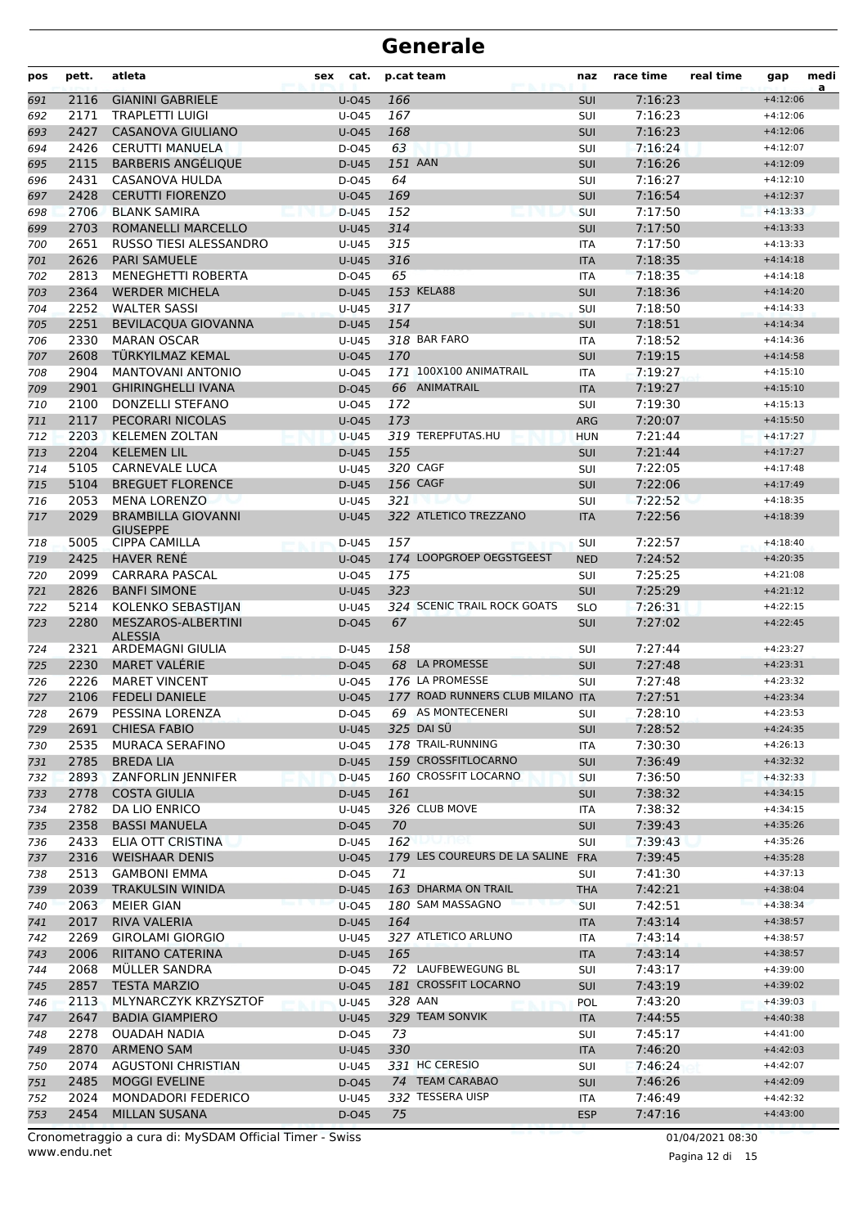| pos        | pett.        | atleta                                       | cat.<br>sex    | p.cat team |                                   | naz               | race time          | real time | gap                      | medi<br>a |
|------------|--------------|----------------------------------------------|----------------|------------|-----------------------------------|-------------------|--------------------|-----------|--------------------------|-----------|
| 691        | 2116         | <b>GIANINI GABRIELE</b>                      | $U$ -045       | 166        |                                   | <b>SUI</b>        | 7:16:23            |           | $+4:12:06$               |           |
| 692        | 2171         | <b>TRAPLETTI LUIGI</b>                       | U-045          | 167        |                                   | SUI               | 7:16:23            |           | $+4:12:06$               |           |
| 693        | 2427         | <b>CASANOVA GIULIANO</b>                     | $U$ -045       | 168        |                                   | <b>SUI</b>        | 7:16:23            |           | $+4:12:06$               |           |
| 694        | 2426         | <b>CERUTTI MANUELA</b>                       | $D-045$        | 63         |                                   | SUI               | 7:16:24            |           | $+4:12:07$               |           |
| 695        | 2115         | <b>BARBERIS ANGÉLIQUE</b>                    | D-U45          | 151 AAN    |                                   | <b>SUI</b>        | 7:16:26            |           | $+4:12:09$               |           |
| 696        | 2431         | <b>CASANOVA HULDA</b>                        | D-045          | 64         |                                   | SUI               | 7:16:27            |           | $+4:12:10$               |           |
| 697        | 2428         | <b>CERUTTI FIORENZO</b>                      | $U$ -045       | 169        |                                   | <b>SUI</b>        | 7:16:54            |           | $+4:12:37$               |           |
| 698        | 2706         | <b>BLANK SAMIRA</b>                          | $D-U45$        | 152        |                                   | SUI               | 7:17:50            |           | $+4:13:33$               |           |
| 699        | 2703         | <b>ROMANELLI MARCELLO</b>                    | <b>U-U45</b>   | 314        |                                   | <b>SUI</b>        | 7:17:50            |           | $+4:13:33$               |           |
| 700        | 2651         | RUSSO TIESI ALESSANDRO                       | U-U45          | 315        |                                   | <b>ITA</b>        | 7:17:50            |           | $+4:13:33$               |           |
| 701        | 2626         | <b>PARI SAMUELE</b>                          | <b>U-U45</b>   | 316        |                                   | <b>ITA</b>        | 7:18:35            |           | $+4:14:18$               |           |
| 702        | 2813         | <b>MENEGHETTI ROBERTA</b>                    | D-045          | 65         |                                   | <b>ITA</b>        | 7:18:35            |           | $+4:14:18$               |           |
| 703        | 2364         | <b>WERDER MICHELA</b>                        | D-U45          |            | 153 KELA88                        | <b>SUI</b>        | 7:18:36            |           | $+4:14:20$               |           |
| 704        | 2252         | <b>WALTER SASSI</b>                          | U-U45          | 317        |                                   | SUI               | 7:18:50            |           | $+4:14:33$               |           |
| 705        | 2251         | <b>BEVILACQUA GIOVANNA</b>                   | D-U45          | 154        |                                   | <b>SUI</b>        | 7:18:51            |           | $+4:14:34$               |           |
| 706        | 2330         | <b>MARAN OSCAR</b>                           | U-U45          |            | 318 BAR FARO                      | <b>ITA</b>        | 7:18:52            |           | $+4:14:36$               |           |
| 707        | 2608         | TÜRKYILMAZ KEMAL                             | $U$ -045       | 170        |                                   | <b>SUI</b>        | 7:19:15            |           | $+4:14:58$               |           |
| 708        | 2904         | MANTOVANI ANTONIO                            | $U$ -045       |            | 171 100X100 ANIMATRAIL            | <b>ITA</b>        | 7:19:27            |           | $+4:15:10$               |           |
| 709        | 2901         | <b>GHIRINGHELLI IVANA</b>                    | $D-045$        |            | 66 ANIMATRAIL                     | <b>ITA</b>        | 7:19:27            |           | $+4:15:10$               |           |
| 710        | 2100         | DONZELLI STEFANO                             | U-045          | 172        |                                   | SUI               | 7:19:30            |           | $+4:15:13$               |           |
| 711        | 2117         | PECORARI NICOLAS                             | $U$ -045       | 173        |                                   | <b>ARG</b>        | 7:20:07            |           | $+4:15:50$               |           |
| 712        | 2203         | <b>KELEMEN ZOLTAN</b>                        | $U-U45$        |            | 319 TEREPFUTAS.HU                 | <b>HUN</b>        | 7:21:44            |           | $+4:17:27$               |           |
| 713        | 2204         | <b>KELEMEN LIL</b>                           | D-U45          | 155        |                                   | <b>SUI</b>        | 7:21:44            |           | $+4:17:27$               |           |
| 714        | 5105         | <b>CARNEVALE LUCA</b>                        | U-U45          |            | 320 CAGF                          | SUI               | 7:22:05            |           | $+4:17:48$               |           |
| 715        | 5104         | <b>BREGUET FLORENCE</b>                      | D-U45          |            | 156 CAGF                          | <b>SUI</b>        | 7:22:06            |           | $+4:17:49$               |           |
| 716        | 2053         | <b>MENA LORENZO</b>                          | U-U45          | 321        |                                   | SUI               | 7:22:52            |           | $+4:18:35$               |           |
| 717        | 2029         | <b>BRAMBILLA GIOVANNI</b><br><b>GIUSEPPE</b> | <b>U-U45</b>   |            | 322 ATLETICO TREZZANO             | <b>ITA</b>        | 7:22:56            |           | $+4:18:39$               |           |
| 718        | 5005         | <b>CIPPA CAMILLA</b>                         | D-U45          | 157        |                                   | <b>SUI</b>        | 7:22:57            |           | $+4:18:40$               |           |
| 719        | 2425         | <b>HAVER RENE</b>                            | $U$ -045       |            | 174 LOOPGROEP OEGSTGEEST          | <b>NED</b>        | 7:24:52            |           | $+4:20:35$               |           |
| 720        | 2099         | <b>CARRARA PASCAL</b>                        | $U$ -045       | 175        |                                   | SUI               | 7:25:25            |           | $+4:21:08$               |           |
| 721        | 2826         | <b>BANFI SIMONE</b>                          | <b>U-U45</b>   | 323        |                                   | <b>SUI</b>        | 7:25:29            |           | $+4:21:12$               |           |
| 722        | 5214         | KOLENKO SEBASTIJAN                           | U-U45          |            | 324 SCENIC TRAIL ROCK GOATS       | <b>SLO</b>        | 7:26:31            |           | $+4:22:15$               |           |
| 723        | 2280         | MESZAROS-ALBERTINI<br><b>ALESSIA</b>         | $D-045$        | 67         |                                   | <b>SUI</b>        | 7:27:02            |           | $+4:22:45$               |           |
| 724        | 2321         | ARDEMAGNI GIULIA                             | D-U45          | 158        |                                   | <b>SUI</b>        | 7:27:44            |           | $+4:23:27$               |           |
| 725        | 2230         | <b>MARET VALERIE</b>                         | D-045          |            | 68 LA PROMESSE                    | <b>SUI</b>        | 7:27:48            |           | $+4:23:31$               |           |
| 726        | 2226         | <b>MARET VINCENT</b>                         | $U$ -045       |            | 176 LA PROMESSE                   | SUI               | 7:27:48            |           | $+4:23:32$               |           |
| 727        | 2106         | <b>FEDELI DANIELE</b>                        | $U$ -045       |            | 177 ROAD RUNNERS CLUB MILANO ITA  |                   | 7:27:51            |           | $+4:23:34$               |           |
| 728        | 2679         | PESSINA LORENZA                              | D-045          |            | 69 AS MONTECENERI                 | SUI               | 7:28:10            |           | $+4:23:53$               |           |
| 729        | 2691         | <b>CHIESA FABIO</b>                          | <b>U-U45</b>   |            | 325 DAI SÜ                        | <b>SUI</b>        | 7:28:52            |           | $+4:24:35$               |           |
| 730        | 2535         | MURACA SERAFINO                              | U-045          |            | 178 TRAIL-RUNNING                 | ITA               | 7:30:30            |           | $+4:26:13$               |           |
| 731        | 2785         | <b>BREDA LIA</b>                             | D-U45          |            | 159 CROSSFITLOCARNO               | <b>SUI</b>        | 7:36:49            |           | $+4:32:32$               |           |
| 732        | 2893         | ZANFORLIN JENNIFER                           | D-U45          |            | 160 CROSSFIT LOCARNO              | SUI               | 7:36:50            |           | $+4:32:33$               |           |
| 733        | 2778         | <b>COSTA GIULIA</b>                          | D-U45          | 161        |                                   | <b>SUI</b>        | 7:38:32            |           | $+4:34:15$               |           |
| 734        | 2782         | DA LIO ENRICO                                | U-U45          |            | 326 CLUB MOVE                     | ITA               | 7:38:32            |           | $+4:34:15$               |           |
| 735        | 2358         | <b>BASSI MANUELA</b>                         | D-045          | 70         |                                   | SUI               | 7:39:43            |           | $+4:35:26$               |           |
| 736        | 2433         | ELIA OTT CRISTINA                            | D-U45          | 162        | 7U.NUL                            | SUI               | 7:39:43            |           | $+4:35:26$               |           |
| 737        | 2316         | <b>WEISHAAR DENIS</b>                        | $U$ -045       |            | 179 LES COUREURS DE LA SALINE FRA |                   | 7:39:45            |           | $+4:35:28$               |           |
| 738        | 2513         | <b>GAMBONI EMMA</b>                          | D-045          | 71         | 163 DHARMA ON TRAIL               | SUI               | 7:41:30            |           | $+4:37:13$               |           |
| 739        | 2039         | <b>TRAKULSIN WINIDA</b>                      | D-U45          |            | 180 SAM MASSAGNO                  | <b>THA</b>        | 7:42:21            |           | $+4:38:04$               |           |
| 740        | 2063         | <b>MEIER GIAN</b>                            | $U$ -045       |            |                                   | <b>SUI</b>        | 7:42:51            |           | $+4:38:34$               |           |
| 741        | 2017<br>2269 | RIVA VALERIA<br><b>GIROLAMI GIORGIO</b>      | D-U45          | 164        | 327 ATLETICO ARLUNO               | <b>ITA</b>        | 7:43:14<br>7:43:14 |           | $+4:38:57$               |           |
| 742        |              |                                              | U-U45          |            |                                   | ITA               |                    |           | $+4:38:57$               |           |
| 743        | 2006<br>2068 | RIITANO CATERINA<br>MÜLLER SANDRA            | D-U45<br>D-045 | 165        | 72 LAUFBEWEGUNG BL                | <b>ITA</b><br>SUI | 7:43:14<br>7:43:17 |           | $+4:38:57$<br>$+4:39:00$ |           |
| 744        | 2857         | <b>TESTA MARZIO</b>                          | $U$ -045       |            | 181 CROSSFIT LOCARNO              |                   |                    |           | $+4:39:02$               |           |
| 745        | 2113         | MLYNARCZYK KRZYSZTOF                         | $U-U45$        | 328 AAN    |                                   | <b>SUI</b><br>POL | 7:43:19<br>7:43:20 |           | $+4:39:03$               |           |
| 746<br>747 | 2647         | <b>BADIA GIAMPIERO</b>                       | <b>U-U45</b>   |            | 329 TEAM SONVIK                   | <b>ITA</b>        | 7:44:55            |           | $+4:40:38$               |           |
|            | 2278         | <b>OUADAH NADIA</b>                          | D-045          | 73         |                                   | <b>SUI</b>        | 7:45:17            |           | $+4:41:00$               |           |
| 748<br>749 | 2870         | <b>ARMENO SAM</b>                            | <b>U-U45</b>   | 330        |                                   | <b>ITA</b>        | 7:46:20            |           | $+4:42:03$               |           |
| 750        | 2074         | <b>AGUSTONI CHRISTIAN</b>                    | U-U45          |            | 331 HC CERESIO                    | SUI               | 7:46:24            |           | $+4:42:07$               |           |
| 751        | 2485         | <b>MOGGI EVELINE</b>                         | D-045          |            | 74 TEAM CARABAO                   | <b>SUI</b>        | 7:46:26            |           | $+4:42:09$               |           |
| 752        | 2024         | <b>MONDADORI FEDERICO</b>                    | U-U45          |            | 332 TESSERA UISP                  | ITA               | 7:46:49            |           | $+4:42:32$               |           |
| 753        | 2454         | <b>MILLAN SUSANA</b>                         | D-045          | 75         |                                   | <b>ESP</b>        | 7:47:16            |           | $+4:43:00$               |           |
|            |              |                                              |                |            |                                   |                   |                    |           |                          |           |

www.endu.net Cronometraggio a cura di: MySDAM Official Timer - Swiss 01/04/2021 08:30

Pagina 12 di 15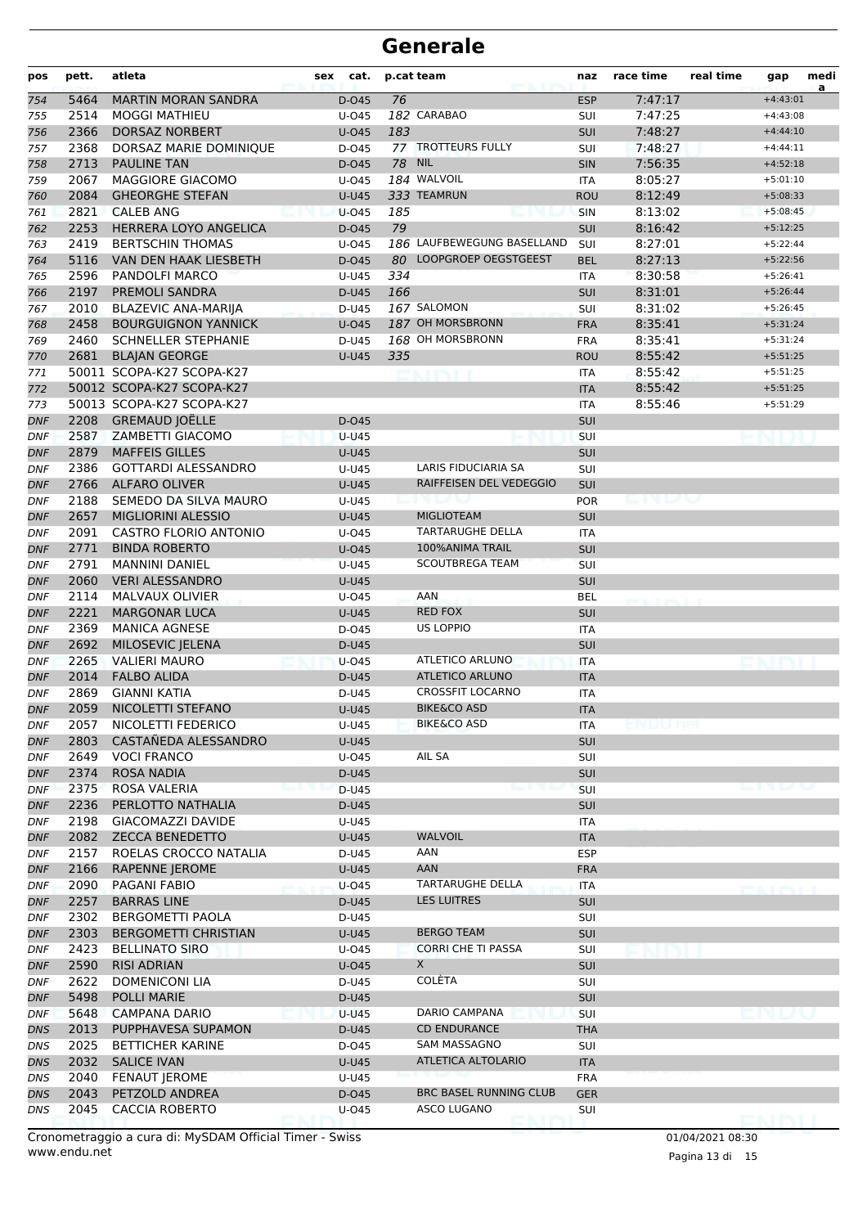| pos               | pett. | atleta                       | sex<br>cat.    |               | p.cat team                                     | naz               | race time | real time | gap        | medi<br>a |
|-------------------|-------|------------------------------|----------------|---------------|------------------------------------------------|-------------------|-----------|-----------|------------|-----------|
| 754               | 5464  | <b>MARTIN MORAN SANDRA</b>   | D-045          | 76            |                                                | <b>ESP</b>        | 7:47:17   |           | $+4:43:01$ |           |
| 755               | 2514  | <b>MOGGI MATHIEU</b>         | U-045          |               | 182 CARABAO                                    | SUI               | 7:47:25   |           | $+4:43:08$ |           |
| 756               | 2366  | <b>DORSAZ NORBERT</b>        | $U$ -045       | 183           |                                                | <b>SUI</b>        | 7:48:27   |           | $+4:44:10$ |           |
| 757               | 2368  | DORSAZ MARIE DOMINIQUE       | D-045          |               | 77 TROTTEURS FULLY                             | SUI               | 7:48:27   |           | $+4:44:11$ |           |
| 758               | 2713  | <b>PAULINE TAN</b>           | D-045          | <b>78 NIL</b> |                                                | <b>SIN</b>        | 7:56:35   |           | $+4:52:18$ |           |
| 759               | 2067  | MAGGIORE GIACOMO             | $U$ -045       |               | 184 WALVOIL                                    | <b>ITA</b>        | 8:05:27   |           | $+5:01:10$ |           |
| 760               | 2084  | <b>GHEORGHE STEFAN</b>       | $U-U45$        |               | 333 TEAMRUN                                    | <b>ROU</b>        | 8:12:49   |           | $+5:08:33$ |           |
| 761               | 2821  | <b>CALEB ANG</b>             | $U$ -045       | 185           |                                                | SIN               | 8:13:02   |           | $+5:08:45$ |           |
| 762               | 2253  | HERRERA LOYO ANGELICA        | D-045          | 79            |                                                | <b>SUI</b>        | 8:16:42   |           | $+5:12:25$ |           |
| 763               | 2419  | <b>BERTSCHIN THOMAS</b>      | $U$ -045       |               | 186 LAUFBEWEGUNG BASELLAND                     | SUI               | 8:27:01   |           | $+5:22:44$ |           |
| 764               | 5116  | VAN DEN HAAK LIESBETH        | D-045          |               | 80 LOOPGROEP OEGSTGEEST                        | <b>BEL</b>        | 8:27:13   |           | $+5:22:56$ |           |
| 765               | 2596  | PANDOLFI MARCO               | U-U45          | 334           |                                                | <b>ITA</b>        | 8:30:58   |           | $+5:26:41$ |           |
| 766               | 2197  | <b>PREMOLI SANDRA</b>        | D-U45          | 166           |                                                | <b>SUI</b>        | 8:31:01   |           | $+5:26:44$ |           |
| 767               | 2010  | <b>BLAZEVIC ANA-MARIJA</b>   | D-U45          |               | 167 SALOMON                                    | SUI               | 8:31:02   |           | $+5:26:45$ |           |
| 768               | 2458  | <b>BOURGUIGNON YANNICK</b>   | $U$ -045       |               | 187 OH MORSBRONN                               | <b>FRA</b>        | 8:35:41   |           | $+5:31:24$ |           |
| 769               | 2460  | <b>SCHNELLER STEPHANIE</b>   | D-U45          |               | 168 OH MORSBRONN                               | <b>FRA</b>        | 8:35:41   |           | $+5:31:24$ |           |
| 770               | 2681  | <b>BLAJAN GEORGE</b>         | <b>U-U45</b>   | 335           |                                                | <b>ROU</b>        | 8:55:42   |           | $+5:51:25$ |           |
| 771               |       | 50011 SCOPA-K27 SCOPA-K27    |                |               |                                                | <b>ITA</b>        | 8:55:42   |           | $+5:51:25$ |           |
| 772               |       | 50012 SCOPA-K27 SCOPA-K27    |                |               |                                                | <b>ITA</b>        | 8:55:42   |           | $+5:51:25$ |           |
| 773               |       | 50013 SCOPA-K27 SCOPA-K27    |                |               |                                                | <b>ITA</b>        | 8:55:46   |           | $+5:51:29$ |           |
| DNF               |       | 2208 GREMAUD JOËLLE          | D-045          |               |                                                | <b>SUI</b>        |           |           |            |           |
| DNF               | 2587  | ZAMBETTI GIACOMO             | <b>U-U45</b>   |               |                                                | <b>SUI</b>        |           |           |            |           |
| <b>DNF</b>        | 2879  | <b>MAFFEIS GILLES</b>        | <b>U-U45</b>   |               |                                                | <b>SUI</b>        |           |           |            |           |
| <b>DNF</b>        | 2386  | <b>GOTTARDI ALESSANDRO</b>   | U-U45          |               | LARIS FIDUCIARIA SA                            | SUI               |           |           |            |           |
| <b>DNF</b>        | 2766  | <b>ALFARO OLIVER</b>         | <b>U-U45</b>   |               | RAIFFEISEN DEL VEDEGGIO                        | <b>SUI</b>        |           |           |            |           |
| <b>DNF</b>        | 2188  | SEMEDO DA SILVA MAURO        | U-U45          |               |                                                | <b>POR</b>        |           |           |            |           |
| DNF               | 2657  | <b>MIGLIORINI ALESSIO</b>    | <b>U-U45</b>   |               | <b>MIGLIOTEAM</b>                              | <b>SUI</b>        |           |           |            |           |
| DNF               | 2091  | <b>CASTRO FLORIO ANTONIO</b> | $U$ -045       |               | <b>TARTARUGHE DELLA</b>                        | <b>ITA</b>        |           |           |            |           |
| <b>DNF</b>        | 2771  | <b>BINDA ROBERTO</b>         | U-045          |               | 100%ANIMA TRAIL                                | <b>SUI</b>        |           |           |            |           |
| <b>DNF</b>        | 2791  | <b>MANNINI DANIEL</b>        | <b>U-U45</b>   |               | <b>SCOUTBREGA TEAM</b>                         | SUI               |           |           |            |           |
| <b>DNF</b>        | 2060  | <b>VERI ALESSANDRO</b>       | <b>U-U45</b>   |               |                                                | <b>SUI</b>        |           |           |            |           |
| DNF               | 2114  | <b>MALVAUX OLIVIER</b>       | U-045          |               | <b>AAN</b>                                     | <b>BEL</b>        |           |           |            |           |
| DNF               | 2221  | <b>MARGONAR LUCA</b>         | <b>U-U45</b>   |               | <b>RED FOX</b>                                 | <b>SUI</b>        |           |           |            |           |
| DNF               | 2369  | <b>MANICA AGNESE</b>         | D-045          |               | <b>US LOPPIO</b>                               | <b>ITA</b>        |           |           |            |           |
| <b>DNF</b>        | 2692  | MILOSEVIC JELENA             | D-U45          |               |                                                | SUI               |           |           |            |           |
| <b>DNF</b>        | 2265  | <b>VALIERI MAURO</b>         | $U$ -045       |               | ATLETICO ARLUNO                                | <b>ITA</b>        |           |           |            |           |
| <b>DNF</b>        | 2014  | <b>FALBO ALIDA</b>           | D-U45          |               | <b>ATLETICO ARLUNO</b>                         | <b>ITA</b>        |           |           |            |           |
| <b>DNF</b>        | 2869  | <b>GIANNI KATIA</b>          | D-U45          |               | <b>CROSSFIT LOCARNO</b>                        | <b>ITA</b>        |           |           |            |           |
| <b>DNF</b>        | 2059  | NICOLETTI STEFANO            | <b>U-U45</b>   |               | <b>BIKE&amp;CO ASD</b>                         | <b>ITA</b>        |           |           |            |           |
| DNF               | 2057  | NICOLETTI FEDERICO           | U-U45          |               | <b>BIKE&amp;CO ASD</b>                         | ITA               |           |           |            |           |
| <b>DNF</b>        | 2803  | CASTAÑEDA ALESSANDRO         | U-U45          |               |                                                | SUI               |           |           |            |           |
| DNF               | 2649  | <b>VOCI FRANCO</b>           | U-045          |               | AIL SA                                         | SUI               |           |           |            |           |
| DNF               | 2374  | <b>ROSA NADIA</b>            | D-U45          |               |                                                | <b>SUI</b>        |           |           |            |           |
| DNF               | 2375  | ROSA VALERIA                 | D-U45          |               |                                                | SUI               |           |           |            |           |
| DNF               | 2236  | PERLOTTO NATHALIA            | D-U45          |               |                                                | SUI               |           |           |            |           |
|                   | 2198  | GIACOMAZZI DAVIDE            |                |               |                                                |                   |           |           |            |           |
| DNF<br><b>DNF</b> | 2082  | <b>ZECCA BENEDETTO</b>       | U-U45<br>U-U45 |               | <b>WALVOIL</b>                                 | ITA<br><b>ITA</b> |           |           |            |           |
|                   | 2157  | ROELAS CROCCO NATALIA        | D-U45          |               | AAN                                            | <b>ESP</b>        |           |           |            |           |
| DNF               | 2166  | <b>RAPENNE JEROME</b>        | <b>U-U45</b>   |               | <b>AAN</b>                                     | <b>FRA</b>        |           |           |            |           |
| DNF               | 2090  | <b>PAGANI FABIO</b>          |                |               | TARTARUGHE DELLA                               |                   |           |           |            |           |
| DNF               |       | <b>BARRAS LINE</b>           | U-045          |               | <b>LES LUITRES</b>                             | ITA               |           |           |            |           |
| DNF               | 2257  |                              | D-U45          |               |                                                | SUI               |           |           |            |           |
| DNF               | 2302  | <b>BERGOMETTI PAOLA</b>      | D-U45          |               |                                                | SUI               |           |           |            |           |
| <b>DNF</b>        | 2303  | <b>BERGOMETTI CHRISTIAN</b>  | U-U45          |               | <b>BERGO TEAM</b><br><b>CORRI CHE TI PASSA</b> | SUI               |           |           |            |           |
| DNF               | 2423  | <b>BELLINATO SIRO</b>        | U-045          |               |                                                | SUI               |           |           |            |           |
| DNF               | 2590  | <b>RISI ADRIAN</b>           | U-045          |               | X.                                             | <b>SUI</b>        |           |           |            |           |
| DNF               | 2622  | <b>DOMENICONI LIA</b>        | D-U45          |               | COLÈTA                                         | <b>SUI</b>        |           |           |            |           |
| DNF               | 5498  | <b>POLLI MARIE</b>           | D-U45          |               |                                                | SUI               |           |           |            |           |
| DNF               | 5648  | <b>CAMPANA DARIO</b>         | <b>U-U45</b>   |               | DARIO CAMPANA                                  | SUI               |           |           |            |           |
| DNS               | 2013  | PUPPHAVESA SUPAMON           | D-U45          |               | <b>CD ENDURANCE</b>                            | <b>THA</b>        |           |           |            |           |
| DNS               | 2025  | <b>BETTICHER KARINE</b>      | D-045          |               | SAM MASSAGNO                                   | SUI               |           |           |            |           |
| DNS               | 2032  | <b>SALICE IVAN</b>           | <b>U-U45</b>   |               | ATLETICA ALTOLARIO                             | <b>ITA</b>        |           |           |            |           |
| DNS               | 2040  | <b>FENAUT JEROME</b>         | U-U45          |               |                                                | <b>FRA</b>        |           |           |            |           |
| DNS               | 2043  | PETZOLD ANDREA               | D-045          |               | <b>BRC BASEL RUNNING CLUB</b>                  | <b>GER</b>        |           |           |            |           |
| <b>DNS</b>        | 2045  | <b>CACCIA ROBERTO</b>        | U-045          |               | ASCO LUGANO                                    | SUI               |           |           | ENIMI      |           |

www.endu.net Cronometraggio a cura di: MySDAM Official Timer - Swiss 01/04/2021 08:30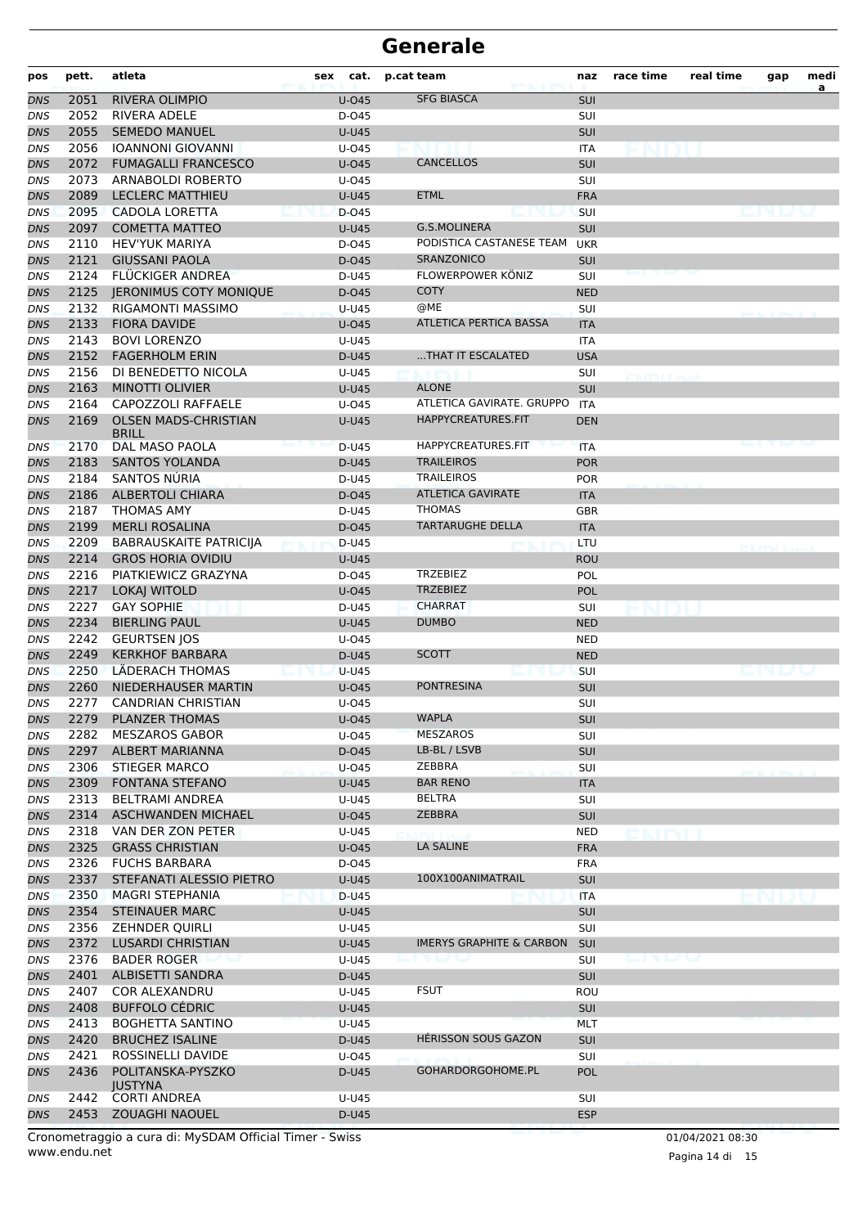| pos        | pett. | atleta                              | cat.<br>sex           | p.cat team                          | naz               | race time         | real time | gap | medi |
|------------|-------|-------------------------------------|-----------------------|-------------------------------------|-------------------|-------------------|-----------|-----|------|
| <b>DNS</b> | 2051  | <b>RIVERA OLIMPIO</b>               | <b>U-045</b>          | <b>SFG BIASCA</b>                   | <b>SUI</b>        |                   |           |     | a    |
| DNS        | 2052  | <b>RIVERA ADELE</b>                 | D-045                 |                                     | SUI               |                   |           |     |      |
| <b>DNS</b> | 2055  | <b>SEMEDO MANUEL</b>                | <b>U-U45</b>          |                                     | SUI               |                   |           |     |      |
| DNS        | 2056  | <b>IOANNONI GIOVANNI</b>            | U-045                 |                                     | ITA               |                   |           |     |      |
| <b>DNS</b> | 2072  | <b>FUMAGALLI FRANCESCO</b>          | U-045                 | <b>CANCELLOS</b>                    | <b>SUI</b>        |                   |           |     |      |
| DNS        | 2073  | ARNABOLDI ROBERTO                   | U-045                 |                                     | SUI               |                   |           |     |      |
| <b>DNS</b> | 2089  | <b>LECLERC MATTHIEU</b>             | <b>U-U45</b>          | <b>ETML</b>                         | <b>FRA</b>        |                   |           |     |      |
| DNS        | 2095  | CADOLA LORETTA                      | D-045                 |                                     | <b>SUI</b>        |                   |           |     |      |
| <b>DNS</b> | 2097  | <b>COMETTA MATTEO</b>               | <b>U-U45</b>          | <b>G.S.MOLINERA</b>                 | SUI               |                   |           |     |      |
| DNS        | 2110  | <b>HEV'YUK MARIYA</b>               | D-045                 | PODISTICA CASTANESE TEAM            | <b>UKR</b>        |                   |           |     |      |
| <b>DNS</b> | 2121  | <b>GIUSSANI PAOLA</b>               | D-045                 | <b>SRANZONICO</b>                   | <b>SUI</b>        |                   |           |     |      |
| DNS        | 2124  | <b>FLUCKIGER ANDREA</b>             | D-U45                 | FLOWERPOWER KÖNIZ                   | <b>SUI</b>        |                   |           |     |      |
| <b>DNS</b> | 2125  | <b>JERONIMUS COTY MONIQUE</b>       | $D-045$               | <b>COTY</b>                         | <b>NED</b>        |                   |           |     |      |
| DNS        | 2132  | RIGAMONTI MASSIMO                   | U-U45                 | @ME                                 | SUI               |                   |           |     |      |
| <b>DNS</b> | 2133  | <b>FIORA DAVIDE</b>                 | U-045                 | ATLETICA PERTICA BASSA              | <b>ITA</b>        |                   |           |     |      |
| DNS        | 2143  | <b>BOVI LORENZO</b>                 | U-U45                 |                                     | <b>ITA</b>        |                   |           |     |      |
| <b>DNS</b> | 2152  | <b>FAGERHOLM ERIN</b>               | D-U45                 | THAT IT ESCALATED                   | <b>USA</b>        |                   |           |     |      |
| DNS        | 2156  | DI BENEDETTO NICOLA                 | U-U45                 |                                     | SUI               |                   |           |     |      |
| <b>DNS</b> | 2163  | <b>MINOTTI OLIVIER</b>              | <b>U-U45</b>          | <b>ALONE</b>                        | <b>SUI</b>        |                   |           |     |      |
| DNS        | 2164  | CAPOZZOLI RAFFAELE                  | U-045                 | ATLETICA GAVIRATE. GRUPPO           | <b>ITA</b>        |                   |           |     |      |
| <b>DNS</b> | 2169  | <b>OLSEN MADS-CHRISTIAN</b>         | <b>U-U45</b>          | HAPPYCREATURES.FIT                  | <b>DEN</b>        |                   |           |     |      |
| DNS        | 2170  | <b>BRILL</b><br>DAL MASO PAOLA      | D-U45                 | HAPPYCREATURES.FIT                  | <b>ITA</b>        |                   |           |     |      |
| <b>DNS</b> | 2183  | <b>SANTOS YOLANDA</b>               | D-U45                 | <b>TRAILEIROS</b>                   | <b>POR</b>        |                   |           |     |      |
| DNS        | 2184  | SANTOS NÚRIA                        | D-U45                 | <b>TRAILEIROS</b>                   | <b>POR</b>        |                   |           |     |      |
| <b>DNS</b> | 2186  | <b>ALBERTOLI CHIARA</b>             | D-045                 | <b>ATLETICA GAVIRATE</b>            | <b>ITA</b>        |                   |           |     |      |
| DNS        | 2187  | <b>THOMAS AMY</b>                   | D-U45                 | <b>THOMAS</b>                       | GBR               |                   |           |     |      |
| DNS        | 2199  | <b>MERLI ROSALINA</b>               | D-045                 | <b>TARTARUGHE DELLA</b>             | <b>ITA</b>        |                   |           |     |      |
| <b>DNS</b> | 2209  | <b>BABRAUSKAITE PATRICIJA</b>       | D-U45                 |                                     | LTU               |                   |           |     |      |
| <b>DNS</b> | 2214  | <b>GROS HORIA OVIDIU</b>            | <b>U-U45</b>          |                                     | <b>ROU</b>        |                   |           |     |      |
|            | 2216  | PIATKIEWICZ GRAZYNA                 | D-045                 | <b>TRZEBIEZ</b>                     | POL               |                   |           |     |      |
| DNS        | 2217  | LOKAJ WITOLD                        |                       | <b>TRZEBIEZ</b>                     | <b>POL</b>        |                   |           |     |      |
| <b>DNS</b> | 2227  | <b>GAY SOPHIE</b>                   | U-045                 | <b>CHARRAT</b>                      |                   |                   |           |     |      |
| DNS        | 2234  | <b>BIERLING PAUL</b>                | D-U45<br><b>U-U45</b> | <b>DUMBO</b>                        | SUI<br><b>NED</b> |                   |           |     |      |
| <b>DNS</b> | 2242  | <b>GEURTSEN JOS</b>                 |                       |                                     |                   |                   |           |     |      |
| DNS        | 2249  | <b>KERKHOF BARBARA</b>              | $U$ -045              | <b>SCOTT</b>                        | <b>NED</b>        |                   |           |     |      |
| <b>DNS</b> |       |                                     | D-U45                 |                                     | <b>NED</b>        |                   |           |     |      |
| DNS        | 2250  | LÄDERACH THOMAS                     | U-U45                 |                                     | <b>SUI</b>        |                   |           |     |      |
| <b>DNS</b> | 2260  | NIEDERHAUSER MARTIN                 | $U$ -045              | <b>PONTRESINA</b>                   | SUI               |                   |           |     |      |
| DNS        | 2277  | <b>CANDRIAN CHRISTIAN</b>           | U-045                 |                                     | SUI               |                   |           |     |      |
| DNS        | 2279  | <b>PLANZER THOMAS</b>               | U-045                 | <b>WAPLA</b>                        | <b>SUI</b>        |                   |           |     |      |
| DNS        | 2282  | <b>MESZAROS GABOR</b>               | U-045                 | <b>MESZAROS</b>                     | <b>SUI</b>        |                   |           |     |      |
| <b>DNS</b> | 2297  | ALBERT MARIANNA                     | D-045                 | LB-BL / LSVB                        | SUI               |                   |           |     |      |
| DNS        | 2306  | <b>STIEGER MARCO</b>                | U-045                 | ZEBBRA                              | <b>SUI</b>        |                   |           |     |      |
| DNS        | 2309  | <b>FONTANA STEFANO</b>              | U-U45                 | <b>BAR RENO</b>                     | <b>ITA</b>        |                   |           |     |      |
| DNS        | 2313  | <b>BELTRAMI ANDREA</b>              | U-U45                 | BELTRA                              | SUI               |                   |           |     |      |
| DNS        | 2314  | <b>ASCHWANDEN MICHAEL</b>           | U-045                 | ZEBBRA                              | <b>SUI</b>        |                   |           |     |      |
| DNS        | 2318  | VAN DER ZON PETER                   | U-U45                 |                                     | <b>NED</b>        |                   |           |     |      |
| <b>DNS</b> | 2325  | <b>GRASS CHRISTIAN</b>              | <b>U-045</b>          | <b>LA SALINE</b>                    | <b>FRA</b>        |                   |           |     |      |
| DNS        | 2326  | <b>FUCHS BARBARA</b>                | D-045                 |                                     | <b>FRA</b>        |                   |           |     |      |
| DNS        | 2337  | STEFANATI ALESSIO PIETRO            | U-U45                 | 100X100ANIMATRAIL                   | <b>SUI</b>        |                   |           |     |      |
| DNS        | 2350  | MAGRI STEPHANIA                     | D-U45                 |                                     | <b>ITA</b>        |                   |           |     |      |
| DNS        | 2354  | <b>STEINAUER MARC</b>               | <b>U-U45</b>          |                                     | <b>SUI</b>        |                   |           |     |      |
| DNS        | 2356  | <b>ZEHNDER QUIRLI</b>               | U-U45                 |                                     | <b>SUI</b>        |                   |           |     |      |
| <b>DNS</b> | 2372  | <b>LUSARDI CHRISTIAN</b>            | <b>U-U45</b>          | <b>IMERYS GRAPHITE &amp; CARBON</b> | <b>SUI</b>        |                   |           |     |      |
| DNS        | 2376  | <b>BADER ROGER</b>                  | U-U45                 |                                     | <b>SUI</b>        | <u>in I</u> n Isa |           |     |      |
| DNS        | 2401  | ALBISETTI SANDRA                    | D-U45                 |                                     | <b>SUI</b>        |                   |           |     |      |
| DNS        | 2407  | COR ALEXANDRU                       | U-U45                 | <b>FSUT</b>                         | ROU               |                   |           |     |      |
| DNS        | 2408  | <b>BUFFOLO CÉDRIC</b>               | <b>U-U45</b>          |                                     | <b>SUI</b>        |                   |           |     |      |
| DNS        | 2413  | <b>BOGHETTA SANTINO</b>             | <b>U-U45</b>          |                                     | MLT               |                   |           |     |      |
| <b>DNS</b> | 2420  | <b>BRUCHEZ ISALINE</b>              | D-U45                 | <b>HERISSON SOUS GAZON</b>          | SUI               |                   |           |     |      |
| DNS        | 2421  | ROSSINELLI DAVIDE                   | U-045                 |                                     | SUI               |                   |           |     |      |
| DNS        | 2436  | POLITANSKA-PYSZKO<br><b>JUSTYNA</b> | D-U45                 | GOHARDORGOHOME.PL                   | <b>POL</b>        |                   |           |     |      |
| DNS        | 2442  | <b>CORTI ANDREA</b>                 | U-U45                 |                                     | SUI               |                   |           |     |      |
| <b>DNS</b> |       | 2453 ZOUAGHI NAOUEL                 | D-U45                 |                                     | <b>ESP</b>        |                   |           |     |      |

www.endu.net Cronometraggio a cura di: MySDAM Official Timer - Swiss 01/04/2021 08:30

Pagina 14 di 15